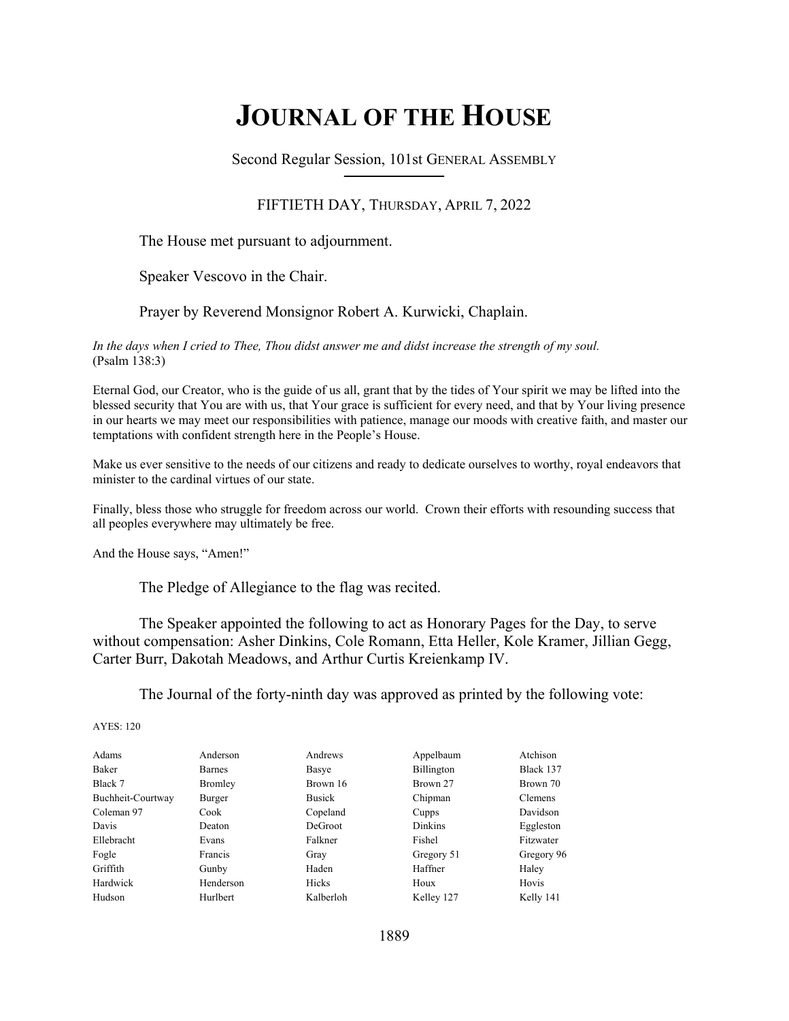# **JOURNAL OF THE HOUSE**

Second Regular Session, 101st GENERAL ASSEMBLY **\_\_\_\_\_\_\_\_\_\_\_\_\_\_\_\_\_\_\_\_\_\_\_\_\_\_**

## FIFTIETH DAY, THURSDAY, APRIL 7, 2022

The House met pursuant to adjournment.

Speaker Vescovo in the Chair.

## Prayer by Reverend Monsignor Robert A. Kurwicki, Chaplain.

*In the days when I cried to Thee, Thou didst answer me and didst increase the strength of my soul.*  (Psalm 138:3)

Eternal God, our Creator, who is the guide of us all, grant that by the tides of Your spirit we may be lifted into the blessed security that You are with us, that Your grace is sufficient for every need, and that by Your living presence in our hearts we may meet our responsibilities with patience, manage our moods with creative faith, and master our temptations with confident strength here in the People's House.

Make us ever sensitive to the needs of our citizens and ready to dedicate ourselves to worthy, royal endeavors that minister to the cardinal virtues of our state.

Finally, bless those who struggle for freedom across our world. Crown their efforts with resounding success that all peoples everywhere may ultimately be free.

And the House says, "Amen!"

The Pledge of Allegiance to the flag was recited.

 The Speaker appointed the following to act as Honorary Pages for the Day, to serve without compensation: Asher Dinkins, Cole Romann, Etta Heller, Kole Kramer, Jillian Gegg, Carter Burr, Dakotah Meadows, and Arthur Curtis Kreienkamp IV.

The Journal of the forty-ninth day was approved as printed by the following vote:

| Adams             | Anderson       | Andrews        | Appelbaum      | Atchison       |
|-------------------|----------------|----------------|----------------|----------------|
| <b>Baker</b>      | <b>Barnes</b>  | Basye          | Billington     | Black 137      |
| Black 7           | <b>Bromley</b> | Brown 16       | Brown 27       | Brown 70       |
| Buchheit-Courtway | Burger         | <b>Busick</b>  | Chipman        | <b>Clemens</b> |
| Coleman 97        | Cook           | Copeland       | Cupps          | Davidson       |
| Davis             | Deaton         | <b>DeGroot</b> | <b>Dinkins</b> | Eggleston      |
| Ellebracht        | Evans          | Falkner        | Fishel         | Fitzwater      |
| Fogle             | Francis        | Gray           | Gregory 51     | Gregory 96     |
| Griffith          | Gunby          | Haden          | Haffner        | Haley          |
| Hardwick          | Henderson      | Hicks          | Houx           | Hovis          |
| Hudson            | Hurlbert       | Kalberloh      | Kelley 127     | Kelly 141      |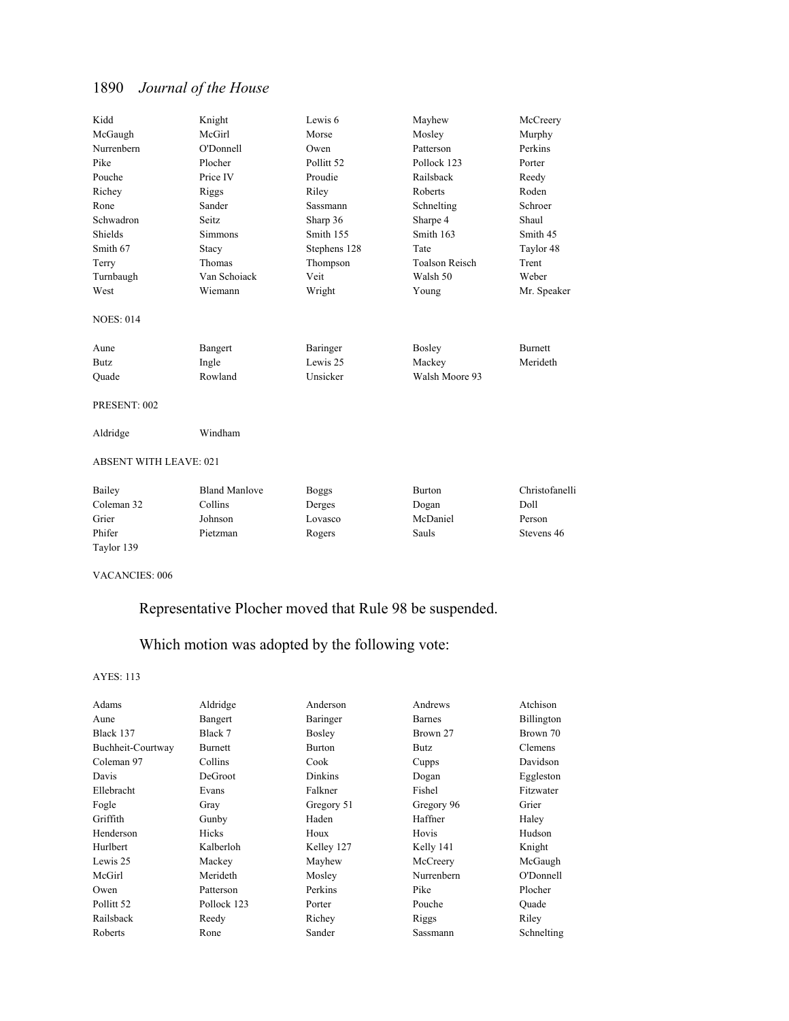| Kidd                          | Knight               | Lewis 6               | Mayhew                | McCreery       |
|-------------------------------|----------------------|-----------------------|-----------------------|----------------|
| McGaugh                       | McGirl               | Morse                 | Mosley                | Murphy         |
| Nurrenbern                    | O'Donnell            | Owen                  | Patterson             | Perkins        |
| Pike                          | Plocher              | Pollitt <sub>52</sub> | Pollock 123           | Porter         |
| Pouche                        | Price IV             | Proudie               | Railsback             | Reedy          |
| Richey                        | Riggs                | Riley                 | Roberts               | Roden          |
| Rone                          | Sander               | Sassmann              | Schnelting            | Schroer        |
| Schwadron                     | Seitz.               | Sharp 36              | Sharpe 4              | Shaul          |
| Shields                       | <b>Simmons</b>       | Smith 155             | Smith 163             | Smith 45       |
| Smith 67                      | Stacy                | Stephens 128          | Tate                  | Taylor 48      |
| Terry                         | Thomas               | Thompson              | <b>Toalson Reisch</b> | Trent          |
| Turnbaugh                     | Van Schoiack         | Veit                  | Walsh 50              | Weber          |
| West                          | Wiemann              | Wright                | Young                 | Mr. Speaker    |
| <b>NOES: 014</b>              |                      |                       |                       |                |
| Aune                          | Bangert              | Baringer              | Bosley                | <b>Burnett</b> |
| <b>Butz</b>                   | Ingle                | Lewis 25              | Mackey                | Merideth       |
| Ouade                         | Rowland              | Unsicker              | Walsh Moore 93        |                |
| PRESENT: 002                  |                      |                       |                       |                |
| Aldridge                      | Windham              |                       |                       |                |
| <b>ABSENT WITH LEAVE: 021</b> |                      |                       |                       |                |
| Bailey                        | <b>Bland Manlove</b> | <b>Boggs</b>          | <b>Burton</b>         | Christofanelli |
| Coleman 32                    | Collins              | Derges                | Dogan                 | Doll           |
| Grier                         | Johnson              | Lovasco               | McDaniel              | Person         |
| Phifer                        | Pietzman             | Rogers                | Sauls                 | Stevens 46     |
| Taylor 139                    |                      |                       |                       |                |

VACANCIES: 006

## Representative Plocher moved that Rule 98 be suspended.

## Which motion was adopted by the following vote:

| Adams                 | Aldridge       | Anderson       | Andrews       | Atchison       |
|-----------------------|----------------|----------------|---------------|----------------|
| Aune                  | Bangert        | Baringer       | <b>Barnes</b> | Billington     |
| Black 137             | Black 7        | Bosley         | Brown 27      | Brown 70       |
| Buchheit-Courtway     | <b>Burnett</b> | <b>Burton</b>  | Butz          | <b>Clemens</b> |
| Coleman 97            | Collins        | Cook           | Cupps         | Davidson       |
| Davis                 | <b>DeGroot</b> | <b>Dinkins</b> | Dogan         | Eggleston      |
| Ellebracht            | Evans          | Falkner        | Fishel        | Fitzwater      |
| Fogle                 | Gray           | Gregory 51     | Gregory 96    | Grier          |
| Griffith              | Gunby          | Haden          | Haffner       | Haley          |
| Henderson             | Hicks          | Houx           | Hovis         | Hudson         |
| Hurlbert              | Kalberloh      | Kelley 127     | Kelly 141     | Knight         |
| Lewis 25              | Mackey         | Mayhew         | McCreery      | McGaugh        |
| McGirl                | Merideth       | Mosley         | Nurrenbern    | O'Donnell      |
| Owen                  | Patterson      | Perkins        | Pike          | Plocher        |
| Pollitt <sub>52</sub> | Pollock 123    | Porter         | Pouche        | Ouade          |
| Railsback             | Reedy          | Richey         | Riggs         | Riley          |
| Roberts               | Rone           | Sander         | Sassmann      | Schnelting     |
|                       |                |                |               |                |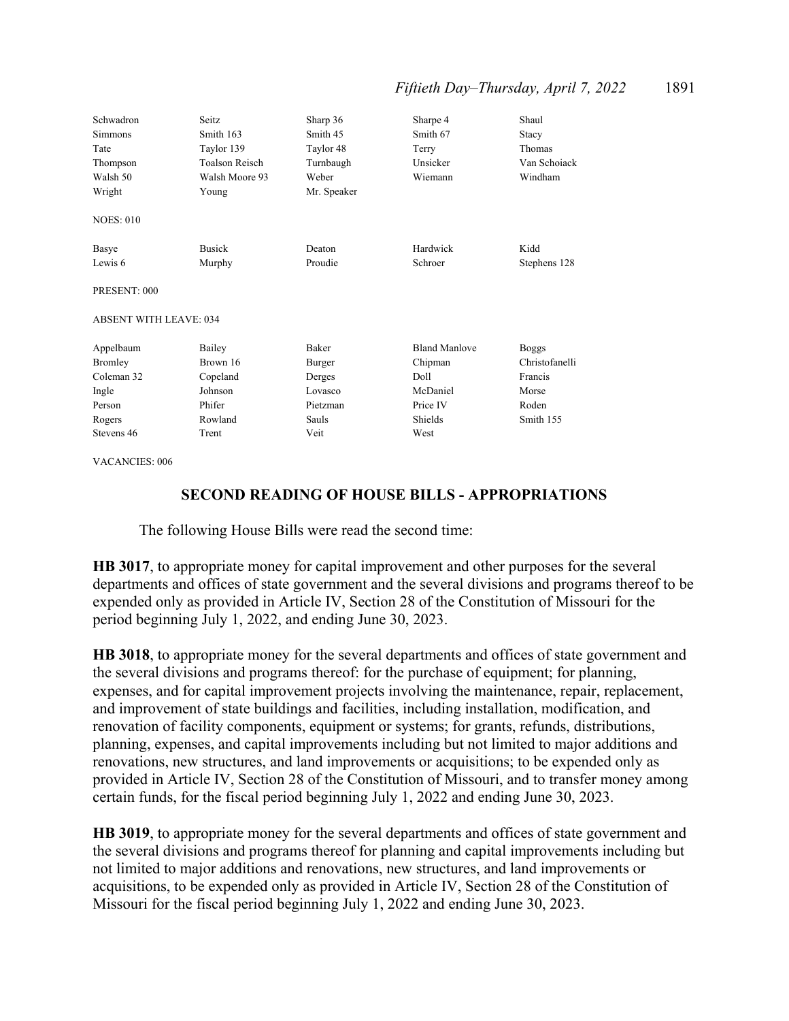## *Fiftieth Day–Thursday, April 7, 2022* 1891

| Schwadron<br><b>Simmons</b><br>Tate<br>Thompson<br>Walsh 50<br>Wright | Seitz.<br>Smith 163<br>Taylor 139<br><b>Toalson Reisch</b><br>Walsh Moore 93<br>Young | Sharp 36<br>Smith 45<br>Taylor 48<br>Turnbaugh<br>Weber<br>Mr. Speaker | Sharpe 4<br>Smith 67<br>Terry<br>Unsicker<br>Wiemann | Shaul<br>Stacy<br>Thomas<br>Van Schoiack<br>Windham |
|-----------------------------------------------------------------------|---------------------------------------------------------------------------------------|------------------------------------------------------------------------|------------------------------------------------------|-----------------------------------------------------|
| <b>NOES: 010</b>                                                      |                                                                                       |                                                                        |                                                      |                                                     |
| Basye                                                                 | <b>Busick</b>                                                                         | Deaton                                                                 | Hardwick                                             | Kidd                                                |
| Lewis 6                                                               | Murphy                                                                                | Proudie                                                                | Schroer                                              | Stephens 128                                        |
| PRESENT: 000                                                          |                                                                                       |                                                                        |                                                      |                                                     |
| <b>ABSENT WITH LEAVE: 034</b>                                         |                                                                                       |                                                                        |                                                      |                                                     |
| Appelbaum                                                             | Bailey                                                                                | <b>Baker</b>                                                           | <b>Bland Manlove</b>                                 | <b>Boggs</b>                                        |
| <b>Bromley</b>                                                        | Brown 16                                                                              | Burger                                                                 | Chipman                                              | Christofanelli                                      |
| Coleman 32                                                            | Copeland                                                                              | Derges                                                                 | Doll.                                                | Francis                                             |
| Ingle                                                                 | Johnson                                                                               | Lovasco                                                                | McDaniel                                             | Morse                                               |
| Person                                                                | Phifer                                                                                | Pietzman                                                               | Price IV                                             | Roden                                               |
| Rogers                                                                | Rowland                                                                               | Sauls                                                                  | Shields                                              | Smith 155                                           |
| Stevens 46                                                            | Trent                                                                                 | Veit                                                                   | West                                                 |                                                     |

VACANCIES: 006

## **SECOND READING OF HOUSE BILLS - APPROPRIATIONS**

The following House Bills were read the second time:

**HB 3017**, to appropriate money for capital improvement and other purposes for the several departments and offices of state government and the several divisions and programs thereof to be expended only as provided in Article IV, Section 28 of the Constitution of Missouri for the period beginning July 1, 2022, and ending June 30, 2023.

**HB 3018**, to appropriate money for the several departments and offices of state government and the several divisions and programs thereof: for the purchase of equipment; for planning, expenses, and for capital improvement projects involving the maintenance, repair, replacement, and improvement of state buildings and facilities, including installation, modification, and renovation of facility components, equipment or systems; for grants, refunds, distributions, planning, expenses, and capital improvements including but not limited to major additions and renovations, new structures, and land improvements or acquisitions; to be expended only as provided in Article IV, Section 28 of the Constitution of Missouri, and to transfer money among certain funds, for the fiscal period beginning July 1, 2022 and ending June 30, 2023.

**HB 3019**, to appropriate money for the several departments and offices of state government and the several divisions and programs thereof for planning and capital improvements including but not limited to major additions and renovations, new structures, and land improvements or acquisitions, to be expended only as provided in Article IV, Section 28 of the Constitution of Missouri for the fiscal period beginning July 1, 2022 and ending June 30, 2023.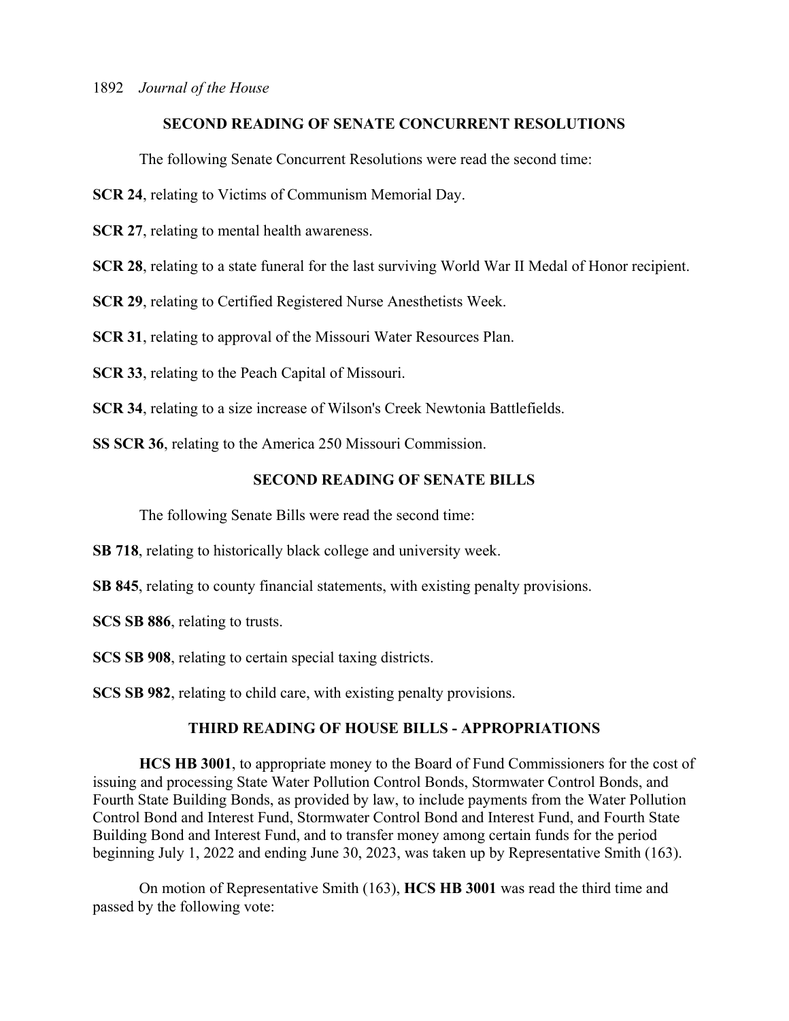## **SECOND READING OF SENATE CONCURRENT RESOLUTIONS**

The following Senate Concurrent Resolutions were read the second time:

**SCR 24**, relating to Victims of Communism Memorial Day.

**SCR 27, relating to mental health awareness.** 

**SCR 28**, relating to a state funeral for the last surviving World War II Medal of Honor recipient.

**SCR 29**, relating to Certified Registered Nurse Anesthetists Week.

**SCR 31**, relating to approval of the Missouri Water Resources Plan.

**SCR 33**, relating to the Peach Capital of Missouri.

**SCR 34**, relating to a size increase of Wilson's Creek Newtonia Battlefields.

**SS SCR 36**, relating to the America 250 Missouri Commission.

## **SECOND READING OF SENATE BILLS**

The following Senate Bills were read the second time:

**SB 718**, relating to historically black college and university week.

**SB 845**, relating to county financial statements, with existing penalty provisions.

**SCS SB 886**, relating to trusts.

**SCS SB 908**, relating to certain special taxing districts.

**SCS SB 982**, relating to child care, with existing penalty provisions.

## **THIRD READING OF HOUSE BILLS - APPROPRIATIONS**

**HCS HB 3001**, to appropriate money to the Board of Fund Commissioners for the cost of issuing and processing State Water Pollution Control Bonds, Stormwater Control Bonds, and Fourth State Building Bonds, as provided by law, to include payments from the Water Pollution Control Bond and Interest Fund, Stormwater Control Bond and Interest Fund, and Fourth State Building Bond and Interest Fund, and to transfer money among certain funds for the period beginning July 1, 2022 and ending June 30, 2023, was taken up by Representative Smith (163).

 On motion of Representative Smith (163), **HCS HB 3001** was read the third time and passed by the following vote: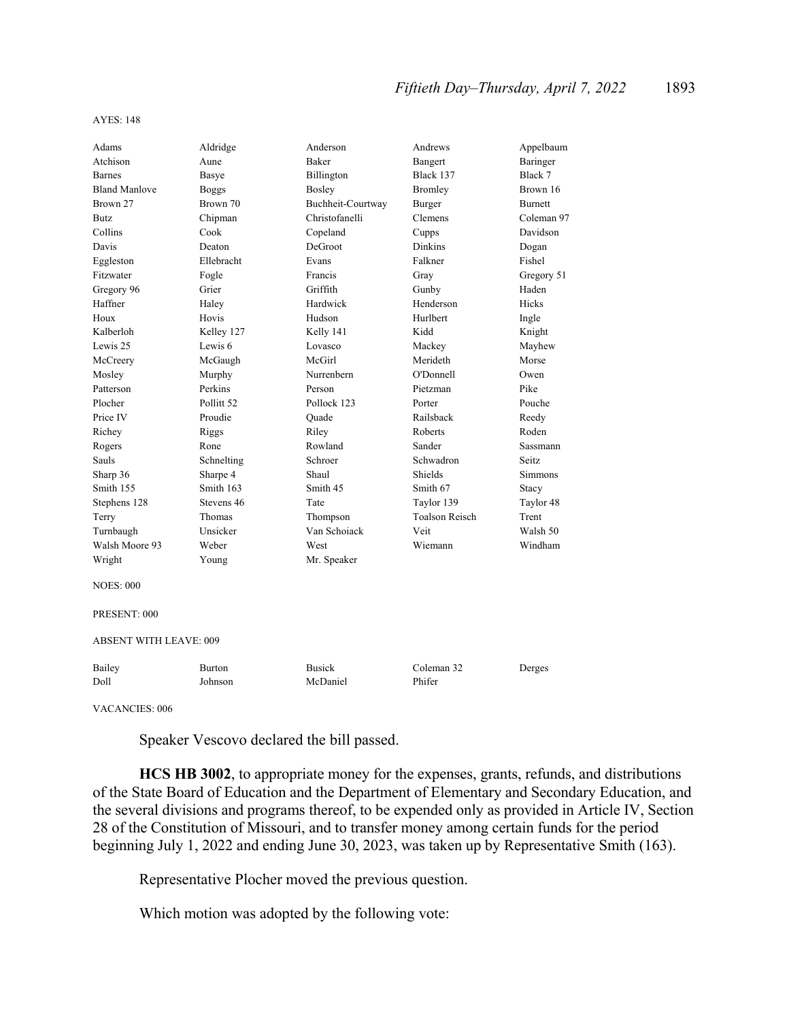```
AYES: 148
```

| Adams                         | Aldridge              | Anderson          | Andrews               | Appelbaum      |
|-------------------------------|-----------------------|-------------------|-----------------------|----------------|
| Atchison                      | Aune                  | <b>Baker</b>      | Bangert               | Baringer       |
| <b>Barnes</b>                 | Basye                 | Billington        | Black 137             | Black 7        |
| <b>Bland Manlove</b>          | <b>Boggs</b>          | Bosley            | Bromley               | Brown 16       |
| Brown 27                      | Brown 70              | Buchheit-Courtway | Burger                | <b>Burnett</b> |
| <b>Butz</b>                   | Chipman               | Christofanelli    | Clemens               | Coleman 97     |
| Collins                       | Cook                  | Copeland          | Cupps                 | Davidson       |
| Davis                         | Deaton                | DeGroot           | Dinkins               | Dogan          |
| Eggleston                     | Ellebracht            | Evans             | Falkner               | Fishel         |
| Fitzwater                     | Fogle                 | Francis           | Gray                  | Gregory 51     |
| Gregory 96                    | Grier                 | Griffith          | Gunby                 | Haden          |
| Haffner                       | Haley                 | Hardwick          | Henderson             | Hicks          |
| Houx                          | Hovis                 | Hudson            | Hurlbert              | Ingle          |
| Kalberloh                     | Kelley 127            | Kelly 141         | Kidd                  | Knight         |
| Lewis 25                      | Lewis <sub>6</sub>    | Lovasco           | Mackey                | Mayhew         |
| McCreery                      | McGaugh               | McGirl            | Merideth              | Morse          |
| Mosley                        | Murphy                | Nurrenbern        | O'Donnell             | Owen           |
| Patterson                     | Perkins               | Person            | Pietzman              | Pike           |
| Plocher                       | Pollitt <sub>52</sub> | Pollock 123       | Porter                | Pouche         |
| Price IV                      | Proudie               | Ouade             | Railsback             | Reedy          |
| Richey                        | Riggs                 | Riley             | Roberts               | Roden          |
| Rogers                        | Rone                  | Rowland           | Sander                | Sassmann       |
| Sauls                         | Schnelting            | Schroer           | Schwadron             | Seitz          |
| Sharp 36                      | Sharpe 4              | Shaul             | Shields               | <b>Simmons</b> |
| Smith 155                     | Smith 163             | Smith 45          | Smith 67              | Stacy          |
| Stephens 128                  | Stevens 46            | Tate              | Taylor 139            | Taylor 48      |
| Terry                         | Thomas                | Thompson          | <b>Toalson Reisch</b> | Trent          |
| Turnbaugh                     | Unsicker              | Van Schoiack      | Veit                  | Walsh 50       |
| Walsh Moore 93                | Weber                 | West              | Wiemann               | Windham        |
| Wright                        | Young                 | Mr. Speaker       |                       |                |
| <b>NOES: 000</b>              |                       |                   |                       |                |
| PRESENT: 000                  |                       |                   |                       |                |
| <b>ABSENT WITH LEAVE: 009</b> |                       |                   |                       |                |
| Bailey                        | <b>Burton</b>         | <b>Busick</b>     | Coleman 32            | Derges         |
| Doll                          | Johnson               | McDaniel          | Phifer                |                |
| VACANCIES: 006                |                       |                   |                       |                |

Speaker Vescovo declared the bill passed.

**HCS HB 3002**, to appropriate money for the expenses, grants, refunds, and distributions of the State Board of Education and the Department of Elementary and Secondary Education, and the several divisions and programs thereof, to be expended only as provided in Article IV, Section 28 of the Constitution of Missouri, and to transfer money among certain funds for the period beginning July 1, 2022 and ending June 30, 2023, was taken up by Representative Smith (163).

Representative Plocher moved the previous question.

Which motion was adopted by the following vote: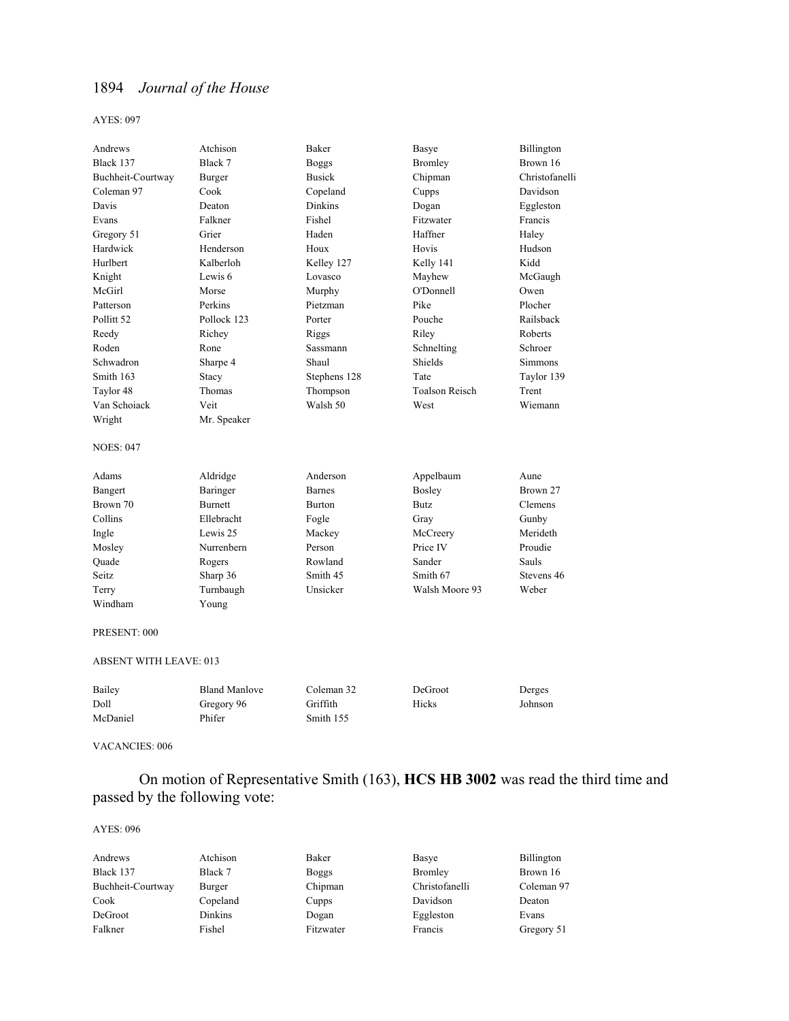#### AYES: 097

| Andrews                       | Atchison             | Baker          | Basye                 | Billington     |
|-------------------------------|----------------------|----------------|-----------------------|----------------|
| Black 137                     | Black 7              | <b>Boggs</b>   | <b>Bromley</b>        | Brown 16       |
| Buchheit-Courtway             | Burger               | <b>Busick</b>  | Chipman               | Christofanelli |
| Coleman 97                    | Cook                 | Copeland       | Cupps                 | Davidson       |
| Davis                         | Deaton               | <b>Dinkins</b> | Dogan                 | Eggleston      |
| Evans                         | Falkner              | Fishel         | Fitzwater             | Francis        |
| Gregory 51                    | Grier                | Haden          | Haffner               | Haley          |
| Hardwick                      | Henderson            | Houx           | Hovis                 | Hudson         |
| Hurlbert                      | Kalberloh            | Kelley 127     | Kelly 141             | Kidd           |
| Knight                        | Lewis 6              | Lovasco        | Mayhew                | McGaugh        |
| McGirl                        | Morse                | Murphy         | O'Donnell             | Owen           |
| Patterson                     | Perkins              | Pietzman       | Pike                  | Plocher        |
| Pollitt 52                    | Pollock 123          | Porter         | Pouche                | Railsback      |
| Reedy                         | Richey               | Riggs          | Riley                 | Roberts        |
| Roden                         | Rone                 | Sassmann       | Schnelting            | Schroer        |
| Schwadron                     | Sharpe 4             | Shaul          | Shields               | <b>Simmons</b> |
| Smith 163                     | Stacy                | Stephens 128   | Tate                  | Taylor 139     |
| Taylor 48                     | Thomas               | Thompson       | <b>Toalson Reisch</b> | Trent          |
| Van Schoiack                  | Veit                 | Walsh 50       | West                  | Wiemann        |
| Wright                        | Mr. Speaker          |                |                       |                |
| <b>NOES: 047</b>              |                      |                |                       |                |
| Adams                         | Aldridge             | Anderson       | Appelbaum             | Aune           |
| Bangert                       | Baringer             | <b>Barnes</b>  | <b>Bosley</b>         | Brown 27       |
| Brown 70                      | <b>Burnett</b>       | <b>Burton</b>  | Butz                  | Clemens        |
| Collins                       | Ellebracht           | Fogle          | Gray                  | Gunby          |
| Ingle                         | Lewis 25             | Mackey         | McCreery              | Merideth       |
| Mosley                        | Nurrenbern           | Person         | Price IV              | Proudie        |
| Quade                         | Rogers               | Rowland        | Sander                | Sauls          |
| Seitz                         | Sharp 36             | Smith 45       | Smith 67              | Stevens 46     |
| Terry                         | Turnbaugh            | Unsicker       | Walsh Moore 93        | Weber          |
| Windham                       | Young                |                |                       |                |
|                               |                      |                |                       |                |
| PRESENT: 000                  |                      |                |                       |                |
| <b>ABSENT WITH LEAVE: 013</b> |                      |                |                       |                |
| Bailey                        | <b>Bland Manlove</b> | Coleman 32     | DeGroot               | Derges         |
| Doll                          | Gregory 96           | Griffith       | Hicks                 | Johnson        |

#### VACANCIES: 006

McDaniel Phifer Smith 155

## On motion of Representative Smith (163), **HCS HB 3002** was read the third time and passed by the following vote:

| Andrews           | Atchison | Baker        | Basye          | Billington |
|-------------------|----------|--------------|----------------|------------|
| Black 137         | Black 7  | <b>Boggs</b> | Bromley        | Brown 16   |
| Buchheit-Courtway | Burger   | Chipman      | Christofanelli | Coleman 97 |
| Cook              | Copeland | Cupps        | Davidson       | Deaton     |
| DeGroot           | Dinkins  | Dogan        | Eggleston      | Evans      |
| Falkner           | Fishel   | Fitzwater    | Francis        | Gregory 51 |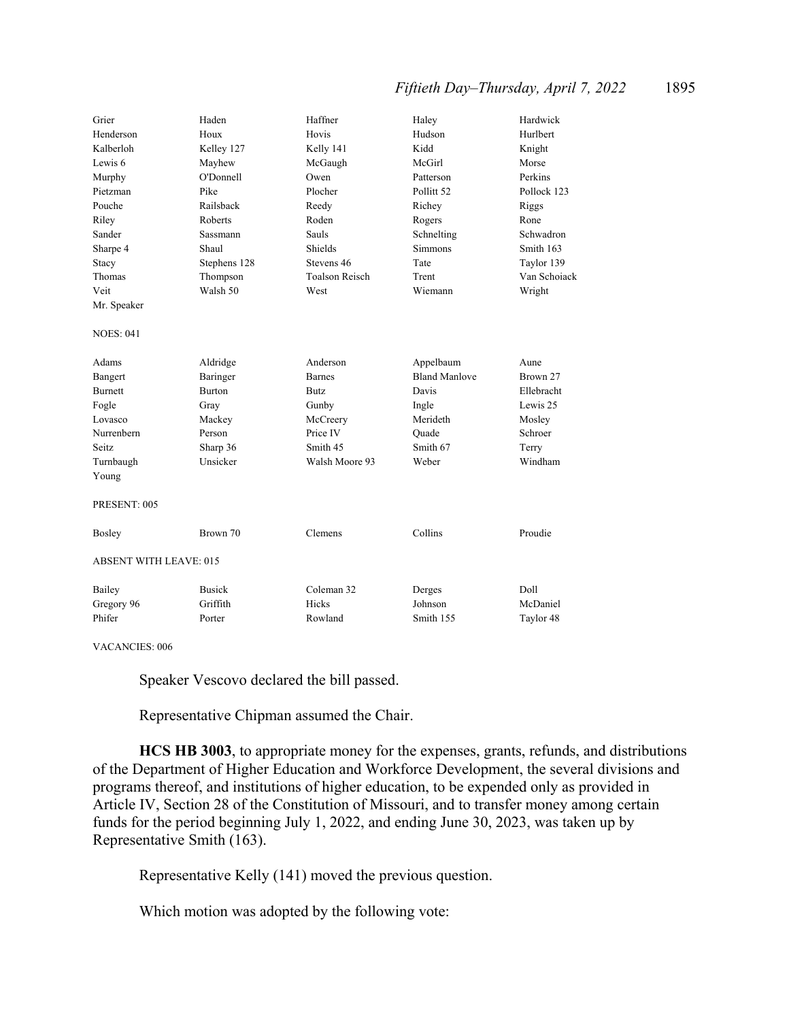## *Fiftieth Day–Thursday, April 7, 2022* 1895

| Grier                         | Haden         | Haffner               | Haley                 | Hardwick     |
|-------------------------------|---------------|-----------------------|-----------------------|--------------|
| Henderson                     | Houx          | Hovis                 | Hudson                | Hurlbert     |
| Kalberloh                     | Kelley 127    | Kelly 141             | Kidd                  | Knight       |
| Lewis 6                       | Mayhew        | McGaugh               | McGirl                | Morse        |
| Murphy                        | O'Donnell     | Owen                  | Patterson             | Perkins      |
| Pietzman                      | Pike          | Plocher               | Pollitt <sub>52</sub> | Pollock 123  |
| Pouche                        | Railsback     | Reedy                 | Richey                | Riggs        |
| Riley                         | Roberts       | Roden                 | Rogers                | Rone         |
| Sander                        | Sassmann      | Sauls                 | Schnelting            | Schwadron    |
| Sharpe 4                      | Shaul         | Shields               | <b>Simmons</b>        | Smith 163    |
| Stacy                         | Stephens 128  | Stevens 46            | Tate                  | Taylor 139   |
| Thomas                        | Thompson      | <b>Toalson Reisch</b> | Trent                 | Van Schoiack |
| Veit                          | Walsh 50      | West                  | Wiemann               | Wright       |
| Mr. Speaker                   |               |                       |                       |              |
| <b>NOES: 041</b>              |               |                       |                       |              |
| Adams                         | Aldridge      | Anderson              | Appelbaum             | Aune         |
| Bangert                       | Baringer      | <b>Barnes</b>         | <b>Bland Manlove</b>  | Brown 27     |
| Burnett                       | <b>Burton</b> | Butz                  | Davis                 | Ellebracht   |
| Fogle                         | Gray          | Gunby                 | Ingle                 | Lewis 25     |
| Lovasco                       | Mackey        | McCreery              | Merideth              | Mosley       |
| Nurrenbern                    | Person        | Price IV              | Ouade                 | Schroer      |
| Seitz                         | Sharp 36      | Smith 45              | Smith 67              | Terry        |
| Turnbaugh                     | Unsicker      | Walsh Moore 93        | Weber                 | Windham      |
| Young                         |               |                       |                       |              |
| PRESENT: 005                  |               |                       |                       |              |
| Bosley                        | Brown 70      | Clemens               | Collins               | Proudie      |
| <b>ABSENT WITH LEAVE: 015</b> |               |                       |                       |              |
| Bailey                        | <b>Busick</b> | Coleman 32            | Derges                | Doll         |
| Gregory 96                    | Griffith      | Hicks                 | Johnson               | McDaniel     |
| Phifer                        | Porter        | Rowland               | Smith 155             | Taylor 48    |

VACANCIES: 006

Speaker Vescovo declared the bill passed.

Representative Chipman assumed the Chair.

**HCS HB 3003**, to appropriate money for the expenses, grants, refunds, and distributions of the Department of Higher Education and Workforce Development, the several divisions and programs thereof, and institutions of higher education, to be expended only as provided in Article IV, Section 28 of the Constitution of Missouri, and to transfer money among certain funds for the period beginning July 1, 2022, and ending June 30, 2023, was taken up by Representative Smith (163).

Representative Kelly (141) moved the previous question.

Which motion was adopted by the following vote: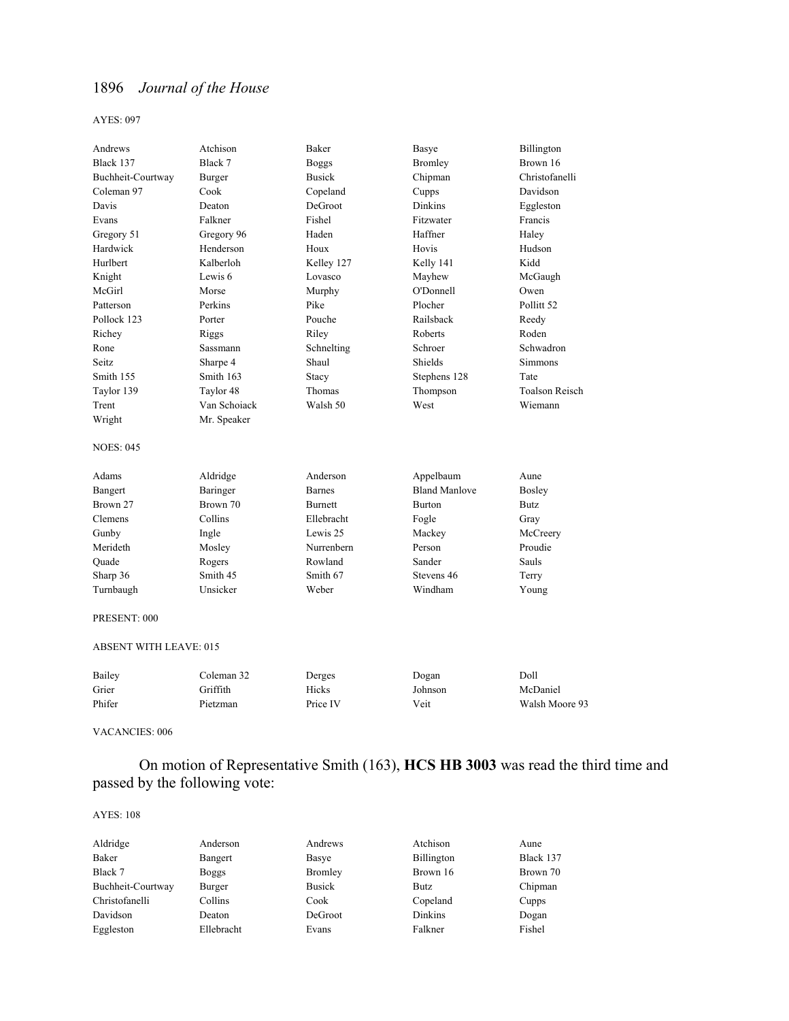#### AYES: 097

| Andrews           | Atchison        | Baker          | Basye                | Billington            |
|-------------------|-----------------|----------------|----------------------|-----------------------|
| Black 137         | Black 7         | <b>Boggs</b>   | <b>Bromley</b>       | Brown 16              |
| Buchheit-Courtway | Burger          | <b>Busick</b>  | Chipman              | Christofanelli        |
| Coleman 97        | Cook            | Copeland       | Cupps                | Davidson              |
| Davis             | Deaton          | DeGroot        | <b>Dinkins</b>       | Eggleston             |
| Evans             | Falkner         | Fishel         | Fitzwater            | Francis               |
| Gregory 51        | Gregory 96      | Haden          | Haffner              | Haley                 |
| Hardwick          | Henderson       | Houx           | Hovis                | Hudson                |
| Hurlbert          | Kalberloh       | Kelley 127     | Kelly 141            | Kidd                  |
| Knight            | Lewis 6         | Lovasco        | Mayhew               | McGaugh               |
| McGirl            | Morse           | Murphy         | O'Donnell            | Owen                  |
| Patterson         | Perkins         | Pike           | Plocher              | Pollitt 52            |
| Pollock 123       | Porter          | Pouche         | Railsback            | Reedy                 |
| Richey            | Riggs           | Riley          | Roberts              | Roden                 |
| Rone              | <b>Sassmann</b> | Schnelting     | Schroer              | Schwadron             |
| Seitz             | Sharpe 4        | Shaul          | Shields              | Simmons               |
| Smith 155         | Smith 163       | Stacy          | Stephens 128         | Tate                  |
| Taylor 139        | Taylor 48       | Thomas         | Thompson             | <b>Toalson Reisch</b> |
| Trent             | Van Schoiack    | Walsh 50       | West                 | Wiemann               |
| Wright            | Mr. Speaker     |                |                      |                       |
| <b>NOES: 045</b>  |                 |                |                      |                       |
| Adams             | Aldridge        | Anderson       | Appelbaum            | Aune                  |
| Bangert           | Baringer        | <b>Barnes</b>  | <b>Bland Manlove</b> | Bosley                |
| Brown 27          | Brown 70        | <b>Burnett</b> | Burton               | <b>Butz</b>           |
| Clemens           | Collins         | Ellebracht     | Fogle                | Gray                  |
| Gunby             | Ingle           | Lewis 25       | Mackey               | McCreery              |
| Merideth          | Mosley          | Nurrenbern     | Person               | Proudie               |
| Quade             | Rogers          | Rowland        | Sander               | Sauls                 |
| Sharp 36          | Smith 45        | Smith 67       | Stevens 46           | Terry                 |
| Turnbaugh         | Unsicker        | Weber          | Windham              | Young                 |
| PRESENT: 000      |                 |                |                      |                       |

#### ABSENT WITH LEAVE: 015

| Bailey | Coleman 32 | Derges   | Dogan   | Doll           |
|--------|------------|----------|---------|----------------|
| Grier  | Griffith   | Hicks    | Johnson | McDaniel       |
| Phifer | Pietzman   | Price IV | Veit    | Walsh Moore 93 |

VACANCIES: 006

 On motion of Representative Smith (163), **HCS HB 3003** was read the third time and passed by the following vote:

| Aldridge          | Anderson     | Andrews       | Atchison          | Aune      |
|-------------------|--------------|---------------|-------------------|-----------|
| Baker             | Bangert      | Basye         | <b>Billington</b> | Black 137 |
| Black 7           | <b>Boggs</b> | Bromley       | Brown 16          | Brown 70  |
| Buchheit-Courtway | Burger       | <b>Busick</b> | Butz              | Chipman   |
| Christofanelli    | Collins      | Cook          | Copeland          | Cupps     |
| Davidson          | Deaton       | DeGroot       | Dinkins           | Dogan     |
| Eggleston         | Ellebracht   | Evans         | Falkner           | Fishel    |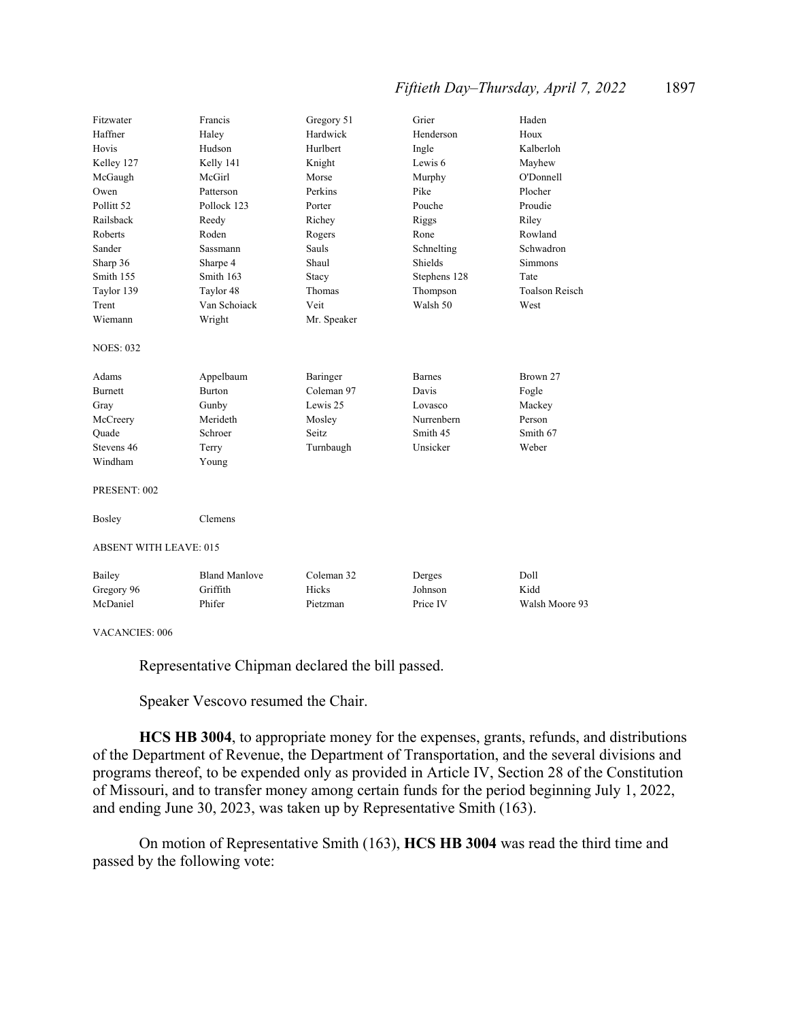## *Fiftieth Day–Thursday, April 7, 2022* 1897

| Fitzwater                     | Francis              | Gregory 51  | Grier         | Haden                 |
|-------------------------------|----------------------|-------------|---------------|-----------------------|
| Haffner                       | Haley                | Hardwick    | Henderson     | Houx                  |
| Hovis                         | Hudson               | Hurlbert    | Ingle         | Kalberloh             |
| Kelley 127                    | Kelly 141            | Knight      | Lewis 6       | Mayhew                |
| McGaugh                       | McGirl               | Morse       | Murphy        | O'Donnell             |
| Owen                          | Patterson            | Perkins     | Pike          | Plocher               |
| Pollitt <sub>52</sub>         | Pollock 123          | Porter      | Pouche        | Proudie               |
| Railsback                     | Reedy                | Richey      | Riggs         | Riley                 |
| Roberts                       | Roden                | Rogers      | Rone          | Rowland               |
| Sander                        | <b>Sassmann</b>      | Sauls       | Schnelting    | Schwadron             |
| Sharp 36                      | Sharpe 4             | Shaul       | Shields       | <b>Simmons</b>        |
| Smith 155                     | Smith 163            | Stacy       | Stephens 128  | Tate                  |
| Taylor 139                    | Taylor 48            | Thomas      | Thompson      | <b>Toalson Reisch</b> |
| Trent                         | Van Schoiack         | Veit        | Walsh 50      | West                  |
| Wiemann                       | Wright               | Mr. Speaker |               |                       |
| <b>NOES: 032</b>              |                      |             |               |                       |
| Adams                         | Appelbaum            | Baringer    | <b>Barnes</b> | Brown 27              |
| <b>Burnett</b>                | <b>Burton</b>        | Coleman 97  | Davis         | Fogle                 |
| Gray                          | Gunby                | Lewis 25    | Lovasco       | Mackey                |
| McCreery                      | Merideth             | Mosley      | Nurrenbern    | Person                |
| Ouade                         | Schroer              | Seitz.      | Smith 45      | Smith 67              |
| Stevens 46                    | Terry                | Turnbaugh   | Unsicker      | Weber                 |
| Windham                       | Young                |             |               |                       |
| PRESENT: 002                  |                      |             |               |                       |
| Bosley                        | Clemens              |             |               |                       |
| <b>ABSENT WITH LEAVE: 015</b> |                      |             |               |                       |
| Bailey                        | <b>Bland Manlove</b> | Coleman 32  | Derges        | Doll                  |
| Gregory 96                    | Griffith             | Hicks       | Johnson       | Kidd                  |
| McDaniel                      | Phifer               | Pietzman    | Price IV      | Walsh Moore 93        |
|                               |                      |             |               |                       |

VACANCIES: 006

Representative Chipman declared the bill passed.

Speaker Vescovo resumed the Chair.

**HCS HB 3004**, to appropriate money for the expenses, grants, refunds, and distributions of the Department of Revenue, the Department of Transportation, and the several divisions and programs thereof, to be expended only as provided in Article IV, Section 28 of the Constitution of Missouri, and to transfer money among certain funds for the period beginning July 1, 2022, and ending June 30, 2023, was taken up by Representative Smith (163).

 On motion of Representative Smith (163), **HCS HB 3004** was read the third time and passed by the following vote: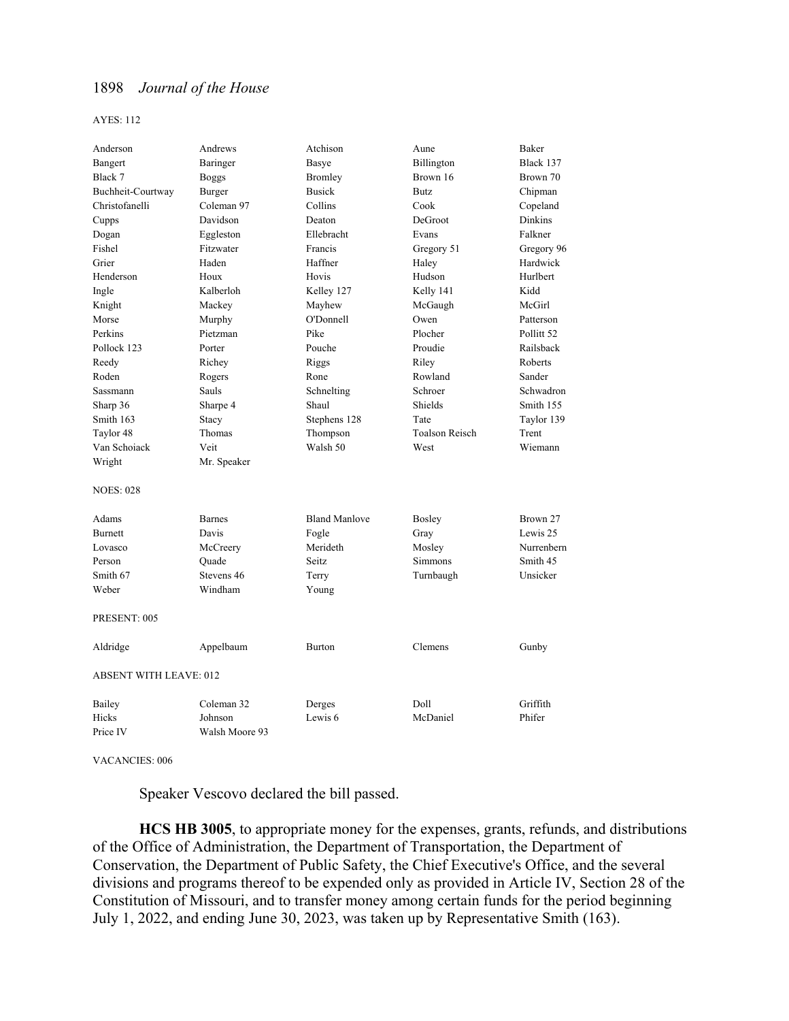#### AYES: 112

| Anderson                      | Andrews        | Atchison             | Aune                  | Baker          |
|-------------------------------|----------------|----------------------|-----------------------|----------------|
| Bangert                       | Baringer       | Basye                | Billington            | Black 137      |
| Black 7                       | <b>Boggs</b>   | <b>Bromley</b>       | Brown 16              | Brown 70       |
| Buchheit-Courtway             | Burger         | <b>Busick</b>        | Butz                  | Chipman        |
| Christofanelli                | Coleman 97     | Collins              | Cook                  | Copeland       |
| Cupps                         | Davidson       | Deaton               | DeGroot               | <b>Dinkins</b> |
| Dogan                         | Eggleston      | Ellebracht           | Evans                 | Falkner        |
| Fishel                        | Fitzwater      | Francis              | Gregory 51            | Gregory 96     |
| Grier                         | Haden          | Haffner              | Haley                 | Hardwick       |
| Henderson                     | Houx           | Hovis                | Hudson                | Hurlbert       |
| Ingle                         | Kalberloh      | Kelley 127           | Kelly 141             | Kidd           |
| Knight                        | Mackey         | Mayhew               | McGaugh               | McGirl         |
| Morse                         | Murphy         | O'Donnell            | Owen                  | Patterson      |
| Perkins                       | Pietzman       | Pike                 | Plocher               | Pollitt 52     |
| Pollock 123                   | Porter         | Pouche               | Proudie               | Railsback      |
| Reedy                         | Richey         | Riggs                | Riley                 | Roberts        |
| Roden                         | Rogers         | Rone                 | Rowland               | Sander         |
| Sassmann                      | Sauls          | Schnelting           | Schroer               | Schwadron      |
| Sharp 36                      | Sharpe 4       | Shaul                | Shields               | Smith 155      |
| Smith 163                     | Stacy          | Stephens 128         | Tate                  | Taylor 139     |
| Taylor 48                     | Thomas         | Thompson             | <b>Toalson Reisch</b> | Trent          |
| Van Schoiack                  | Veit           | Walsh 50             | West                  | Wiemann        |
| Wright                        | Mr. Speaker    |                      |                       |                |
| <b>NOES: 028</b>              |                |                      |                       |                |
| Adams                         | <b>Barnes</b>  | <b>Bland Manlove</b> | Bosley                | Brown 27       |
| Burnett                       | Davis          | Fogle                | Gray                  | Lewis 25       |
| Lovasco                       | McCreery       | Merideth             | Mosley                | Nurrenbern     |
| Person                        | Ouade          | Seitz                | Simmons               | Smith 45       |
| Smith 67                      | Stevens 46     | Terry                | Turnbaugh             | Unsicker       |
| Weber                         | Windham        | Young                |                       |                |
| PRESENT: 005                  |                |                      |                       |                |
| Aldridge                      | Appelbaum      | <b>Burton</b>        | Clemens               | Gunby          |
| <b>ABSENT WITH LEAVE: 012</b> |                |                      |                       |                |
| Bailey                        | Coleman 32     | Derges               | Doll                  | Griffith       |
| Hicks                         | Johnson        | Lewis <sub>6</sub>   | McDaniel              | Phifer         |
| Price IV                      | Walsh Moore 93 |                      |                       |                |

VACANCIES: 006

Speaker Vescovo declared the bill passed.

**HCS HB 3005**, to appropriate money for the expenses, grants, refunds, and distributions of the Office of Administration, the Department of Transportation, the Department of Conservation, the Department of Public Safety, the Chief Executive's Office, and the several divisions and programs thereof to be expended only as provided in Article IV, Section 28 of the Constitution of Missouri, and to transfer money among certain funds for the period beginning July 1, 2022, and ending June 30, 2023, was taken up by Representative Smith (163).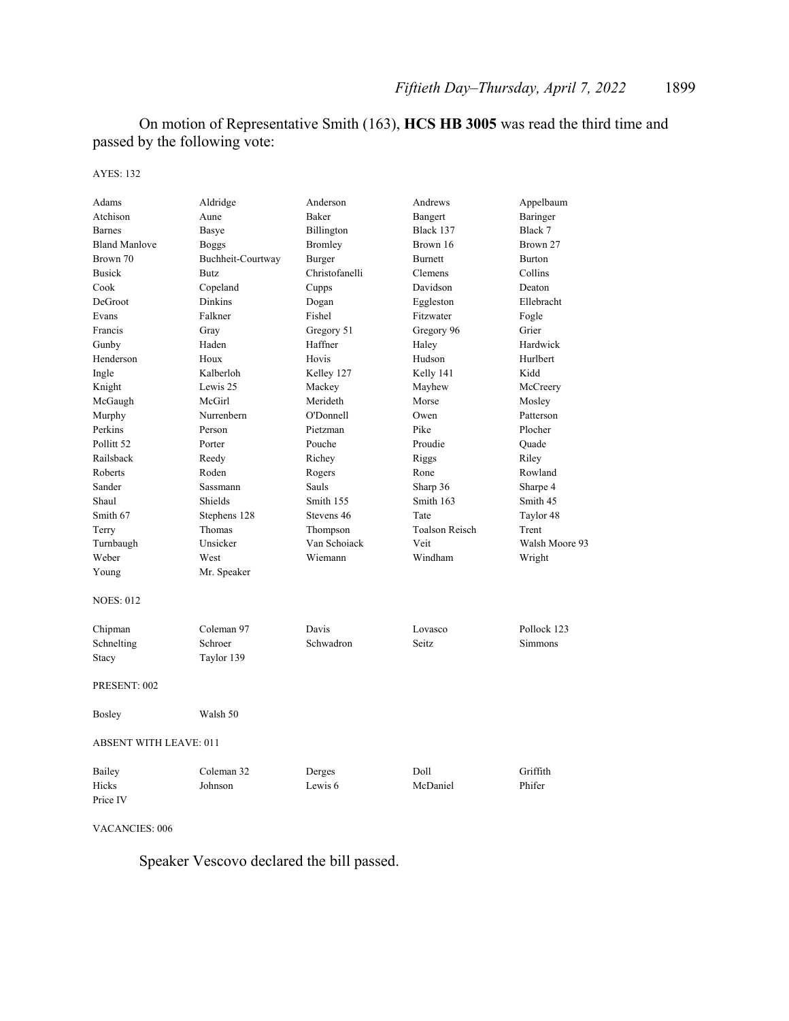On motion of Representative Smith (163), **HCS HB 3005** was read the third time and passed by the following vote:

AYES: 132

| Adams                         | Aldridge          | Anderson       | Andrews               | Appelbaum      |
|-------------------------------|-------------------|----------------|-----------------------|----------------|
| Atchison                      | Aune              | Baker          | Bangert               | Baringer       |
| <b>Barnes</b>                 | Basye             | Billington     | Black 137             | Black 7        |
| <b>Bland Manlove</b>          | <b>Boggs</b>      | Bromley        | Brown 16              | Brown 27       |
| Brown 70                      | Buchheit-Courtway | Burger         | <b>Burnett</b>        | <b>Burton</b>  |
| <b>Busick</b>                 | <b>Butz</b>       | Christofanelli | Clemens               | Collins        |
| Cook                          | Copeland          | Cupps          | Davidson              | Deaton         |
| DeGroot                       | Dinkins           | Dogan          | Eggleston             | Ellebracht     |
| Evans                         | Falkner           | Fishel         | Fitzwater             | Fogle          |
| Francis                       | Gray              | Gregory 51     | Gregory 96            | Grier          |
| Gunby                         | Haden             | Haffner        | Haley                 | Hardwick       |
| Henderson                     | Houx              | Hovis          | Hudson                | Hurlbert       |
| Ingle                         | Kalberloh         | Kelley 127     | Kelly 141             | Kidd           |
| Knight                        | Lewis 25          | Mackey         | Mayhew                | McCreery       |
| McGaugh                       | McGirl            | Merideth       | Morse                 | Mosley         |
| Murphy                        | Nurrenbern        | O'Donnell      | Owen                  | Patterson      |
| Perkins                       | Person            | Pietzman       | Pike                  | Plocher        |
| Pollitt <sub>52</sub>         | Porter            | Pouche         | Proudie               | Quade          |
| Railsback                     | Reedy             | Richey         | Riggs                 | Riley          |
| Roberts                       | Roden             | Rogers         | Rone                  | Rowland        |
| Sander                        | Sassmann          | Sauls          | Sharp 36              | Sharpe 4       |
| Shaul                         | Shields           | Smith 155      | Smith 163             | Smith 45       |
| Smith 67                      | Stephens 128      | Stevens 46     | Tate                  | Taylor 48      |
| Terry                         | Thomas            | Thompson       | <b>Toalson Reisch</b> | Trent          |
| Turnbaugh                     | Unsicker          | Van Schoiack   | Veit                  | Walsh Moore 93 |
| Weber                         | West              | Wiemann        | Windham               | Wright         |
| Young                         | Mr. Speaker       |                |                       |                |
| <b>NOES: 012</b>              |                   |                |                       |                |
| Chipman                       | Coleman 97        | Davis          | Lovasco               | Pollock 123    |
| Schnelting                    | Schroer           | Schwadron      | Seitz                 | Simmons        |
| Stacy                         | Taylor 139        |                |                       |                |
| PRESENT: 002                  |                   |                |                       |                |
| Bosley                        | Walsh 50          |                |                       |                |
| <b>ABSENT WITH LEAVE: 011</b> |                   |                |                       |                |
| Bailey                        | Coleman 32        | Derges         | Doll                  | Griffith       |
| Hicks                         | Johnson           | Lewis 6        | McDaniel              | Phifer         |
| Price IV                      |                   |                |                       |                |

VACANCIES: 006

Speaker Vescovo declared the bill passed.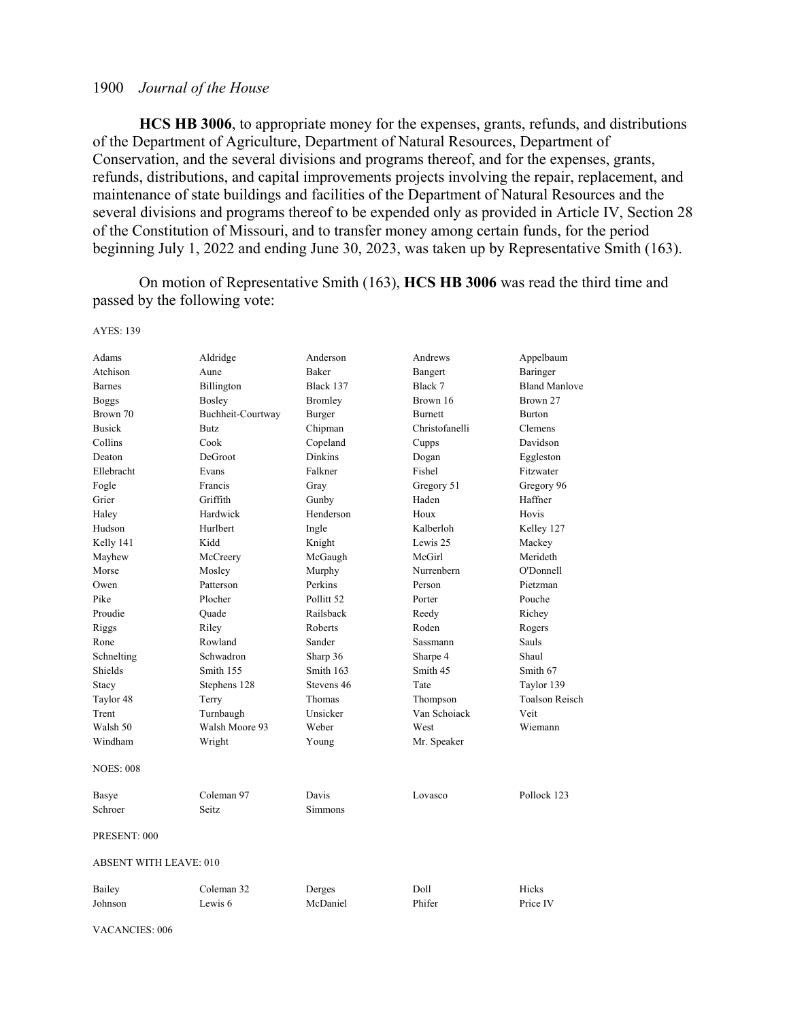**HCS HB 3006**, to appropriate money for the expenses, grants, refunds, and distributions of the Department of Agriculture, Department of Natural Resources, Department of Conservation, and the several divisions and programs thereof, and for the expenses, grants, refunds, distributions, and capital improvements projects involving the repair, replacement, and maintenance of state buildings and facilities of the Department of Natural Resources and the several divisions and programs thereof to be expended only as provided in Article IV, Section 28 of the Constitution of Missouri, and to transfer money among certain funds, for the period beginning July 1, 2022 and ending June 30, 2023, was taken up by Representative Smith (163).

 On motion of Representative Smith (163), **HCS HB 3006** was read the third time and passed by the following vote:

| Adams                  | Aldridge           | Anderson       | Andrews         | Appelbaum             |
|------------------------|--------------------|----------------|-----------------|-----------------------|
| Atchison               | Aune               | Baker          | Bangert         | Baringer              |
| <b>Barnes</b>          | Billington         | Black 137      | Black 7         | <b>Bland Manlove</b>  |
| <b>Boggs</b>           | Bosley             | Bromley        | Brown 16        | Brown 27              |
| Brown 70               | Buchheit-Courtway  | Burger         | <b>Burnett</b>  | Burton                |
| <b>Busick</b>          | <b>Butz</b>        | Chipman        | Christofanelli  | <b>Clemens</b>        |
| Collins                | Cook               | Copeland       | Cupps           | Davidson              |
| Deaton                 | DeGroot            | <b>Dinkins</b> | Dogan           | Eggleston             |
| Ellebracht             | Evans              | Falkner        | Fishel          | Fitzwater             |
| Fogle                  | Francis            | Gray           | Gregory 51      | Gregory 96            |
| Grier                  | Griffith           | Gunby          | Haden           | Haffner               |
| Haley                  | Hardwick           | Henderson      | Houx            | Hovis                 |
| Hudson                 | Hurlbert           | Ingle          | Kalberloh       | Kelley 127            |
| Kelly 141              | Kidd               | Knight         | Lewis 25        | Mackey                |
| Mayhew                 | McCreery           | McGaugh        | McGirl          | Merideth              |
| Morse                  | Mosley             | Murphy         | Nurrenbern      | O'Donnell             |
| Owen                   | Patterson          | Perkins        | Person          | Pietzman              |
| Pike                   | Plocher            | Pollitt 52     | Porter          | Pouche                |
| Proudie                | Quade              | Railsback      | Reedy           | Richey                |
| Riggs                  | Riley              | Roberts        | Roden           | Rogers                |
| Rone                   | Rowland            | Sander         | <b>Sassmann</b> | Sauls                 |
| Schnelting             | Schwadron          | Sharp 36       | Sharpe 4        | Shaul                 |
| Shields                | Smith 155          | Smith 163      | Smith 45        | Smith 67              |
| Stacy                  | Stephens 128       | Stevens 46     | Tate            | Taylor 139            |
| Taylor 48              | Terry              | Thomas         | Thompson        | <b>Toalson Reisch</b> |
| Trent                  | Turnbaugh          | Unsicker       | Van Schoiack    | Veit                  |
| Walsh 50               | Walsh Moore 93     | Weber          | West            | Wiemann               |
| Windham                | Wright             | Young          | Mr. Speaker     |                       |
| <b>NOES: 008</b>       |                    |                |                 |                       |
| Basye                  | Coleman 97         | Davis          | Lovasco         | Pollock 123           |
| Schroer                | Seitz              | Simmons        |                 |                       |
| PRESENT: 000           |                    |                |                 |                       |
| ABSENT WITH LEAVE: 010 |                    |                |                 |                       |
| Bailey                 | Coleman 32         | Derges         | Doll            | Hicks                 |
| Johnson                | Lewis <sub>6</sub> | McDaniel       | Phifer          | Price IV              |

#### AYES: 139

VACANCIES: 006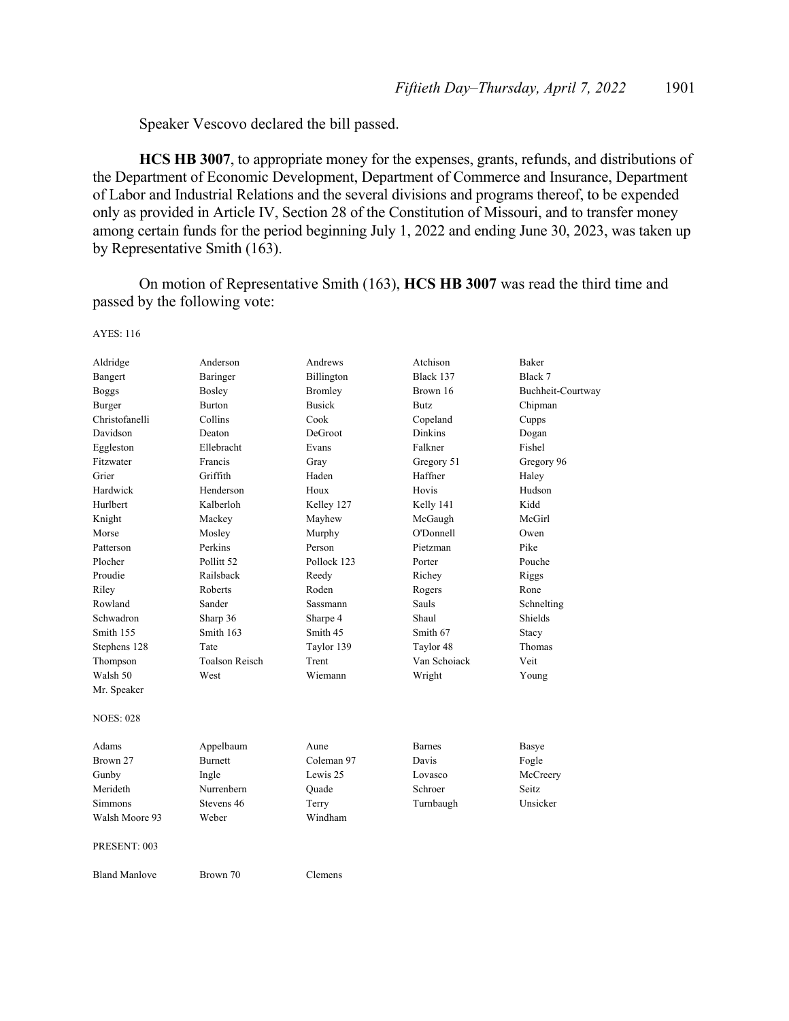Speaker Vescovo declared the bill passed.

AYES: 116

**HCS HB 3007**, to appropriate money for the expenses, grants, refunds, and distributions of the Department of Economic Development, Department of Commerce and Insurance, Department of Labor and Industrial Relations and the several divisions and programs thereof, to be expended only as provided in Article IV, Section 28 of the Constitution of Missouri, and to transfer money among certain funds for the period beginning July 1, 2022 and ending June 30, 2023, was taken up by Representative Smith (163).

 On motion of Representative Smith (163), **HCS HB 3007** was read the third time and passed by the following vote:

| Aldridge             | Anderson              | Andrews         | Atchison      | <b>Baker</b>      |
|----------------------|-----------------------|-----------------|---------------|-------------------|
| Bangert              | Baringer              | Billington      | Black 137     | Black 7           |
| <b>Boggs</b>         | Bosley                | <b>Bromley</b>  | Brown 16      | Buchheit-Courtway |
| Burger               | Burton                | <b>Busick</b>   | <b>Butz</b>   | Chipman           |
| Christofanelli       | Collins               | Cook            | Copeland      | Cupps             |
| Davidson             | Deaton                | DeGroot         | Dinkins       | Dogan             |
| Eggleston            | Ellebracht            | Evans           | Falkner       | Fishel            |
| Fitzwater            | Francis               | Gray            | Gregory 51    | Gregory 96        |
| Grier                | Griffith              | Haden           | Haffner       | Haley             |
| Hardwick             | Henderson             | Houx            | Hovis         | Hudson            |
| Hurlbert             | Kalberloh             | Kelley 127      | Kelly 141     | Kidd              |
| Knight               | Mackey                | Mayhew          | McGaugh       | McGirl            |
| Morse                | Mosley                | Murphy          | O'Donnell     | Owen              |
| Patterson            | Perkins               | Person          | Pietzman      | Pike              |
| Plocher              | Pollitt <sub>52</sub> | Pollock 123     | Porter        | Pouche            |
| Proudie              | Railsback             | Reedy           | Richey        | Riggs             |
| Riley                | Roberts               | Roden           | Rogers        | Rone              |
| Rowland              | Sander                | <b>Sassmann</b> | <b>Sauls</b>  | Schnelting        |
| Schwadron            | Sharp 36              | Sharpe 4        | Shaul         | <b>Shields</b>    |
| Smith 155            | Smith 163             | Smith 45        | Smith 67      | Stacy             |
| Stephens 128         | Tate                  | Taylor 139      | Taylor 48     | Thomas            |
| Thompson             | <b>Toalson Reisch</b> | Trent           | Van Schoiack  | Veit              |
| Walsh 50             | West                  | Wiemann         | Wright        | Young             |
| Mr. Speaker          |                       |                 |               |                   |
| <b>NOES: 028</b>     |                       |                 |               |                   |
| Adams                | Appelbaum             | Aune            | <b>Barnes</b> | Basye             |
| Brown 27             | <b>Burnett</b>        | Coleman 97      | Davis         | Fogle             |
| Gunby                | Ingle                 | Lewis 25        | Lovasco       | McCreery          |
| Merideth             | Nurrenbern            | Quade           | Schroer       | Seitz             |
| <b>Simmons</b>       | Stevens 46            | Terry           | Turnbaugh     | Unsicker          |
| Walsh Moore 93       | Weber                 | Windham         |               |                   |
| PRESENT: 003         |                       |                 |               |                   |
| <b>Bland Manlove</b> | Brown 70              | Clemens         |               |                   |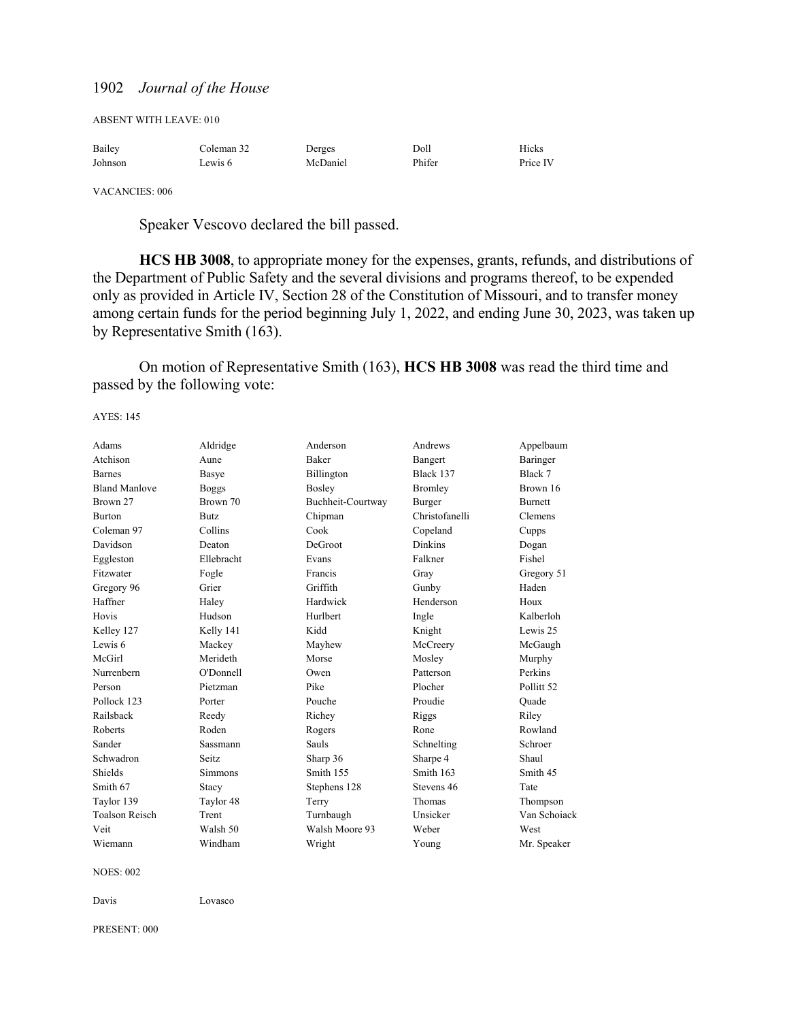| Bailey  | Coleman 32 | Derges   | Doll   | Hicks    |
|---------|------------|----------|--------|----------|
| Johnson | Lewis 6    | McDaniel | Phifer | Price IV |

VACANCIES: 006

Speaker Vescovo declared the bill passed.

**HCS HB 3008**, to appropriate money for the expenses, grants, refunds, and distributions of the Department of Public Safety and the several divisions and programs thereof, to be expended only as provided in Article IV, Section 28 of the Constitution of Missouri, and to transfer money among certain funds for the period beginning July 1, 2022, and ending June 30, 2023, was taken up by Representative Smith (163).

 On motion of Representative Smith (163), **HCS HB 3008** was read the third time and passed by the following vote:

AYES: 145

| Adams                 | Aldridge       | Anderson          | Andrews        | Appelbaum             |
|-----------------------|----------------|-------------------|----------------|-----------------------|
| Atchison              | Aune           | <b>Baker</b>      | Bangert        | Baringer              |
| <b>Barnes</b>         | Basye          | Billington        | Black 137      | Black 7               |
| <b>Bland Manlove</b>  | <b>Boggs</b>   | Bosley            | <b>Bromley</b> | Brown 16              |
| Brown 27              | Brown 70       | Buchheit-Courtway | Burger         | <b>Burnett</b>        |
| <b>Burton</b>         | Butz.          | Chipman           | Christofanelli | Clemens               |
| Coleman 97            | Collins        | Cook              | Copeland       | Cupps                 |
| Davidson              | Deaton         | DeGroot           | <b>Dinkins</b> | Dogan                 |
| Eggleston             | Ellebracht     | Evans             | Falkner        | Fishel                |
| Fitzwater             | Fogle          | Francis           | Gray           | Gregory 51            |
| Gregory 96            | Grier          | Griffith          | Gunby          | Haden                 |
| Haffner               | Haley          | Hardwick          | Henderson      | Houx                  |
| Hovis                 | Hudson         | Hurlbert          | Ingle          | Kalberloh             |
| Kelley 127            | Kelly 141      | Kidd              | Knight         | Lewis 25              |
| Lewis 6               | Mackey         | Mayhew            | McCreery       | McGaugh               |
| McGirl                | Merideth       | Morse             | Mosley         | Murphy                |
| Nurrenbern            | O'Donnell      | Owen              | Patterson      | Perkins               |
| Person                | Pietzman       | Pike              | Plocher        | Pollitt <sub>52</sub> |
| Pollock 123           | Porter         | Pouche            | Proudie        | Ouade                 |
| Railsback             | Reedy          | Richey            | Riggs          | Riley                 |
| Roberts               | Roden          | Rogers            | Rone           | Rowland               |
| Sander                | Sassmann       | Sauls             | Schnelting     | Schroer               |
| Schwadron             | Seitz.         | Sharp 36          | Sharpe 4       | Shaul                 |
| Shields               | <b>Simmons</b> | Smith 155         | Smith 163      | Smith 45              |
| Smith 67              | Stacy          | Stephens 128      | Stevens 46     | Tate                  |
| Taylor 139            | Taylor 48      | Terry             | Thomas         | Thompson              |
| <b>Toalson Reisch</b> | Trent          | Turnbaugh         | Unsicker       | Van Schoiack          |
| Veit                  | Walsh 50       | Walsh Moore 93    | Weber          | West                  |
| Wiemann               | Windham        | Wright            | Young          | Mr. Speaker           |
|                       |                |                   |                |                       |

NOES: 002

Davis Lovasco

PRESENT: 000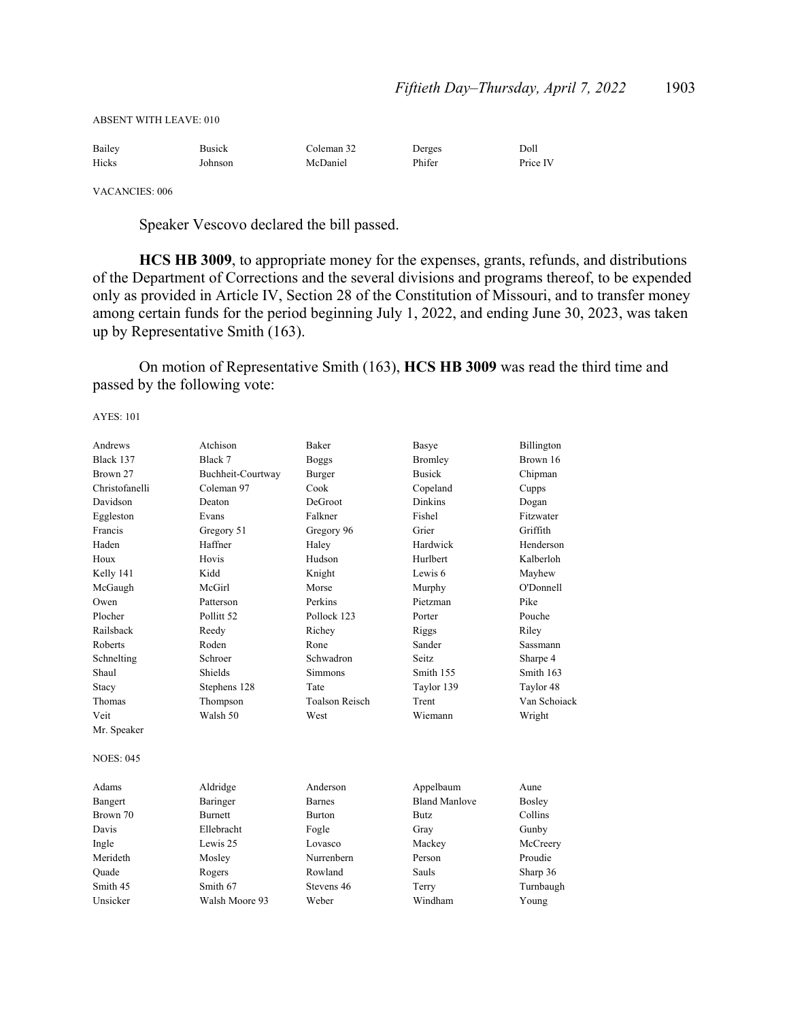ABSENT WITH LEAVE: 010

| Bailey | <b>Busick</b> | Coleman 32 | Derges | Doll     |
|--------|---------------|------------|--------|----------|
| Hicks  | Johnson       | McDaniel   | Phifer | Price IV |

VACANCIES: 006

Speaker Vescovo declared the bill passed.

**HCS HB 3009**, to appropriate money for the expenses, grants, refunds, and distributions of the Department of Corrections and the several divisions and programs thereof, to be expended only as provided in Article IV, Section 28 of the Constitution of Missouri, and to transfer money among certain funds for the period beginning July 1, 2022, and ending June 30, 2023, was taken up by Representative Smith (163).

 On motion of Representative Smith (163), **HCS HB 3009** was read the third time and passed by the following vote:

| Andrews          | Atchison              | Baker                 | Basye                | Billington   |
|------------------|-----------------------|-----------------------|----------------------|--------------|
| Black 137        | Black 7               | <b>Boggs</b>          | Bromley              | Brown 16     |
| Brown 27         | Buchheit-Courtway     | Burger                | <b>Busick</b>        | Chipman      |
| Christofanelli   | Coleman 97            | Cook                  | Copeland             | Cupps        |
| Davidson         | Deaton                | DeGroot               | <b>Dinkins</b>       | Dogan        |
| Eggleston        | Evans                 | Falkner               | Fishel               | Fitzwater    |
| Francis          | Gregory 51            | Gregory 96            | Grier                | Griffith     |
| Haden            | Haffner               | Haley                 | Hardwick             | Henderson    |
| Houx             | Hovis                 | Hudson                | Hurlbert             | Kalberloh    |
| Kelly 141        | Kidd                  | Knight                | Lewis 6              | Mayhew       |
| McGaugh          | McGirl                | Morse                 | Murphy               | O'Donnell    |
| Owen             | Patterson             | Perkins               | Pietzman             | Pike         |
| Plocher          | Pollitt <sub>52</sub> | Pollock 123           | Porter               | Pouche       |
| Railsback        | Reedy                 | Richey                | Riggs                | Riley        |
| Roberts          | Roden                 | Rone                  | Sander               | Sassmann     |
| Schnelting       | Schroer               | Schwadron             | Seitz                | Sharpe 4     |
| Shaul            | Shields               | Simmons               | Smith 155            | Smith 163    |
| Stacy            | Stephens 128          | Tate                  | Taylor 139           | Taylor 48    |
| Thomas           | Thompson              | <b>Toalson Reisch</b> | Trent                | Van Schoiack |
| Veit             | Walsh 50              | West                  | Wiemann              | Wright       |
| Mr. Speaker      |                       |                       |                      |              |
| <b>NOES: 045</b> |                       |                       |                      |              |
| Adams            | Aldridge              | Anderson              | Appelbaum            | Aune         |
| Bangert          | Baringer              | <b>Barnes</b>         | <b>Bland Manlove</b> | Bosley       |
| Brown 70         | <b>Burnett</b>        | <b>Burton</b>         | <b>Butz</b>          | Collins      |
| Davis            | Ellebracht            | Fogle                 | Gray                 | Gunby        |
| Ingle            | Lewis 25              | Lovasco               | Mackey               | McCreery     |
| Merideth         | Mosley                | Nurrenbern            | Person               | Proudie      |
| Quade            | Rogers                | Rowland               | Sauls                | Sharp 36     |
| Smith 45         | Smith 67              | Stevens 46            | Terry                | Turnbaugh    |
| Unsicker         | Walsh Moore 93        | Weber                 | Windham              | Young        |
|                  |                       |                       |                      |              |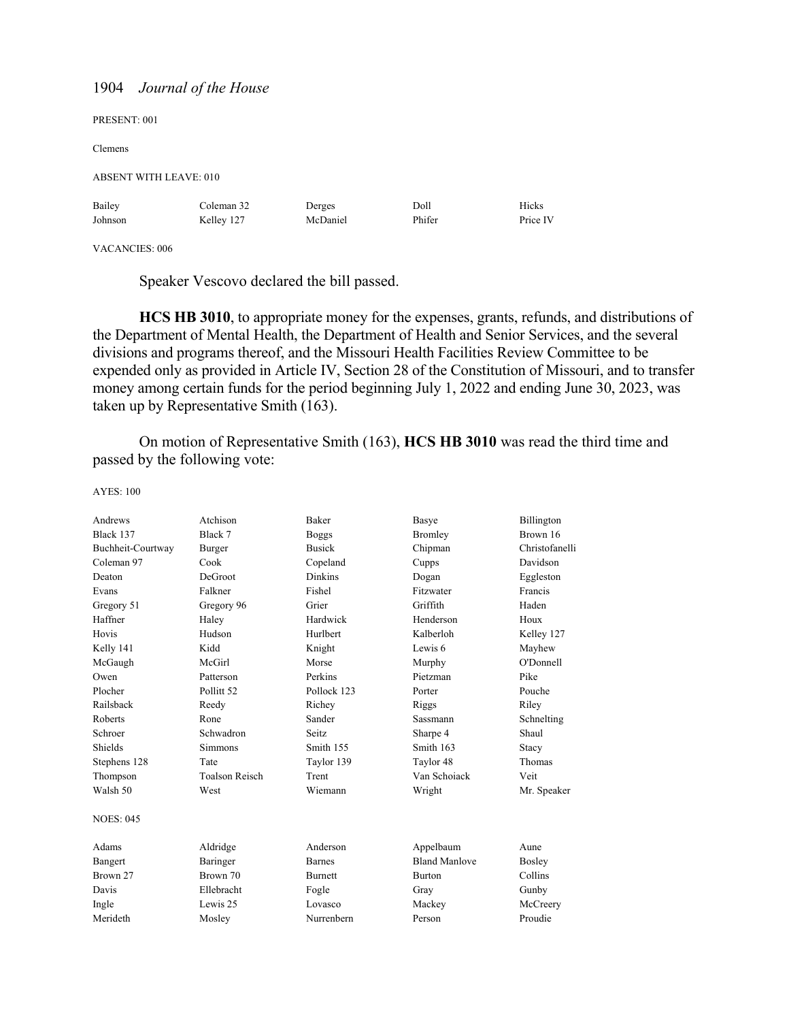| PRESENT: 001           |            |          |        |          |
|------------------------|------------|----------|--------|----------|
| Clemens                |            |          |        |          |
| ABSENT WITH LEAVE: 010 |            |          |        |          |
| Bailey                 | Coleman 32 | Derges   | Doll   | Hicks    |
| Johnson                | Kelley 127 | McDaniel | Phifer | Price IV |
|                        |            |          |        |          |

VACANCIES: 006

Speaker Vescovo declared the bill passed.

**HCS HB 3010**, to appropriate money for the expenses, grants, refunds, and distributions of the Department of Mental Health, the Department of Health and Senior Services, and the several divisions and programs thereof, and the Missouri Health Facilities Review Committee to be expended only as provided in Article IV, Section 28 of the Constitution of Missouri, and to transfer money among certain funds for the period beginning July 1, 2022 and ending June 30, 2023, was taken up by Representative Smith (163).

 On motion of Representative Smith (163), **HCS HB 3010** was read the third time and passed by the following vote:

| AYES: 100 |  |
|-----------|--|
|           |  |

| Andrews           | Atchison              | <b>Baker</b>   | Basye                | Billington     |
|-------------------|-----------------------|----------------|----------------------|----------------|
| Black 137         | Black 7               | <b>Boggs</b>   | <b>Bromley</b>       | Brown 16       |
| Buchheit-Courtway | Burger                | <b>Busick</b>  | Chipman              | Christofanelli |
| Coleman 97        | Cook                  | Copeland       | Cupps                | Davidson       |
| Deaton            | DeGroot               | <b>Dinkins</b> | Dogan                | Eggleston      |
| Evans             | Falkner               | Fishel         | Fitzwater            | Francis        |
| Gregory 51        | Gregory 96            | Grier          | Griffith             | Haden          |
| Haffner           | Haley                 | Hardwick       | Henderson            | Houx           |
| Hovis             | Hudson                | Hurlbert       | Kalberloh            | Kelley 127     |
| Kelly 141         | Kidd                  | Knight         | Lewis 6              | Mayhew         |
| McGaugh           | McGirl                | Morse          | Murphy               | O'Donnell      |
| Owen              | Patterson             | Perkins        | Pietzman             | Pike           |
| Plocher           | Pollitt <sub>52</sub> | Pollock 123    | Porter               | Pouche         |
| Railsback         | Reedy                 | Richey         | Riggs                | Riley          |
| Roberts           | Rone                  | Sander         | Sassmann             | Schnelting     |
| Schroer           | Schwadron             | Seitz          | Sharpe 4             | Shaul          |
| Shields           | <b>Simmons</b>        | Smith 155      | Smith 163            | Stacy          |
| Stephens 128      | Tate                  | Taylor 139     | Taylor 48            | Thomas         |
| Thompson          | <b>Toalson Reisch</b> | Trent          | Van Schoiack         | Veit           |
| Walsh 50          | West                  | Wiemann        | Wright               | Mr. Speaker    |
| NOES: 045         |                       |                |                      |                |
| Adams             | Aldridge              | Anderson       | Appelbaum            | Aune           |
| Bangert           | Baringer              | <b>Barnes</b>  | <b>Bland Manlove</b> | Boslev         |
| Brown 27          | Brown 70              | <b>Burnett</b> | <b>Burton</b>        | Collins        |
| Davis             | Ellebracht            | Fogle          | Gray                 | Gunby          |
| Ingle             | Lewis 25              | Lovasco        | Mackey               | McCreery       |
| Merideth          | Mosley                | Nurrenbern     | Person               | Proudie        |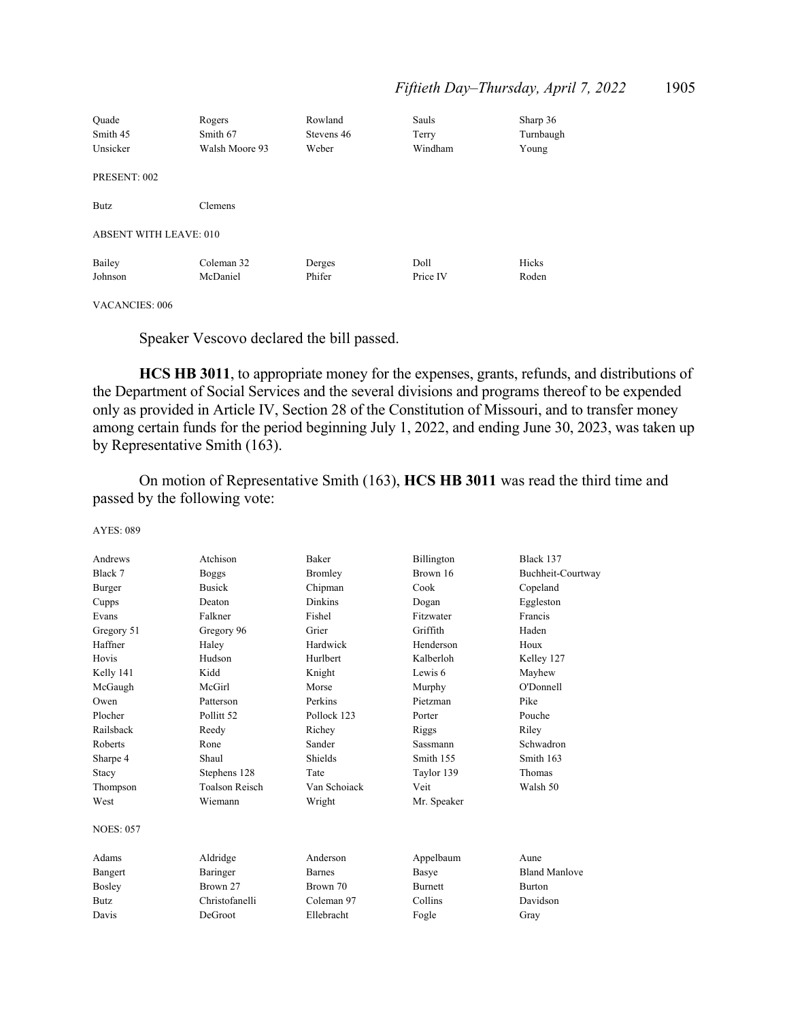| Quade<br>Smith 45<br>Unsicker | Rogers<br>Smith 67<br>Walsh Moore 93 | Rowland<br>Stevens 46<br>Weber | Sauls<br>Terry<br>Windham | Sharp 36<br>Turnbaugh<br>Young |
|-------------------------------|--------------------------------------|--------------------------------|---------------------------|--------------------------------|
| PRESENT: 002                  |                                      |                                |                           |                                |
| Butz                          | Clemens                              |                                |                           |                                |
| <b>ABSENT WITH LEAVE: 010</b> |                                      |                                |                           |                                |
| Bailey<br>Johnson             | Coleman 32<br>McDaniel               | Derges<br>Phifer               | Doll<br>Price IV          | Hicks<br>Roden                 |

VACANCIES: 006

Speaker Vescovo declared the bill passed.

**HCS HB 3011**, to appropriate money for the expenses, grants, refunds, and distributions of the Department of Social Services and the several divisions and programs thereof to be expended only as provided in Article IV, Section 28 of the Constitution of Missouri, and to transfer money among certain funds for the period beginning July 1, 2022, and ending June 30, 2023, was taken up by Representative Smith (163).

 On motion of Representative Smith (163), **HCS HB 3011** was read the third time and passed by the following vote:

| Andrews          | Atchison              | Baker          | Billington      | Black 137            |
|------------------|-----------------------|----------------|-----------------|----------------------|
| Black 7          | <b>Boggs</b>          | Bromley        | Brown 16        | Buchheit-Courtway    |
| Burger           | <b>Busick</b>         | Chipman        | Cook            | Copeland             |
| Cupps            | Deaton                | <b>Dinkins</b> | Dogan           | Eggleston            |
| Evans            | Falkner               | Fishel         | Fitzwater       | Francis              |
| Gregory 51       | Gregory 96            | Grier          | Griffith        | Haden                |
| Haffner          | Haley                 | Hardwick       | Henderson       | Houx                 |
| Hovis            | Hudson                | Hurlbert       | Kalberloh       | Kelley 127           |
| Kelly 141        | Kidd                  | Knight         | Lewis 6         | Mayhew               |
| McGaugh          | McGirl                | Morse          | Murphy          | O'Donnell            |
| Owen             | Patterson             | Perkins        | Pietzman        | Pike                 |
| Plocher          | Pollitt <sub>52</sub> | Pollock 123    | Porter          | Pouche               |
| Railsback        | Reedy                 | Richey         | Riggs           | Riley                |
| Roberts          | Rone                  | Sander         | <b>Sassmann</b> | Schwadron            |
| Sharpe 4         | Shaul                 | Shields        | Smith 155       | Smith 163            |
| Stacy            | Stephens 128          | Tate           | Taylor 139      | Thomas               |
| Thompson         | <b>Toalson Reisch</b> | Van Schoiack   | Veit            | Walsh 50             |
| West             | Wiemann               | Wright         | Mr. Speaker     |                      |
| <b>NOES: 057</b> |                       |                |                 |                      |
| Adams            | Aldridge              | Anderson       | Appelbaum       | Aune                 |
| Bangert          | Baringer              | <b>Barnes</b>  | Basye           | <b>Bland Manlove</b> |
| Bosley           | Brown 27              | Brown 70       | <b>Burnett</b>  | <b>Burton</b>        |
| <b>Butz</b>      | Christofanelli        | Coleman 97     | Collins         | Davidson             |
| Davis            | DeGroot               | Ellebracht     | Fogle           | Gray                 |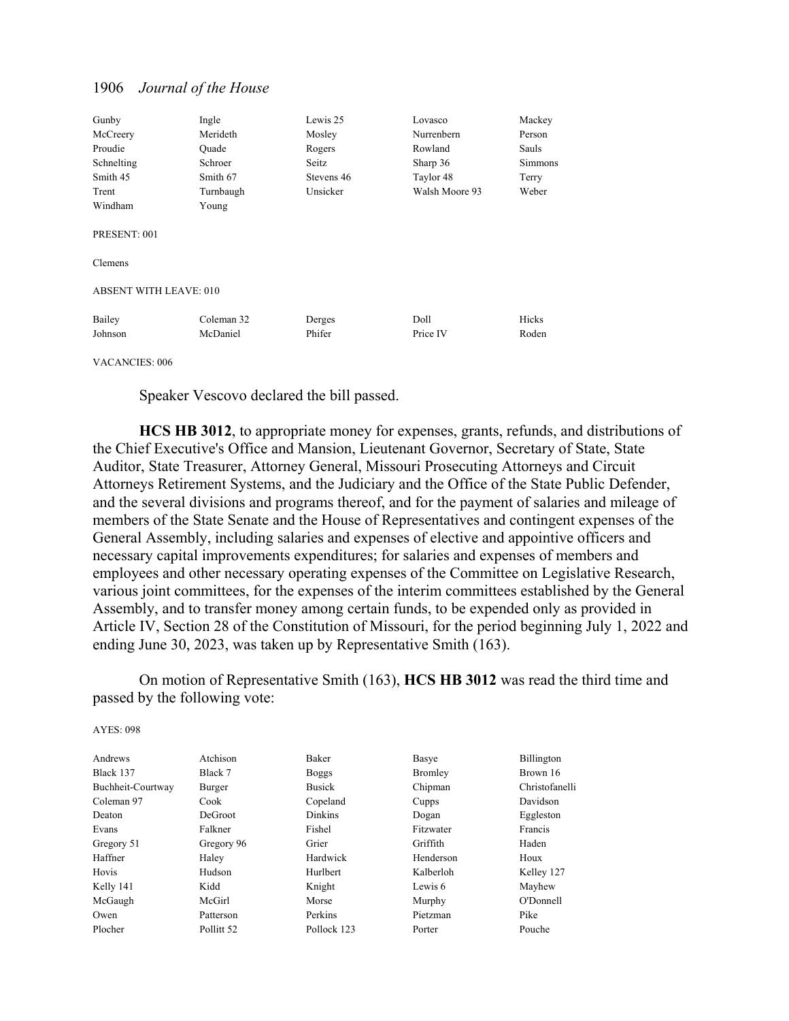| Gunby                         | Ingle      | Lewis 25   | Lovasco        | Mackey  |
|-------------------------------|------------|------------|----------------|---------|
| McCreery                      | Merideth   | Mosley     | Nurrenbern     | Person  |
| Proudie                       | Quade      | Rogers     | Rowland        | Sauls   |
| Schnelting                    | Schroer    | Seitz      | Sharp 36       | Simmons |
| Smith 45                      | Smith 67   | Stevens 46 | Taylor 48      | Terry   |
| Trent                         | Turnbaugh  | Unsicker   | Walsh Moore 93 | Weber   |
| Windham                       | Young      |            |                |         |
| PRESENT: 001                  |            |            |                |         |
| Clemens                       |            |            |                |         |
| <b>ABSENT WITH LEAVE: 010</b> |            |            |                |         |
| Bailey                        | Coleman 32 | Derges     | Doll           | Hicks   |
| Johnson                       | McDaniel   | Phifer     | Price IV       | Roden   |
|                               |            |            |                |         |

VACANCIES: 006

Speaker Vescovo declared the bill passed.

**HCS HB 3012**, to appropriate money for expenses, grants, refunds, and distributions of the Chief Executive's Office and Mansion, Lieutenant Governor, Secretary of State, State Auditor, State Treasurer, Attorney General, Missouri Prosecuting Attorneys and Circuit Attorneys Retirement Systems, and the Judiciary and the Office of the State Public Defender, and the several divisions and programs thereof, and for the payment of salaries and mileage of members of the State Senate and the House of Representatives and contingent expenses of the General Assembly, including salaries and expenses of elective and appointive officers and necessary capital improvements expenditures; for salaries and expenses of members and employees and other necessary operating expenses of the Committee on Legislative Research, various joint committees, for the expenses of the interim committees established by the General Assembly, and to transfer money among certain funds, to be expended only as provided in Article IV, Section 28 of the Constitution of Missouri, for the period beginning July 1, 2022 and ending June 30, 2023, was taken up by Representative Smith (163).

 On motion of Representative Smith (163), **HCS HB 3012** was read the third time and passed by the following vote:

| Andrews           | Atchison   | Baker          | Basye     | Billington     |
|-------------------|------------|----------------|-----------|----------------|
| Black 137         | Black 7    | <b>Boggs</b>   | Bromley   | Brown 16       |
| Buchheit-Courtway | Burger     | <b>Busick</b>  | Chipman   | Christofanelli |
| Coleman 97        | Cook       | Copeland       | Cupps     | Davidson       |
| Deaton            | DeGroot    | <b>Dinkins</b> | Dogan     | Eggleston      |
| Evans             | Falkner    | Fishel         | Fitzwater | Francis        |
| Gregory 51        | Gregory 96 | Grier          | Griffith  | Haden          |
| Haffner           | Haley      | Hardwick       | Henderson | Houx           |
| Hovis             | Hudson     | Hurlbert       | Kalberloh | Kelley 127     |
| Kelly 141         | Kidd       | Knight         | Lewis 6   | Mayhew         |
| McGaugh           | McGirl     | Morse          | Murphy    | O'Donnell      |
| Owen              | Patterson  | Perkins        | Pietzman  | Pike           |
| Plocher           | Pollitt 52 | Pollock 123    | Porter    | Pouche         |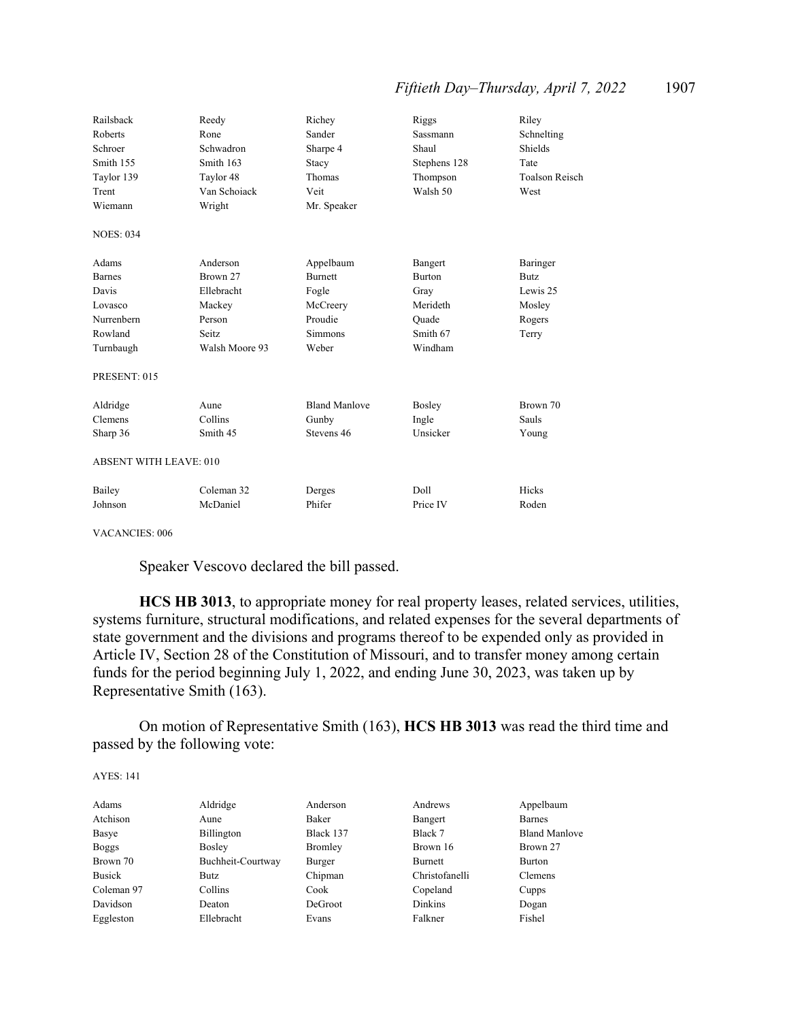## *Fiftieth Day–Thursday, April 7, 2022* 1907

| Railsback                     | Reedy          | Richey               | Riggs         | Riley                 |
|-------------------------------|----------------|----------------------|---------------|-----------------------|
| Roberts                       | Rone           | Sander               | Sassmann      | Schnelting            |
| Schroer                       | Schwadron      | Sharpe 4             | Shaul         | Shields               |
| Smith 155                     | Smith 163      | Stacy                | Stephens 128  | Tate                  |
| Taylor 139                    | Taylor 48      | Thomas               | Thompson      | <b>Toalson Reisch</b> |
| Trent                         | Van Schoiack   | Veit                 | Walsh 50      | West                  |
| Wiemann                       | Wright         | Mr. Speaker          |               |                       |
| <b>NOES: 034</b>              |                |                      |               |                       |
| Adams                         | Anderson       | Appelbaum            | Bangert       | Baringer              |
| <b>Barnes</b>                 | Brown 27       | <b>Burnett</b>       | <b>Burton</b> | <b>Butz</b>           |
| Davis                         | Ellebracht     | Fogle                | Gray          | Lewis 25              |
| Lovasco                       | Mackey         | McCreery             | Merideth      | Mosley                |
| Nurrenbern                    | Person         | Proudie              | Ouade         | Rogers                |
| Rowland                       | Seitz.         | <b>Simmons</b>       | Smith 67      | Terry                 |
| Turnbaugh                     | Walsh Moore 93 | Weber                | Windham       |                       |
| PRESENT: 015                  |                |                      |               |                       |
| Aldridge                      | Aune           | <b>Bland Manlove</b> | Bosley        | Brown 70              |
| Clemens                       | Collins        | Gunby                | Ingle         | Sauls                 |
| Sharp 36                      | Smith 45       | Stevens 46           | Unsicker      | Young                 |
| <b>ABSENT WITH LEAVE: 010</b> |                |                      |               |                       |
| Bailey                        | Coleman 32     | Derges               | Doll          | Hicks                 |
| Johnson                       | McDaniel       | Phifer               | Price IV      | Roden                 |

VACANCIES: 006

Speaker Vescovo declared the bill passed.

**HCS HB 3013**, to appropriate money for real property leases, related services, utilities, systems furniture, structural modifications, and related expenses for the several departments of state government and the divisions and programs thereof to be expended only as provided in Article IV, Section 28 of the Constitution of Missouri, and to transfer money among certain funds for the period beginning July 1, 2022, and ending June 30, 2023, was taken up by Representative Smith (163).

 On motion of Representative Smith (163), **HCS HB 3013** was read the third time and passed by the following vote:

| Adams        | Aldridge          | Anderson  | Andrews        | Appelbaum            |
|--------------|-------------------|-----------|----------------|----------------------|
| Atchison     | Aune              | Baker     | Bangert        | <b>Barnes</b>        |
| Basye        | Billington        | Black 137 | Black 7        | <b>Bland Manlove</b> |
| <b>Boggs</b> | Bosley            | Bromley   | Brown 16       | Brown 27             |
| Brown 70     | Buchheit-Courtway | Burger    | Burnett        | Burton               |
| Busick       | Butz              | Chipman   | Christofanelli | Clemens              |
| Coleman 97   | Collins           | Cook      | Copeland       | Cupps                |
| Davidson     | Deaton            | DeGroot   | Dinkins        | Dogan                |
| Eggleston    | Ellebracht        | Evans     | Falkner        | Fishel               |
|              |                   |           |                |                      |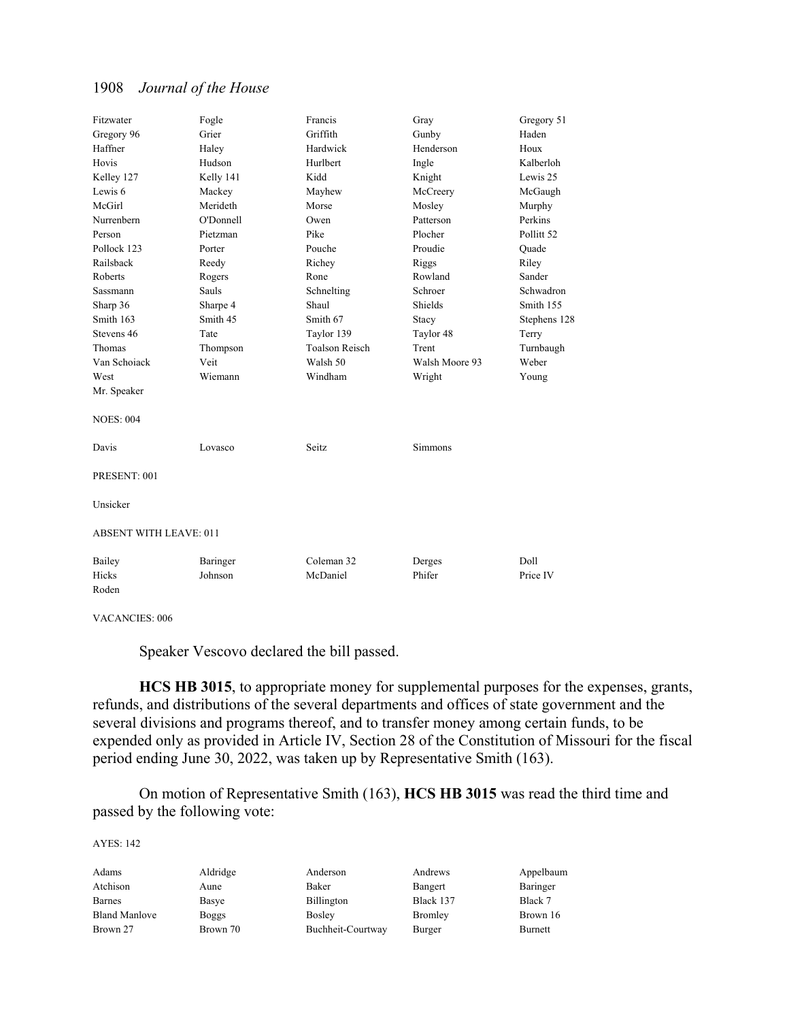| Fitzwater                     | Fogle     | Francis               | Gray           | Gregory 51            |
|-------------------------------|-----------|-----------------------|----------------|-----------------------|
| Gregory 96                    | Grier     | Griffith              | Gunby          | Haden                 |
| Haffner                       | Haley     | Hardwick              | Henderson      | Houx                  |
| Hovis                         | Hudson    | Hurlbert              | Ingle          | Kalberloh             |
| Kelley 127                    | Kelly 141 | Kidd                  | Knight         | Lewis 25              |
| Lewis 6                       | Mackey    | Mayhew                | McCreery       | McGaugh               |
| McGirl                        | Merideth  | Morse                 | Mosley         | Murphy                |
| Nurrenbern                    | O'Donnell | Owen                  | Patterson      | Perkins               |
| Person                        | Pietzman  | Pike                  | Plocher        | Pollitt <sub>52</sub> |
| Pollock 123                   | Porter    | Pouche                | Proudie        | Ouade                 |
| Railsback                     | Reedy     | Richey                | Riggs          | Riley                 |
| Roberts                       | Rogers    | Rone                  | Rowland        | Sander                |
| Sassmann                      | Sauls     | Schnelting            | Schroer        | Schwadron             |
| Sharp 36                      | Sharpe 4  | Shaul                 | Shields        | Smith 155             |
| Smith 163                     | Smith 45  | Smith 67              | Stacy          | Stephens 128          |
| Stevens 46                    | Tate      | Taylor 139            | Taylor 48      | Terry                 |
| Thomas                        | Thompson  | <b>Toalson Reisch</b> | Trent          | Turnbaugh             |
| Van Schoiack                  | Veit      | Walsh 50              | Walsh Moore 93 | Weber                 |
| West                          | Wiemann   | Windham               | Wright         | Young                 |
| Mr. Speaker                   |           |                       |                |                       |
| <b>NOES: 004</b>              |           |                       |                |                       |
| Davis                         | Lovasco   | Seitz                 | Simmons        |                       |
| PRESENT: 001                  |           |                       |                |                       |
| Unsicker                      |           |                       |                |                       |
| <b>ABSENT WITH LEAVE: 011</b> |           |                       |                |                       |
| Bailey                        | Baringer  | Coleman 32            | Derges         | Doll                  |
| Hicks                         | Johnson   | McDaniel              | Phifer         | Price IV              |
| Roden                         |           |                       |                |                       |

VACANCIES: 006

Speaker Vescovo declared the bill passed.

**HCS HB 3015**, to appropriate money for supplemental purposes for the expenses, grants, refunds, and distributions of the several departments and offices of state government and the several divisions and programs thereof, and to transfer money among certain funds, to be expended only as provided in Article IV, Section 28 of the Constitution of Missouri for the fiscal period ending June 30, 2022, was taken up by Representative Smith (163).

 On motion of Representative Smith (163), **HCS HB 3015** was read the third time and passed by the following vote:

| Adams                | Aldridge     | Anderson          | Andrews        | Appelbaum |
|----------------------|--------------|-------------------|----------------|-----------|
| Atchison             | Aune         | Baker             | Bangert        | Baringer  |
| <b>Barnes</b>        | Basye        | <b>Billington</b> | Black 137      | Black 7   |
| <b>Bland Manlove</b> | <b>Boggs</b> | <b>Bosley</b>     | <b>Bromley</b> | Brown 16  |
| Brown 27             | Brown 70     | Buchheit-Courtway | Burger         | Burnett   |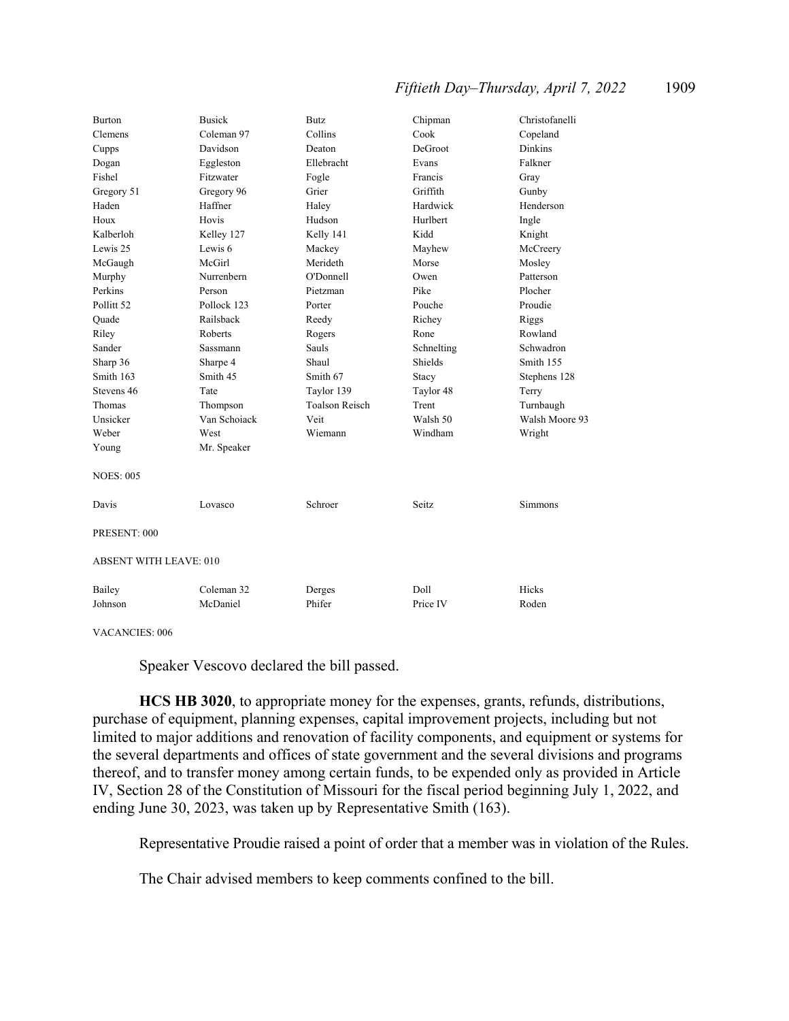## *Fiftieth Day–Thursday, April 7, 2022* 1909

| Burton                        | <b>Busick</b> | Butz                  | Chipman    | Christofanelli |
|-------------------------------|---------------|-----------------------|------------|----------------|
| Clemens                       | Coleman 97    | Collins               | Cook       | Copeland       |
| Cupps                         | Davidson      | Deaton                | DeGroot    | <b>Dinkins</b> |
| Dogan                         | Eggleston     | Ellebracht            | Evans      | Falkner        |
| Fishel                        | Fitzwater     | Fogle                 | Francis    | Gray           |
| Gregory 51                    | Gregory 96    | Grier                 | Griffith   | Gunby          |
| Haden                         | Haffner       | Haley                 | Hardwick   | Henderson      |
| Houx                          | Hovis         | Hudson                | Hurlbert   | Ingle          |
| Kalberloh                     | Kelley 127    | Kelly 141             | Kidd       | Knight         |
| Lewis 25                      | Lewis 6       | Mackey                | Mayhew     | McCreery       |
| McGaugh                       | McGirl        | Merideth              | Morse      | Mosley         |
| Murphy                        | Nurrenbern    | O'Donnell             | Owen       | Patterson      |
| Perkins                       | Person        | Pietzman              | Pike       | Plocher        |
| Pollitt <sub>52</sub>         | Pollock 123   | Porter                | Pouche     | Proudie        |
| Quade                         | Railsback     | Reedy                 | Richey     | Riggs          |
| Riley                         | Roberts       | Rogers                | Rone       | Rowland        |
| Sander                        | Sassmann      | Sauls                 | Schnelting | Schwadron      |
| Sharp 36                      | Sharpe 4      | Shaul                 | Shields    | Smith 155      |
| Smith 163                     | Smith 45      | Smith 67              | Stacy      | Stephens 128   |
| Stevens 46                    | Tate          | Taylor 139            | Taylor 48  | Terry          |
| Thomas                        | Thompson      | <b>Toalson Reisch</b> | Trent      | Turnbaugh      |
| Unsicker                      | Van Schoiack  | Veit                  | Walsh 50   | Walsh Moore 93 |
| Weber                         | West          | Wiemann               | Windham    | Wright         |
| Young                         | Mr. Speaker   |                       |            |                |
| <b>NOES: 005</b>              |               |                       |            |                |
| Davis                         | Lovasco       | Schroer               | Seitz      | Simmons        |
| PRESENT: 000                  |               |                       |            |                |
| <b>ABSENT WITH LEAVE: 010</b> |               |                       |            |                |
| Bailey                        | Coleman 32    | Derges                | Doll       | Hicks          |
| Johnson                       | McDaniel      | Phifer                | Price IV   | Roden          |

#### VACANCIES: 006

Speaker Vescovo declared the bill passed.

**HCS HB 3020**, to appropriate money for the expenses, grants, refunds, distributions, purchase of equipment, planning expenses, capital improvement projects, including but not limited to major additions and renovation of facility components, and equipment or systems for the several departments and offices of state government and the several divisions and programs thereof, and to transfer money among certain funds, to be expended only as provided in Article IV, Section 28 of the Constitution of Missouri for the fiscal period beginning July 1, 2022, and ending June 30, 2023, was taken up by Representative Smith (163).

Representative Proudie raised a point of order that a member was in violation of the Rules.

The Chair advised members to keep comments confined to the bill.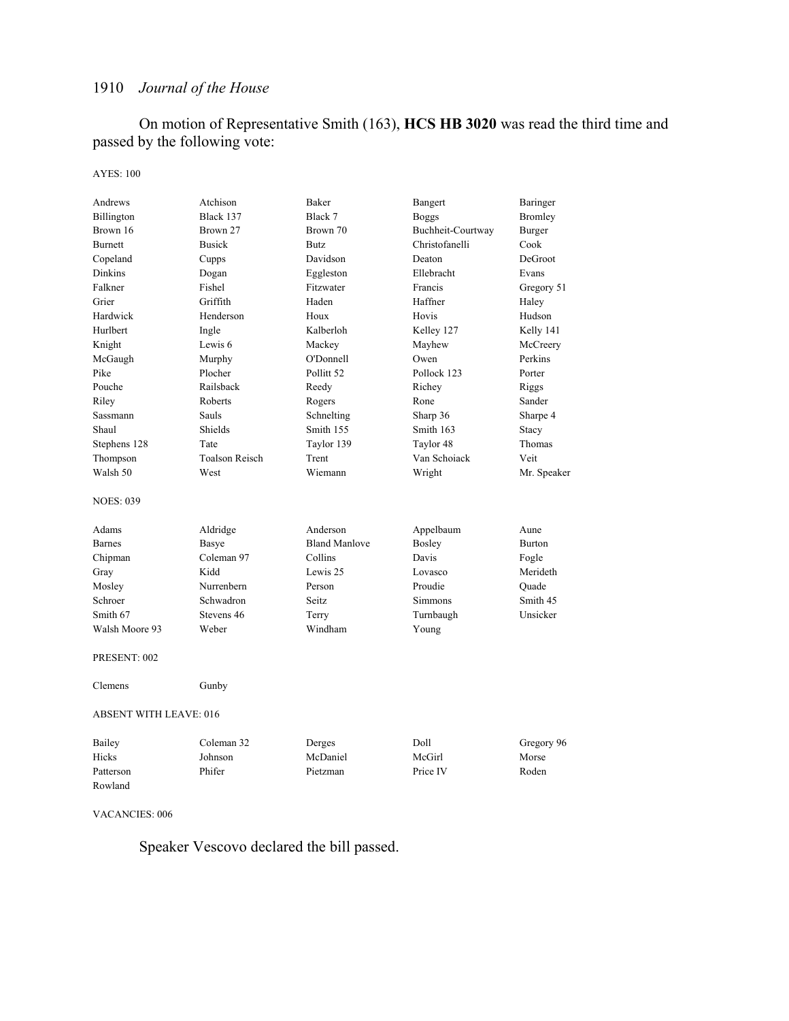On motion of Representative Smith (163), **HCS HB 3020** was read the third time and passed by the following vote:

#### AYES: 100

| Andrews                       | Atchison              | Baker                 | Bangert           | Baringer      |
|-------------------------------|-----------------------|-----------------------|-------------------|---------------|
| Billington                    | Black 137             | Black 7               | <b>Boggs</b>      | Bromley       |
| Brown 16                      | Brown 27              | Brown 70              | Buchheit-Courtway | Burger        |
| Burnett                       | <b>Busick</b>         | <b>Butz</b>           | Christofanelli    | Cook          |
| Copeland                      | Cupps                 | Davidson              | Deaton            | DeGroot       |
| <b>Dinkins</b>                | Dogan                 | Eggleston             | Ellebracht        | Evans         |
| Falkner                       | Fishel                | Fitzwater             | Francis           | Gregory 51    |
| Grier                         | Griffith              | Haden                 | Haffner           | Haley         |
| Hardwick                      | Henderson             | Houx                  | Hovis             | Hudson        |
| Hurlbert                      | Ingle                 | Kalberloh             | Kelley 127        | Kelly 141     |
| Knight                        | Lewis 6               | Mackey                | Mayhew            | McCreery      |
| McGaugh                       | Murphy                | O'Donnell             | Owen              | Perkins       |
| Pike                          | Plocher               | Pollitt <sub>52</sub> | Pollock 123       | Porter        |
| Pouche                        | Railsback             | Reedy                 | Richey            | Riggs         |
| Riley                         | Roberts               | Rogers                | Rone              | Sander        |
| <b>Sassmann</b>               | Sauls                 | Schnelting            | Sharp 36          | Sharpe 4      |
| Shaul                         | Shields               | Smith 155             | Smith 163         | Stacy         |
| Stephens 128                  | Tate                  | Taylor 139            | Taylor 48         | Thomas        |
| Thompson                      | <b>Toalson Reisch</b> | Trent                 | Van Schoiack      | Veit          |
| Walsh 50                      | West                  | Wiemann               | Wright            | Mr. Speaker   |
| <b>NOES: 039</b>              |                       |                       |                   |               |
| Adams                         | Aldridge              | Anderson              | Appelbaum         | Aune          |
| <b>Barnes</b>                 | Basye                 | <b>Bland Manlove</b>  | Bosley            | <b>Burton</b> |
| Chipman                       | Coleman 97            | Collins               | Davis             | Fogle         |
| Gray                          | Kidd                  | Lewis 25              | Lovasco           | Merideth      |
| Mosley                        | Nurrenbern            | Person                | Proudie           | Ouade         |
| Schroer                       | Schwadron             | Seitz                 | <b>Simmons</b>    | Smith 45      |
| Smith 67                      | Stevens 46            | Terry                 | Turnbaugh         | Unsicker      |
| Walsh Moore 93                | Weber                 | Windham               | Young             |               |
| PRESENT: 002                  |                       |                       |                   |               |
| Clemens                       | Gunby                 |                       |                   |               |
| <b>ABSENT WITH LEAVE: 016</b> |                       |                       |                   |               |
| Bailey                        | Coleman 32            | Derges                | Doll              | Gregory 96    |
| Hicks                         | Johnson               | McDaniel              | McGirl            | Morse         |
| Patterson                     | Phifer                | Pietzman              | Price IV          | Roden         |
| Rowland                       |                       |                       |                   |               |

#### VACANCIES: 006

Speaker Vescovo declared the bill passed.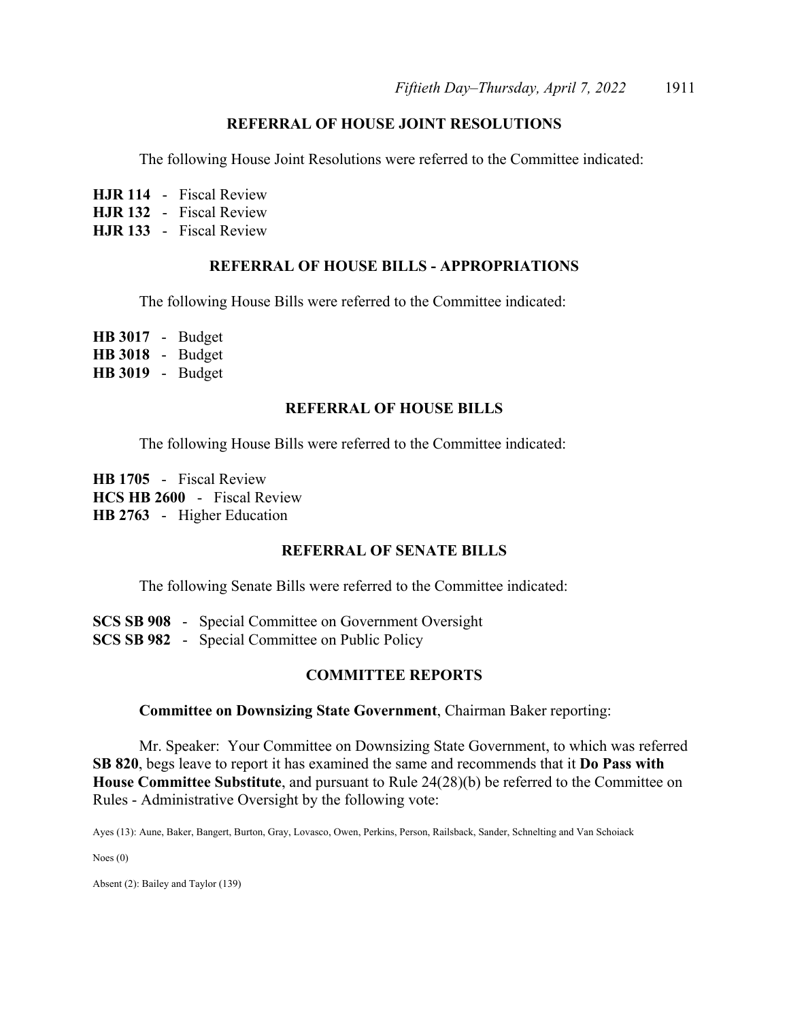## **REFERRAL OF HOUSE JOINT RESOLUTIONS**

The following House Joint Resolutions were referred to the Committee indicated:

**HJR 114** - Fiscal Review

**HJR 132** - Fiscal Review

**HJR 133** - Fiscal Review

## **REFERRAL OF HOUSE BILLS - APPROPRIATIONS**

The following House Bills were referred to the Committee indicated:

**HB 3017** - Budget **HB 3018** - Budget **HB 3019** - Budget

## **REFERRAL OF HOUSE BILLS**

The following House Bills were referred to the Committee indicated:

**HB 1705** - Fiscal Review **HCS HB 2600** - Fiscal Review **HB 2763** - Higher Education

## **REFERRAL OF SENATE BILLS**

The following Senate Bills were referred to the Committee indicated:

**SCS SB 908** - Special Committee on Government Oversight **SCS SB 982** - Special Committee on Public Policy

## **COMMITTEE REPORTS**

#### **Committee on Downsizing State Government**, Chairman Baker reporting:

 Mr. Speaker: Your Committee on Downsizing State Government, to which was referred **SB 820**, begs leave to report it has examined the same and recommends that it **Do Pass with House Committee Substitute**, and pursuant to Rule 24(28)(b) be referred to the Committee on Rules - Administrative Oversight by the following vote:

Ayes (13): Aune, Baker, Bangert, Burton, Gray, Lovasco, Owen, Perkins, Person, Railsback, Sander, Schnelting and Van Schoiack

Noes (0)

Absent (2): Bailey and Taylor (139)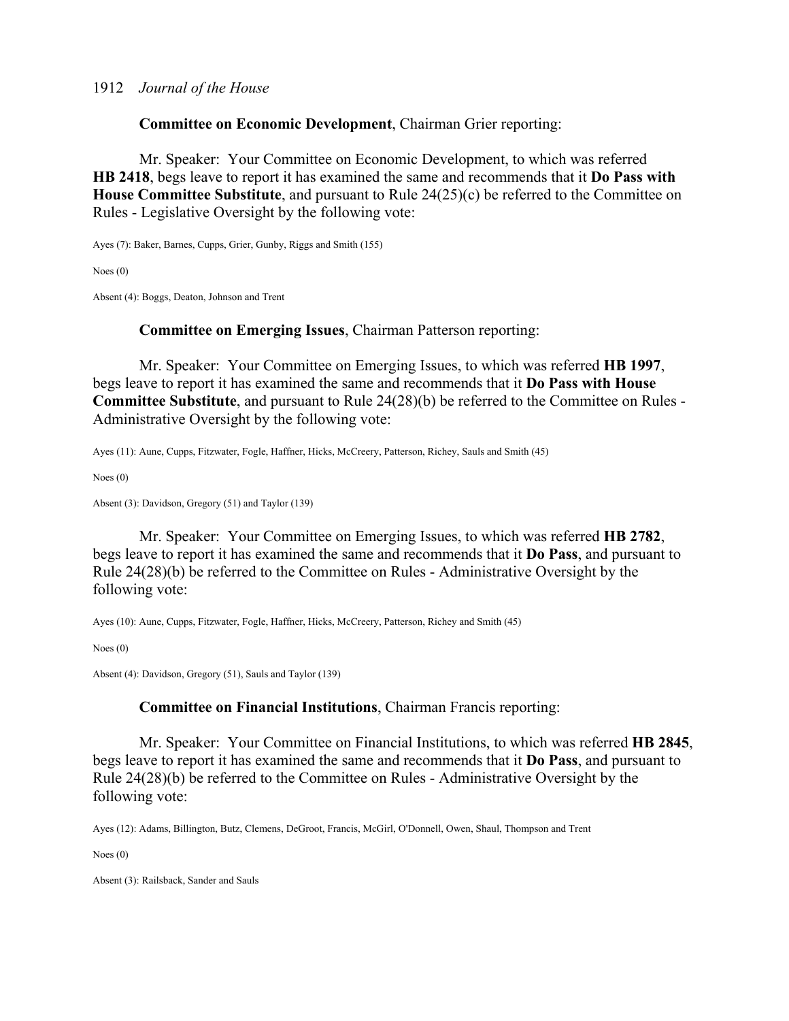**Committee on Economic Development**, Chairman Grier reporting:

 Mr. Speaker: Your Committee on Economic Development, to which was referred **HB 2418**, begs leave to report it has examined the same and recommends that it **Do Pass with House Committee Substitute**, and pursuant to Rule 24(25)(c) be referred to the Committee on Rules - Legislative Oversight by the following vote:

Ayes (7): Baker, Barnes, Cupps, Grier, Gunby, Riggs and Smith (155)

Noes (0)

Absent (4): Boggs, Deaton, Johnson and Trent

## **Committee on Emerging Issues**, Chairman Patterson reporting:

 Mr. Speaker: Your Committee on Emerging Issues, to which was referred **HB 1997**, begs leave to report it has examined the same and recommends that it **Do Pass with House Committee Substitute**, and pursuant to Rule 24(28)(b) be referred to the Committee on Rules - Administrative Oversight by the following vote:

Ayes (11): Aune, Cupps, Fitzwater, Fogle, Haffner, Hicks, McCreery, Patterson, Richey, Sauls and Smith (45)

Noes (0)

Absent (3): Davidson, Gregory (51) and Taylor (139)

 Mr. Speaker: Your Committee on Emerging Issues, to which was referred **HB 2782**, begs leave to report it has examined the same and recommends that it **Do Pass**, and pursuant to Rule 24(28)(b) be referred to the Committee on Rules - Administrative Oversight by the following vote:

Ayes (10): Aune, Cupps, Fitzwater, Fogle, Haffner, Hicks, McCreery, Patterson, Richey and Smith (45)

Noes (0)

Absent (4): Davidson, Gregory (51), Sauls and Taylor (139)

## **Committee on Financial Institutions**, Chairman Francis reporting:

 Mr. Speaker: Your Committee on Financial Institutions, to which was referred **HB 2845**, begs leave to report it has examined the same and recommends that it **Do Pass**, and pursuant to Rule 24(28)(b) be referred to the Committee on Rules - Administrative Oversight by the following vote:

Ayes (12): Adams, Billington, Butz, Clemens, DeGroot, Francis, McGirl, O'Donnell, Owen, Shaul, Thompson and Trent

Noes (0)

Absent (3): Railsback, Sander and Sauls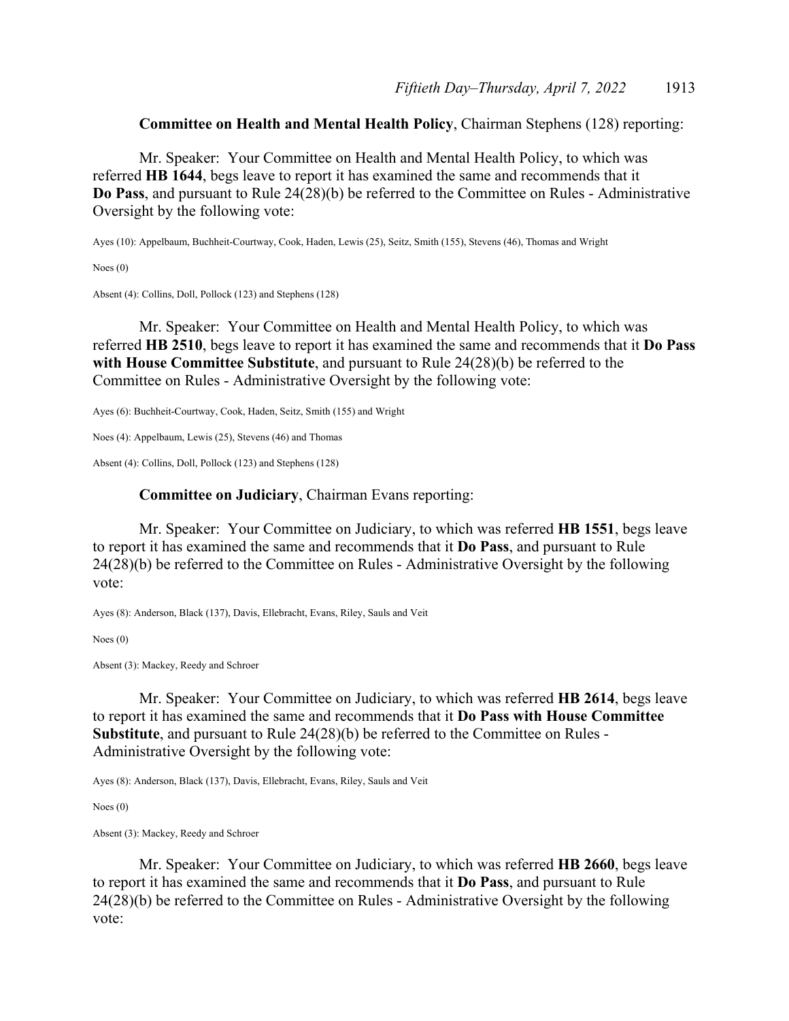**Committee on Health and Mental Health Policy**, Chairman Stephens (128) reporting:

 Mr. Speaker: Your Committee on Health and Mental Health Policy, to which was referred **HB 1644**, begs leave to report it has examined the same and recommends that it **Do Pass**, and pursuant to Rule 24(28)(b) be referred to the Committee on Rules - Administrative Oversight by the following vote:

Ayes (10): Appelbaum, Buchheit-Courtway, Cook, Haden, Lewis (25), Seitz, Smith (155), Stevens (46), Thomas and Wright

Noes (0)

Absent (4): Collins, Doll, Pollock (123) and Stephens (128)

 Mr. Speaker: Your Committee on Health and Mental Health Policy, to which was referred **HB 2510**, begs leave to report it has examined the same and recommends that it **Do Pass with House Committee Substitute**, and pursuant to Rule 24(28)(b) be referred to the Committee on Rules - Administrative Oversight by the following vote:

Ayes (6): Buchheit-Courtway, Cook, Haden, Seitz, Smith (155) and Wright

Noes (4): Appelbaum, Lewis (25), Stevens (46) and Thomas

Absent (4): Collins, Doll, Pollock (123) and Stephens (128)

### **Committee on Judiciary**, Chairman Evans reporting:

 Mr. Speaker: Your Committee on Judiciary, to which was referred **HB 1551**, begs leave to report it has examined the same and recommends that it **Do Pass**, and pursuant to Rule 24(28)(b) be referred to the Committee on Rules - Administrative Oversight by the following vote:

Ayes (8): Anderson, Black (137), Davis, Ellebracht, Evans, Riley, Sauls and Veit

Noes (0)

Absent (3): Mackey, Reedy and Schroer

 Mr. Speaker: Your Committee on Judiciary, to which was referred **HB 2614**, begs leave to report it has examined the same and recommends that it **Do Pass with House Committee Substitute**, and pursuant to Rule 24(28)(b) be referred to the Committee on Rules - Administrative Oversight by the following vote:

Ayes (8): Anderson, Black (137), Davis, Ellebracht, Evans, Riley, Sauls and Veit

Noes (0)

Absent (3): Mackey, Reedy and Schroer

 Mr. Speaker: Your Committee on Judiciary, to which was referred **HB 2660**, begs leave to report it has examined the same and recommends that it **Do Pass**, and pursuant to Rule 24(28)(b) be referred to the Committee on Rules - Administrative Oversight by the following vote: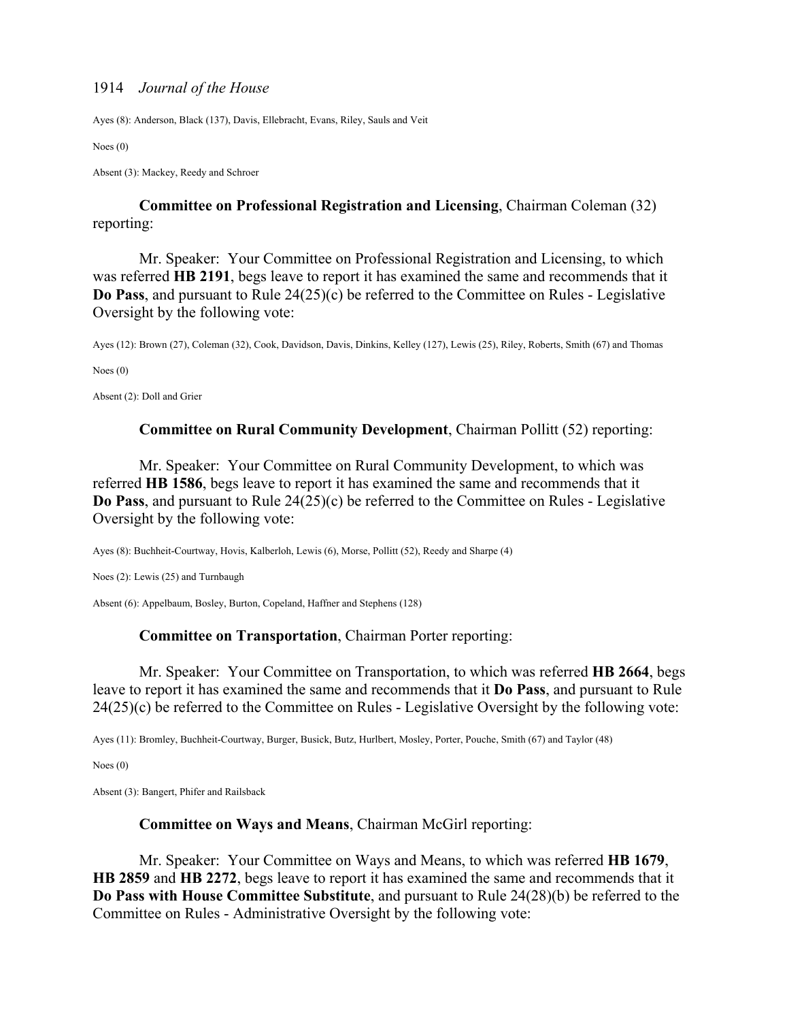Ayes (8): Anderson, Black (137), Davis, Ellebracht, Evans, Riley, Sauls and Veit

Noes (0)

Absent (3): Mackey, Reedy and Schroer

**Committee on Professional Registration and Licensing**, Chairman Coleman (32) reporting:

 Mr. Speaker: Your Committee on Professional Registration and Licensing, to which was referred **HB 2191**, begs leave to report it has examined the same and recommends that it **Do Pass**, and pursuant to Rule 24(25)(c) be referred to the Committee on Rules - Legislative Oversight by the following vote:

Ayes (12): Brown (27), Coleman (32), Cook, Davidson, Davis, Dinkins, Kelley (127), Lewis (25), Riley, Roberts, Smith (67) and Thomas

Noes (0)

Absent (2): Doll and Grier

### **Committee on Rural Community Development**, Chairman Pollitt (52) reporting:

 Mr. Speaker: Your Committee on Rural Community Development, to which was referred **HB 1586**, begs leave to report it has examined the same and recommends that it **Do Pass**, and pursuant to Rule 24(25)(c) be referred to the Committee on Rules - Legislative Oversight by the following vote:

Ayes (8): Buchheit-Courtway, Hovis, Kalberloh, Lewis (6), Morse, Pollitt (52), Reedy and Sharpe (4)

Noes (2): Lewis (25) and Turnbaugh

Absent (6): Appelbaum, Bosley, Burton, Copeland, Haffner and Stephens (128)

#### **Committee on Transportation**, Chairman Porter reporting:

 Mr. Speaker: Your Committee on Transportation, to which was referred **HB 2664**, begs leave to report it has examined the same and recommends that it **Do Pass**, and pursuant to Rule 24(25)(c) be referred to the Committee on Rules - Legislative Oversight by the following vote:

Ayes (11): Bromley, Buchheit-Courtway, Burger, Busick, Butz, Hurlbert, Mosley, Porter, Pouche, Smith (67) and Taylor (48)

Noes (0)

Absent (3): Bangert, Phifer and Railsback

### **Committee on Ways and Means**, Chairman McGirl reporting:

 Mr. Speaker: Your Committee on Ways and Means, to which was referred **HB 1679**, **HB 2859** and **HB 2272**, begs leave to report it has examined the same and recommends that it **Do Pass with House Committee Substitute**, and pursuant to Rule 24(28)(b) be referred to the Committee on Rules - Administrative Oversight by the following vote: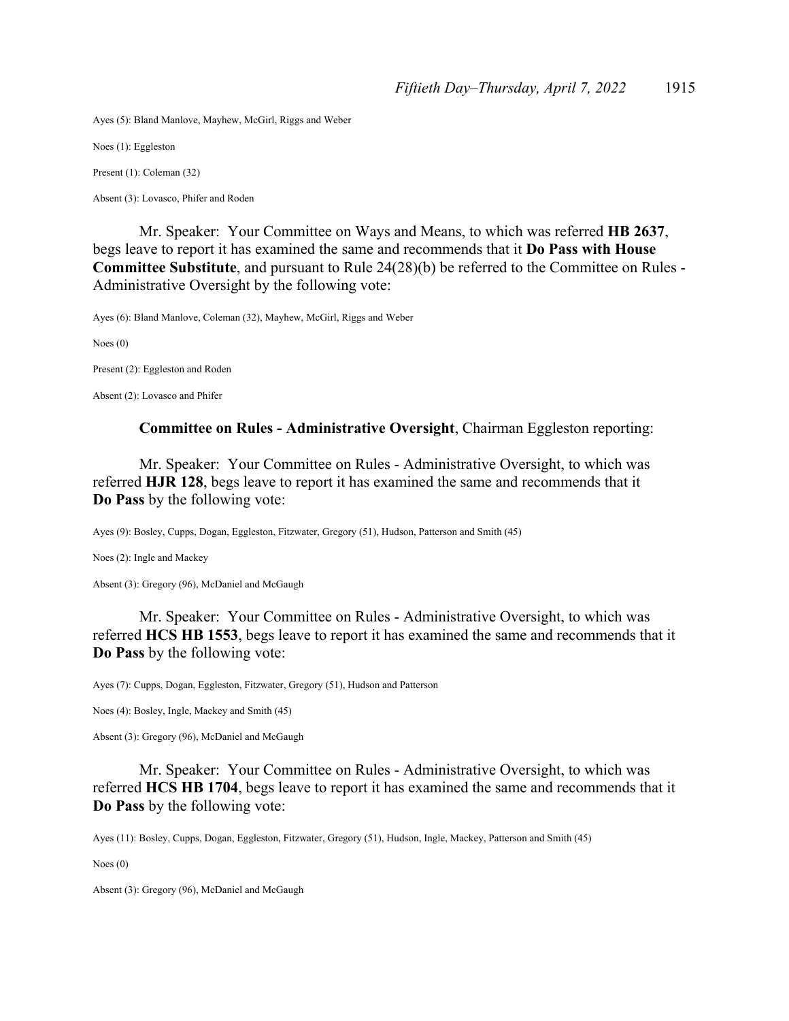Ayes (5): Bland Manlove, Mayhew, McGirl, Riggs and Weber

Noes (1): Eggleston

Present (1): Coleman (32)

Absent (3): Lovasco, Phifer and Roden

 Mr. Speaker: Your Committee on Ways and Means, to which was referred **HB 2637**, begs leave to report it has examined the same and recommends that it **Do Pass with House Committee Substitute**, and pursuant to Rule 24(28)(b) be referred to the Committee on Rules - Administrative Oversight by the following vote:

Ayes (6): Bland Manlove, Coleman (32), Mayhew, McGirl, Riggs and Weber

Noes (0)

Present (2): Eggleston and Roden

Absent (2): Lovasco and Phifer

### **Committee on Rules - Administrative Oversight**, Chairman Eggleston reporting:

 Mr. Speaker: Your Committee on Rules - Administrative Oversight, to which was referred **HJR 128**, begs leave to report it has examined the same and recommends that it **Do Pass** by the following vote:

Ayes (9): Bosley, Cupps, Dogan, Eggleston, Fitzwater, Gregory (51), Hudson, Patterson and Smith (45)

Noes (2): Ingle and Mackey

Absent (3): Gregory (96), McDaniel and McGaugh

 Mr. Speaker: Your Committee on Rules - Administrative Oversight, to which was referred **HCS HB 1553**, begs leave to report it has examined the same and recommends that it **Do Pass** by the following vote:

Ayes (7): Cupps, Dogan, Eggleston, Fitzwater, Gregory (51), Hudson and Patterson

Noes (4): Bosley, Ingle, Mackey and Smith (45)

Absent (3): Gregory (96), McDaniel and McGaugh

 Mr. Speaker: Your Committee on Rules - Administrative Oversight, to which was referred **HCS HB 1704**, begs leave to report it has examined the same and recommends that it **Do Pass** by the following vote:

Ayes (11): Bosley, Cupps, Dogan, Eggleston, Fitzwater, Gregory (51), Hudson, Ingle, Mackey, Patterson and Smith (45)

Noes (0)

Absent (3): Gregory (96), McDaniel and McGaugh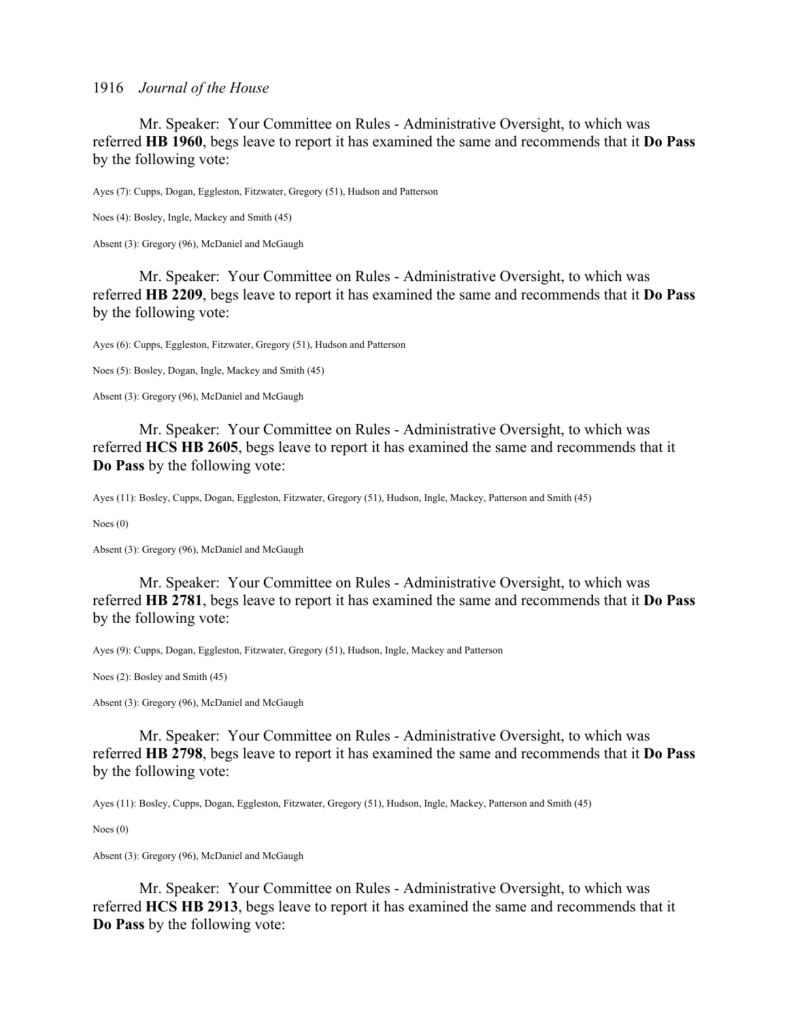Mr. Speaker: Your Committee on Rules - Administrative Oversight, to which was referred **HB 1960**, begs leave to report it has examined the same and recommends that it **Do Pass** by the following vote:

Ayes (7): Cupps, Dogan, Eggleston, Fitzwater, Gregory (51), Hudson and Patterson

Noes (4): Bosley, Ingle, Mackey and Smith (45)

Absent (3): Gregory (96), McDaniel and McGaugh

 Mr. Speaker: Your Committee on Rules - Administrative Oversight, to which was referred **HB 2209**, begs leave to report it has examined the same and recommends that it **Do Pass** by the following vote:

Ayes (6): Cupps, Eggleston, Fitzwater, Gregory (51), Hudson and Patterson

Noes (5): Bosley, Dogan, Ingle, Mackey and Smith (45)

Absent (3): Gregory (96), McDaniel and McGaugh

 Mr. Speaker: Your Committee on Rules - Administrative Oversight, to which was referred **HCS HB 2605**, begs leave to report it has examined the same and recommends that it **Do Pass** by the following vote:

Ayes (11): Bosley, Cupps, Dogan, Eggleston, Fitzwater, Gregory (51), Hudson, Ingle, Mackey, Patterson and Smith (45)

Noes (0)

Absent (3): Gregory (96), McDaniel and McGaugh

 Mr. Speaker: Your Committee on Rules - Administrative Oversight, to which was referred **HB 2781**, begs leave to report it has examined the same and recommends that it **Do Pass** by the following vote:

Ayes (9): Cupps, Dogan, Eggleston, Fitzwater, Gregory (51), Hudson, Ingle, Mackey and Patterson

Noes (2): Bosley and Smith (45)

Absent (3): Gregory (96), McDaniel and McGaugh

 Mr. Speaker: Your Committee on Rules - Administrative Oversight, to which was referred **HB 2798**, begs leave to report it has examined the same and recommends that it **Do Pass** by the following vote:

Ayes (11): Bosley, Cupps, Dogan, Eggleston, Fitzwater, Gregory (51), Hudson, Ingle, Mackey, Patterson and Smith (45)

Noes (0)

Absent (3): Gregory (96), McDaniel and McGaugh

 Mr. Speaker: Your Committee on Rules - Administrative Oversight, to which was referred **HCS HB 2913**, begs leave to report it has examined the same and recommends that it **Do Pass** by the following vote: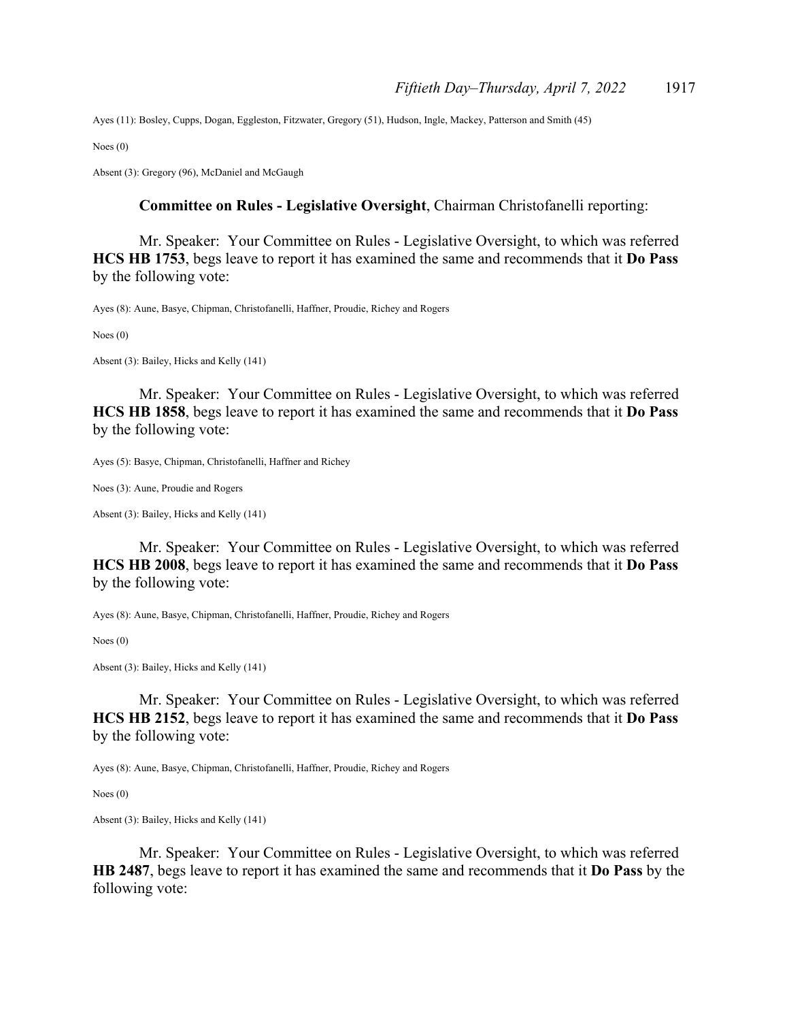Ayes (11): Bosley, Cupps, Dogan, Eggleston, Fitzwater, Gregory (51), Hudson, Ingle, Mackey, Patterson and Smith (45)

Noes (0)

Absent (3): Gregory (96), McDaniel and McGaugh

### **Committee on Rules - Legislative Oversight**, Chairman Christofanelli reporting:

 Mr. Speaker: Your Committee on Rules - Legislative Oversight, to which was referred **HCS HB 1753**, begs leave to report it has examined the same and recommends that it **Do Pass** by the following vote:

Ayes (8): Aune, Basye, Chipman, Christofanelli, Haffner, Proudie, Richey and Rogers

Noes (0)

Absent (3): Bailey, Hicks and Kelly (141)

 Mr. Speaker: Your Committee on Rules - Legislative Oversight, to which was referred **HCS HB 1858**, begs leave to report it has examined the same and recommends that it **Do Pass** by the following vote:

Ayes (5): Basye, Chipman, Christofanelli, Haffner and Richey

Noes (3): Aune, Proudie and Rogers

Absent (3): Bailey, Hicks and Kelly (141)

 Mr. Speaker: Your Committee on Rules - Legislative Oversight, to which was referred **HCS HB 2008**, begs leave to report it has examined the same and recommends that it **Do Pass** by the following vote:

Ayes (8): Aune, Basye, Chipman, Christofanelli, Haffner, Proudie, Richey and Rogers

Noes (0)

Absent (3): Bailey, Hicks and Kelly (141)

 Mr. Speaker: Your Committee on Rules - Legislative Oversight, to which was referred **HCS HB 2152**, begs leave to report it has examined the same and recommends that it **Do Pass** by the following vote:

Ayes (8): Aune, Basye, Chipman, Christofanelli, Haffner, Proudie, Richey and Rogers

Noes (0)

Absent (3): Bailey, Hicks and Kelly (141)

 Mr. Speaker: Your Committee on Rules - Legislative Oversight, to which was referred **HB 2487**, begs leave to report it has examined the same and recommends that it **Do Pass** by the following vote: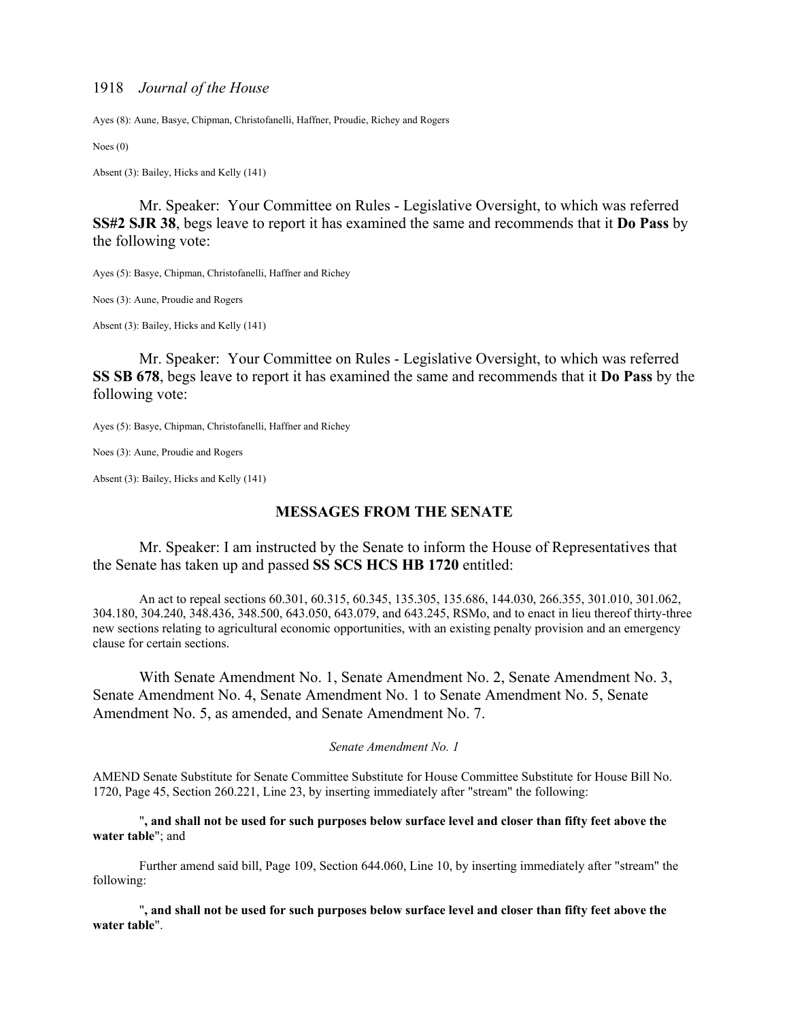Ayes (8): Aune, Basye, Chipman, Christofanelli, Haffner, Proudie, Richey and Rogers

Noes (0)

Absent (3): Bailey, Hicks and Kelly (141)

 Mr. Speaker: Your Committee on Rules - Legislative Oversight, to which was referred **SS#2 SJR 38**, begs leave to report it has examined the same and recommends that it **Do Pass** by the following vote:

Ayes (5): Basye, Chipman, Christofanelli, Haffner and Richey

Noes (3): Aune, Proudie and Rogers

Absent (3): Bailey, Hicks and Kelly (141)

 Mr. Speaker: Your Committee on Rules - Legislative Oversight, to which was referred **SS SB 678**, begs leave to report it has examined the same and recommends that it **Do Pass** by the following vote:

Ayes (5): Basye, Chipman, Christofanelli, Haffner and Richey

Noes (3): Aune, Proudie and Rogers

Absent (3): Bailey, Hicks and Kelly (141)

### **MESSAGES FROM THE SENATE**

Mr. Speaker: I am instructed by the Senate to inform the House of Representatives that the Senate has taken up and passed **SS SCS HCS HB 1720** entitled:

An act to repeal sections 60.301, 60.315, 60.345, 135.305, 135.686, 144.030, 266.355, 301.010, 301.062, 304.180, 304.240, 348.436, 348.500, 643.050, 643.079, and 643.245, RSMo, and to enact in lieu thereof thirty-three new sections relating to agricultural economic opportunities, with an existing penalty provision and an emergency clause for certain sections.

 With Senate Amendment No. 1, Senate Amendment No. 2, Senate Amendment No. 3, Senate Amendment No. 4, Senate Amendment No. 1 to Senate Amendment No. 5, Senate Amendment No. 5, as amended, and Senate Amendment No. 7.

*Senate Amendment No. 1* 

AMEND Senate Substitute for Senate Committee Substitute for House Committee Substitute for House Bill No. 1720, Page 45, Section 260.221, Line 23, by inserting immediately after "stream" the following:

 "**, and shall not be used for such purposes below surface level and closer than fifty feet above the water table**"; and

 Further amend said bill, Page 109, Section 644.060, Line 10, by inserting immediately after "stream" the following:

 "**, and shall not be used for such purposes below surface level and closer than fifty feet above the water table**".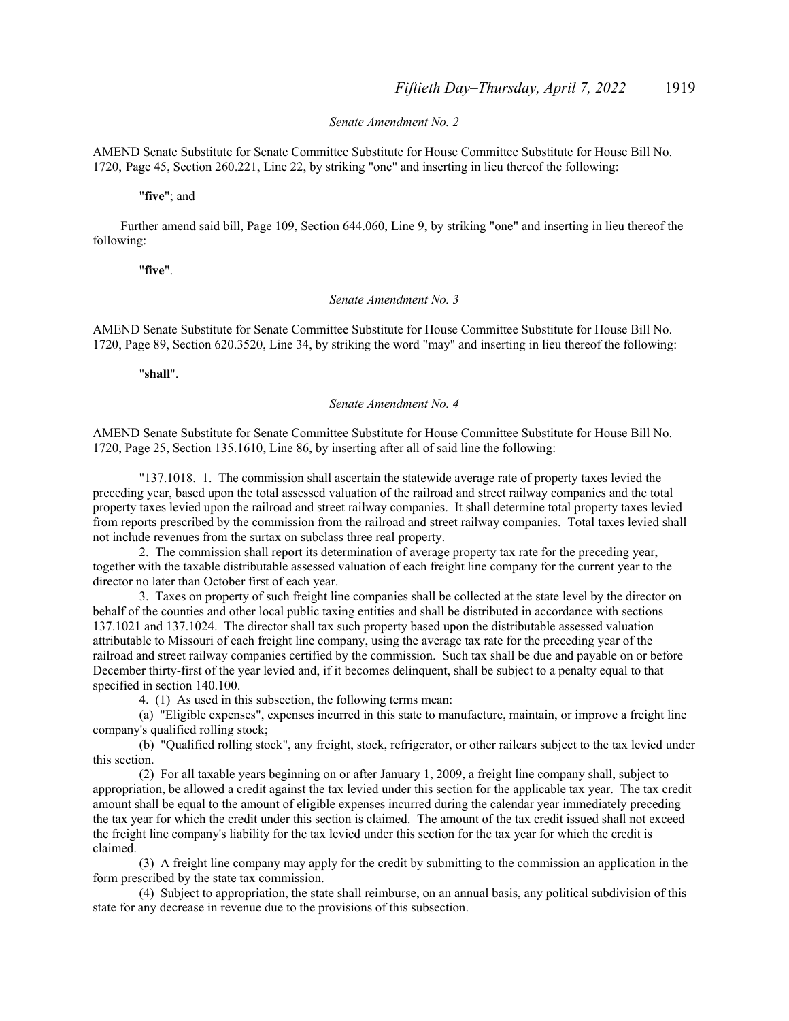#### *Senate Amendment No. 2*

AMEND Senate Substitute for Senate Committee Substitute for House Committee Substitute for House Bill No. 1720, Page 45, Section 260.221, Line 22, by striking "one" and inserting in lieu thereof the following:

"**five**"; and

Further amend said bill, Page 109, Section 644.060, Line 9, by striking "one" and inserting in lieu thereof the following:

"**five**".

#### *Senate Amendment No. 3*

AMEND Senate Substitute for Senate Committee Substitute for House Committee Substitute for House Bill No. 1720, Page 89, Section 620.3520, Line 34, by striking the word "may" and inserting in lieu thereof the following:

"**shall**".

#### *Senate Amendment No. 4*

AMEND Senate Substitute for Senate Committee Substitute for House Committee Substitute for House Bill No. 1720, Page 25, Section 135.1610, Line 86, by inserting after all of said line the following:

 "137.1018. 1. The commission shall ascertain the statewide average rate of property taxes levied the preceding year, based upon the total assessed valuation of the railroad and street railway companies and the total property taxes levied upon the railroad and street railway companies. It shall determine total property taxes levied from reports prescribed by the commission from the railroad and street railway companies. Total taxes levied shall not include revenues from the surtax on subclass three real property.

 2. The commission shall report its determination of average property tax rate for the preceding year, together with the taxable distributable assessed valuation of each freight line company for the current year to the director no later than October first of each year.

 3. Taxes on property of such freight line companies shall be collected at the state level by the director on behalf of the counties and other local public taxing entities and shall be distributed in accordance with sections 137.1021 and 137.1024. The director shall tax such property based upon the distributable assessed valuation attributable to Missouri of each freight line company, using the average tax rate for the preceding year of the railroad and street railway companies certified by the commission. Such tax shall be due and payable on or before December thirty-first of the year levied and, if it becomes delinquent, shall be subject to a penalty equal to that specified in section 140.100.

4. (1) As used in this subsection, the following terms mean:

 (a) "Eligible expenses", expenses incurred in this state to manufacture, maintain, or improve a freight line company's qualified rolling stock;

 (b) "Qualified rolling stock", any freight, stock, refrigerator, or other railcars subject to the tax levied under this section.

 (2) For all taxable years beginning on or after January 1, 2009, a freight line company shall, subject to appropriation, be allowed a credit against the tax levied under this section for the applicable tax year. The tax credit amount shall be equal to the amount of eligible expenses incurred during the calendar year immediately preceding the tax year for which the credit under this section is claimed. The amount of the tax credit issued shall not exceed the freight line company's liability for the tax levied under this section for the tax year for which the credit is claimed.

 (3) A freight line company may apply for the credit by submitting to the commission an application in the form prescribed by the state tax commission.

 (4) Subject to appropriation, the state shall reimburse, on an annual basis, any political subdivision of this state for any decrease in revenue due to the provisions of this subsection.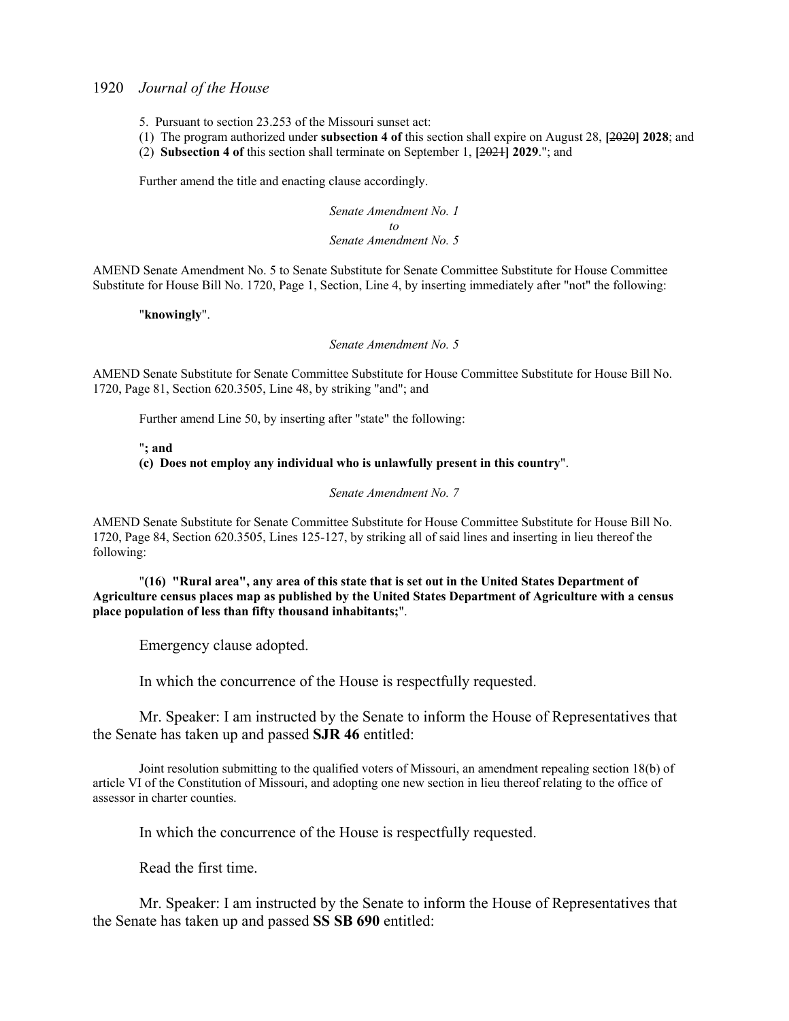- 5. Pursuant to section 23.253 of the Missouri sunset act:
- (1) The program authorized under **subsection 4 of** this section shall expire on August 28, **[**2020**] 2028**; and
- (2) **Subsection 4 of** this section shall terminate on September 1, **[**2021**] 2029**."; and

Further amend the title and enacting clause accordingly.

*Senate Amendment No. 1 to Senate Amendment No. 5* 

AMEND Senate Amendment No. 5 to Senate Substitute for Senate Committee Substitute for House Committee Substitute for House Bill No. 1720, Page 1, Section, Line 4, by inserting immediately after "not" the following:

"**knowingly**".

*Senate Amendment No. 5* 

AMEND Senate Substitute for Senate Committee Substitute for House Committee Substitute for House Bill No. 1720, Page 81, Section 620.3505, Line 48, by striking "and"; and

Further amend Line 50, by inserting after "state" the following:

#### "**; and (c) Does not employ any individual who is unlawfully present in this country**".

*Senate Amendment No. 7* 

AMEND Senate Substitute for Senate Committee Substitute for House Committee Substitute for House Bill No. 1720, Page 84, Section 620.3505, Lines 125-127, by striking all of said lines and inserting in lieu thereof the following:

 "**(16) "Rural area", any area of this state that is set out in the United States Department of Agriculture census places map as published by the United States Department of Agriculture with a census place population of less than fifty thousand inhabitants;**".

Emergency clause adopted.

In which the concurrence of the House is respectfully requested.

Mr. Speaker: I am instructed by the Senate to inform the House of Representatives that the Senate has taken up and passed **SJR 46** entitled:

 Joint resolution submitting to the qualified voters of Missouri, an amendment repealing section 18(b) of article VI of the Constitution of Missouri, and adopting one new section in lieu thereof relating to the office of assessor in charter counties.

In which the concurrence of the House is respectfully requested.

Read the first time.

 Mr. Speaker: I am instructed by the Senate to inform the House of Representatives that the Senate has taken up and passed **SS SB 690** entitled: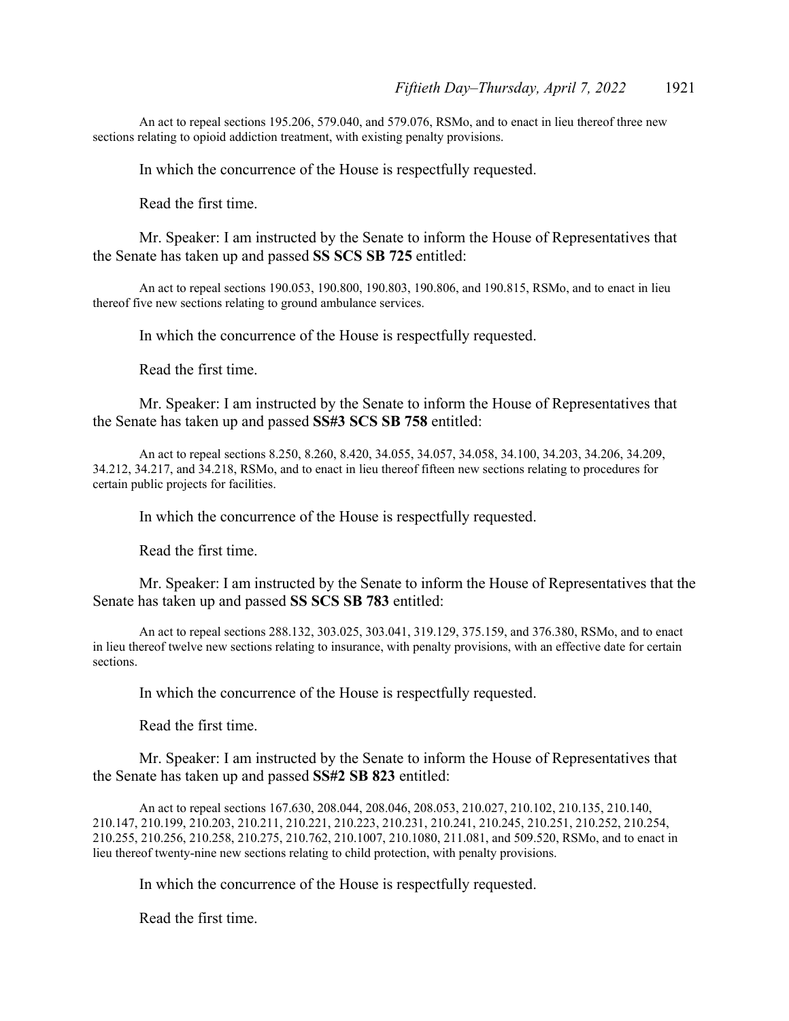An act to repeal sections 195.206, 579.040, and 579.076, RSMo, and to enact in lieu thereof three new sections relating to opioid addiction treatment, with existing penalty provisions.

In which the concurrence of the House is respectfully requested.

Read the first time.

 Mr. Speaker: I am instructed by the Senate to inform the House of Representatives that the Senate has taken up and passed **SS SCS SB 725** entitled:

 An act to repeal sections 190.053, 190.800, 190.803, 190.806, and 190.815, RSMo, and to enact in lieu thereof five new sections relating to ground ambulance services.

In which the concurrence of the House is respectfully requested.

Read the first time.

Mr. Speaker: I am instructed by the Senate to inform the House of Representatives that the Senate has taken up and passed **SS#3 SCS SB 758** entitled:

 An act to repeal sections 8.250, 8.260, 8.420, 34.055, 34.057, 34.058, 34.100, 34.203, 34.206, 34.209, 34.212, 34.217, and 34.218, RSMo, and to enact in lieu thereof fifteen new sections relating to procedures for certain public projects for facilities.

In which the concurrence of the House is respectfully requested.

Read the first time.

Mr. Speaker: I am instructed by the Senate to inform the House of Representatives that the Senate has taken up and passed **SS SCS SB 783** entitled:

 An act to repeal sections 288.132, 303.025, 303.041, 319.129, 375.159, and 376.380, RSMo, and to enact in lieu thereof twelve new sections relating to insurance, with penalty provisions, with an effective date for certain sections.

In which the concurrence of the House is respectfully requested.

Read the first time.

 Mr. Speaker: I am instructed by the Senate to inform the House of Representatives that the Senate has taken up and passed **SS#2 SB 823** entitled:

 An act to repeal sections 167.630, 208.044, 208.046, 208.053, 210.027, 210.102, 210.135, 210.140, 210.147, 210.199, 210.203, 210.211, 210.221, 210.223, 210.231, 210.241, 210.245, 210.251, 210.252, 210.254, 210.255, 210.256, 210.258, 210.275, 210.762, 210.1007, 210.1080, 211.081, and 509.520, RSMo, and to enact in lieu thereof twenty-nine new sections relating to child protection, with penalty provisions.

In which the concurrence of the House is respectfully requested.

Read the first time.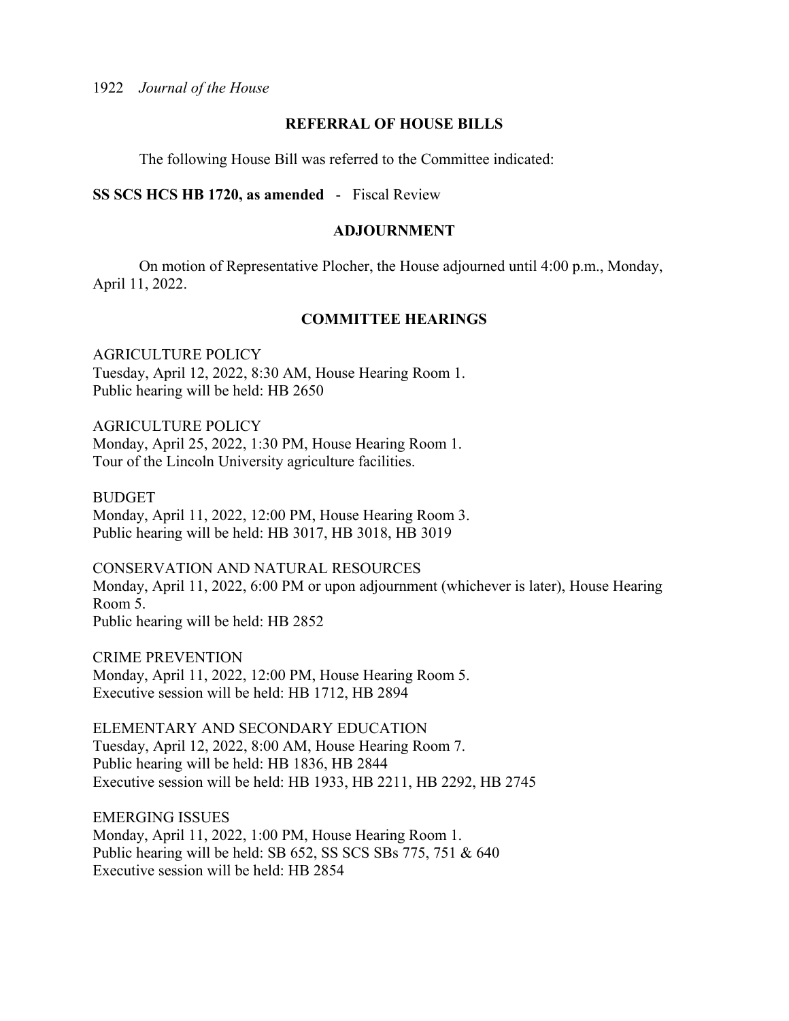## **REFERRAL OF HOUSE BILLS**

The following House Bill was referred to the Committee indicated:

## **SS SCS HCS HB 1720, as amended** - Fiscal Review

### **ADJOURNMENT**

 On motion of Representative Plocher, the House adjourned until 4:00 p.m., Monday, April 11, 2022.

## **COMMITTEE HEARINGS**

AGRICULTURE POLICY Tuesday, April 12, 2022, 8:30 AM, House Hearing Room 1. Public hearing will be held: HB 2650

AGRICULTURE POLICY Monday, April 25, 2022, 1:30 PM, House Hearing Room 1. Tour of the Lincoln University agriculture facilities.

BUDGET Monday, April 11, 2022, 12:00 PM, House Hearing Room 3. Public hearing will be held: HB 3017, HB 3018, HB 3019

CONSERVATION AND NATURAL RESOURCES Monday, April 11, 2022, 6:00 PM or upon adjournment (whichever is later), House Hearing Room 5. Public hearing will be held: HB 2852

CRIME PREVENTION Monday, April 11, 2022, 12:00 PM, House Hearing Room 5. Executive session will be held: HB 1712, HB 2894

ELEMENTARY AND SECONDARY EDUCATION Tuesday, April 12, 2022, 8:00 AM, House Hearing Room 7. Public hearing will be held: HB 1836, HB 2844 Executive session will be held: HB 1933, HB 2211, HB 2292, HB 2745

EMERGING ISSUES Monday, April 11, 2022, 1:00 PM, House Hearing Room 1. Public hearing will be held: SB 652, SS SCS SBs 775, 751 & 640 Executive session will be held: HB 2854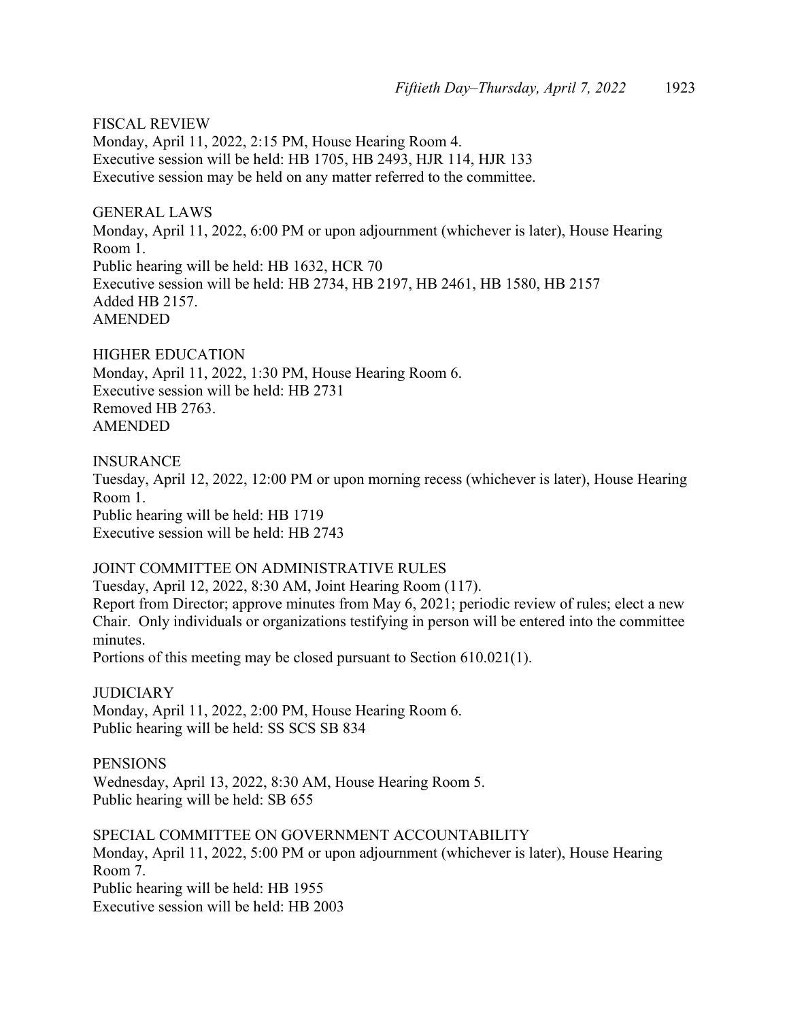FISCAL REVIEW Monday, April 11, 2022, 2:15 PM, House Hearing Room 4. Executive session will be held: HB 1705, HB 2493, HJR 114, HJR 133 Executive session may be held on any matter referred to the committee.

GENERAL LAWS Monday, April 11, 2022, 6:00 PM or upon adjournment (whichever is later), House Hearing Room 1. Public hearing will be held: HB 1632, HCR 70 Executive session will be held: HB 2734, HB 2197, HB 2461, HB 1580, HB 2157 Added HB 2157. AMENDED

HIGHER EDUCATION Monday, April 11, 2022, 1:30 PM, House Hearing Room 6. Executive session will be held: HB 2731 Removed HB 2763. AMENDED

INSURANCE Tuesday, April 12, 2022, 12:00 PM or upon morning recess (whichever is later), House Hearing Room 1. Public hearing will be held: HB 1719 Executive session will be held: HB 2743

## JOINT COMMITTEE ON ADMINISTRATIVE RULES

Tuesday, April 12, 2022, 8:30 AM, Joint Hearing Room (117). Report from Director; approve minutes from May 6, 2021; periodic review of rules; elect a new Chair. Only individuals or organizations testifying in person will be entered into the committee minutes.

Portions of this meeting may be closed pursuant to Section 610.021(1).

**JUDICIARY** Monday, April 11, 2022, 2:00 PM, House Hearing Room 6. Public hearing will be held: SS SCS SB 834

**PENSIONS** Wednesday, April 13, 2022, 8:30 AM, House Hearing Room 5. Public hearing will be held: SB 655

SPECIAL COMMITTEE ON GOVERNMENT ACCOUNTABILITY Monday, April 11, 2022, 5:00 PM or upon adjournment (whichever is later), House Hearing Room 7. Public hearing will be held: HB 1955 Executive session will be held: HB 2003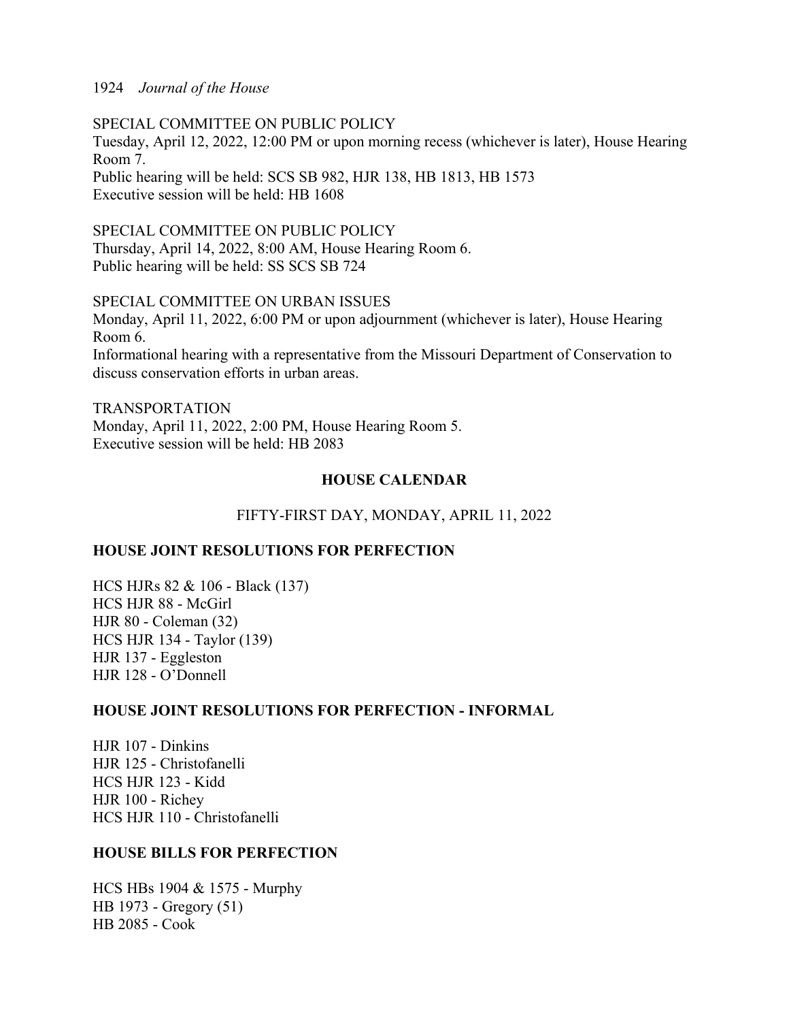SPECIAL COMMITTEE ON PUBLIC POLICY Tuesday, April 12, 2022, 12:00 PM or upon morning recess (whichever is later), House Hearing Room 7. Public hearing will be held: SCS SB 982, HJR 138, HB 1813, HB 1573 Executive session will be held: HB 1608

SPECIAL COMMITTEE ON PUBLIC POLICY Thursday, April 14, 2022, 8:00 AM, House Hearing Room 6. Public hearing will be held: SS SCS SB 724

SPECIAL COMMITTEE ON URBAN ISSUES Monday, April 11, 2022, 6:00 PM or upon adjournment (whichever is later), House Hearing Room 6. Informational hearing with a representative from the Missouri Department of Conservation to discuss conservation efforts in urban areas.

TRANSPORTATION Monday, April 11, 2022, 2:00 PM, House Hearing Room 5. Executive session will be held: HB 2083

## **HOUSE CALENDAR**

FIFTY-FIRST DAY, MONDAY, APRIL 11, 2022

## **HOUSE JOINT RESOLUTIONS FOR PERFECTION**

HCS HJRs 82 & 106 - Black (137) HCS HJR 88 - McGirl HJR 80 - Coleman (32) HCS HJR 134 - Taylor (139) HJR 137 - Eggleston HJR 128 - O'Donnell

## **HOUSE JOINT RESOLUTIONS FOR PERFECTION - INFORMAL**

HJR 107 - Dinkins HJR 125 - Christofanelli HCS HJR 123 - Kidd HJR 100 - Richey HCS HJR 110 - Christofanelli

## **HOUSE BILLS FOR PERFECTION**

HCS HBs 1904 & 1575 - Murphy HB 1973 - Gregory (51) HB 2085 - Cook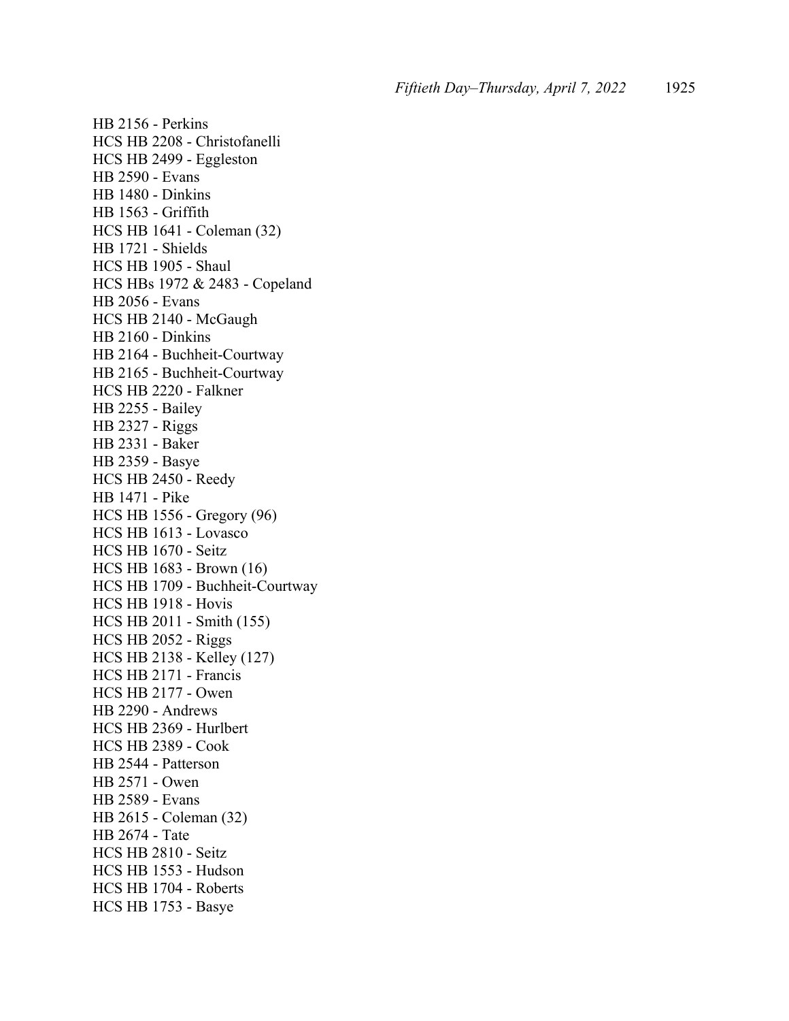HB 2156 - Perkins HCS HB 2208 - Christofanelli HCS HB 2499 - Eggleston HB 2590 - Evans HB 1480 - Dinkins HB 1563 - Griffith HCS HB 1641 - Coleman (32) HB 1721 - Shields HCS HB 1905 - Shaul HCS HBs 1972 & 2483 - Copeland HB 2056 - Evans HCS HB 2140 - McGaugh HB 2160 - Dinkins HB 2164 - Buchheit-Courtway HB 2165 - Buchheit-Courtway HCS HB 2220 - Falkner HB 2255 - Bailey HB 2327 - Riggs HB 2331 - Baker HB 2359 - Basye HCS HB 2450 - Reedy HB 1471 - Pike HCS HB 1556 - Gregory (96) HCS HB 1613 - Lovasco HCS HB 1670 - Seitz HCS HB 1683 - Brown (16) HCS HB 1709 - Buchheit-Courtway HCS HB 1918 - Hovis HCS HB 2011 - Smith (155) HCS HB 2052 - Riggs HCS HB 2138 - Kelley (127) HCS HB 2171 - Francis HCS HB 2177 - Owen HB 2290 - Andrews HCS HB 2369 - Hurlbert HCS HB 2389 - Cook HB 2544 - Patterson HB 2571 - Owen HB 2589 - Evans HB 2615 - Coleman (32) HB 2674 - Tate HCS HB 2810 - Seitz HCS HB 1553 - Hudson HCS HB 1704 - Roberts HCS HB 1753 - Basye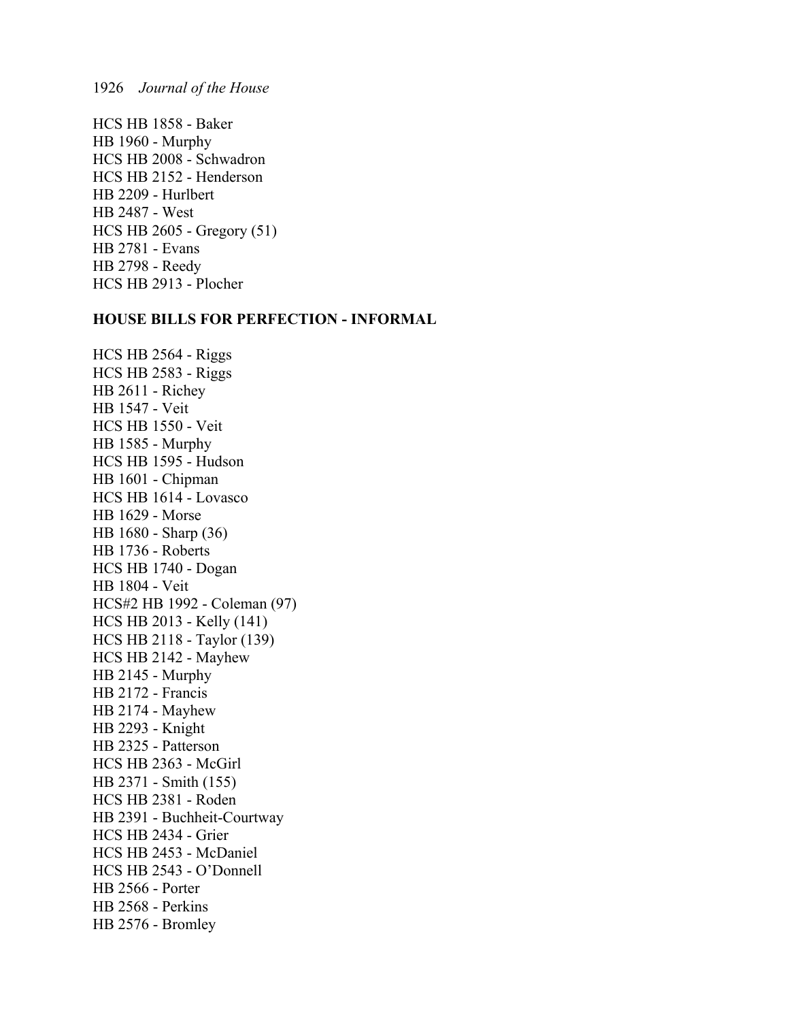HCS HB 1858 - Baker HB 1960 - Murphy HCS HB 2008 - Schwadron HCS HB 2152 - Henderson HB 2209 - Hurlbert HB 2487 - West HCS HB 2605 - Gregory (51) HB 2781 - Evans HB 2798 - Reedy HCS HB 2913 - Plocher

## **HOUSE BILLS FOR PERFECTION - INFORMAL**

HCS HB 2564 - Riggs HCS HB 2583 - Riggs HB 2611 - Richey HB 1547 - Veit HCS HB 1550 - Veit HB 1585 - Murphy HCS HB 1595 - Hudson HB 1601 - Chipman HCS HB 1614 - Lovasco HB 1629 - Morse HB 1680 - Sharp (36) HB 1736 - Roberts HCS HB 1740 - Dogan HB 1804 - Veit HCS#2 HB 1992 - Coleman (97) HCS HB 2013 - Kelly (141) HCS HB 2118 - Taylor (139) HCS HB 2142 - Mayhew HB 2145 - Murphy HB 2172 - Francis HB 2174 - Mayhew HB 2293 - Knight HB 2325 - Patterson HCS HB 2363 - McGirl HB 2371 - Smith (155) HCS HB 2381 - Roden HB 2391 - Buchheit-Courtway HCS HB 2434 - Grier HCS HB 2453 - McDaniel HCS HB 2543 - O'Donnell HB 2566 - Porter HB 2568 - Perkins HB 2576 - Bromley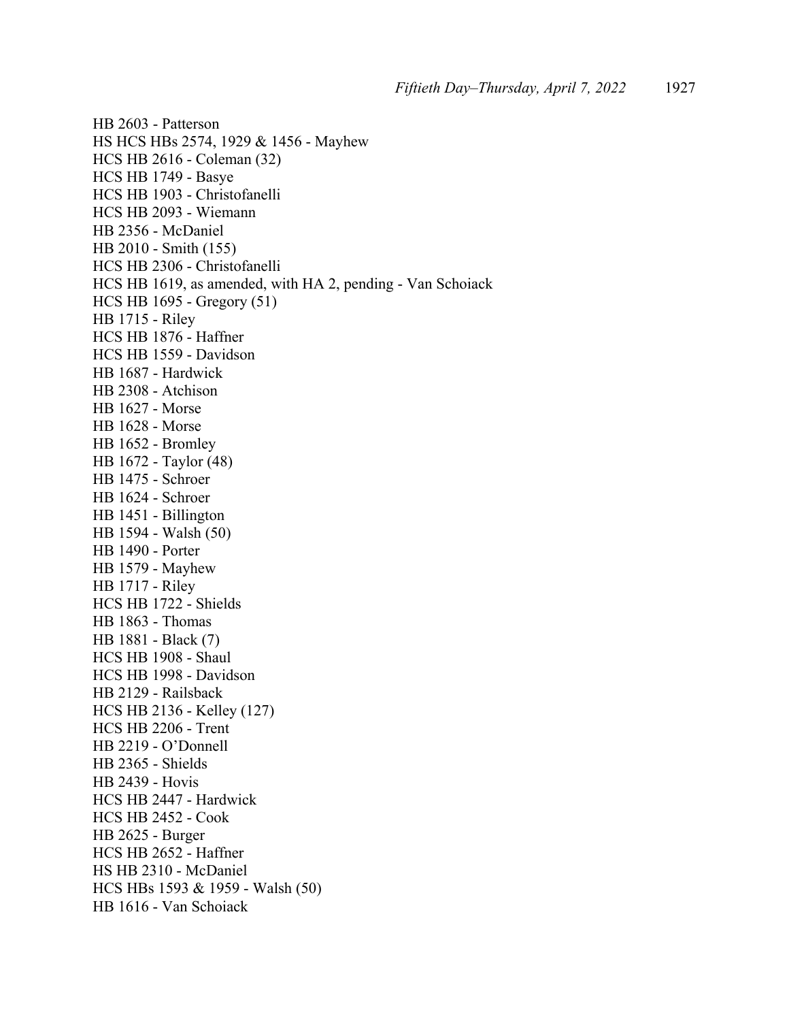HB 2603 - Patterson HS HCS HBs 2574, 1929 & 1456 - Mayhew HCS HB 2616 - Coleman (32) HCS HB 1749 - Basye HCS HB 1903 - Christofanelli HCS HB 2093 - Wiemann HB 2356 - McDaniel HB 2010 - Smith (155) HCS HB 2306 - Christofanelli HCS HB 1619, as amended, with HA 2, pending - Van Schoiack HCS HB 1695 - Gregory (51) HB 1715 - Riley HCS HB 1876 - Haffner HCS HB 1559 - Davidson HB 1687 - Hardwick HB 2308 - Atchison HB 1627 - Morse HB 1628 - Morse HB 1652 - Bromley HB 1672 - Taylor (48) HB 1475 - Schroer HB 1624 - Schroer HB 1451 - Billington HB 1594 - Walsh (50) HB 1490 - Porter HB 1579 - Mayhew HB 1717 - Riley HCS HB 1722 - Shields HB 1863 - Thomas HB 1881 - Black (7) HCS HB 1908 - Shaul HCS HB 1998 - Davidson HB 2129 - Railsback HCS HB 2136 - Kelley (127) HCS HB 2206 - Trent HB 2219 - O'Donnell HB 2365 - Shields HB 2439 - Hovis HCS HB 2447 - Hardwick HCS HB 2452 - Cook HB 2625 - Burger HCS HB 2652 - Haffner HS HB 2310 - McDaniel HCS HBs 1593 & 1959 - Walsh (50) HB 1616 - Van Schoiack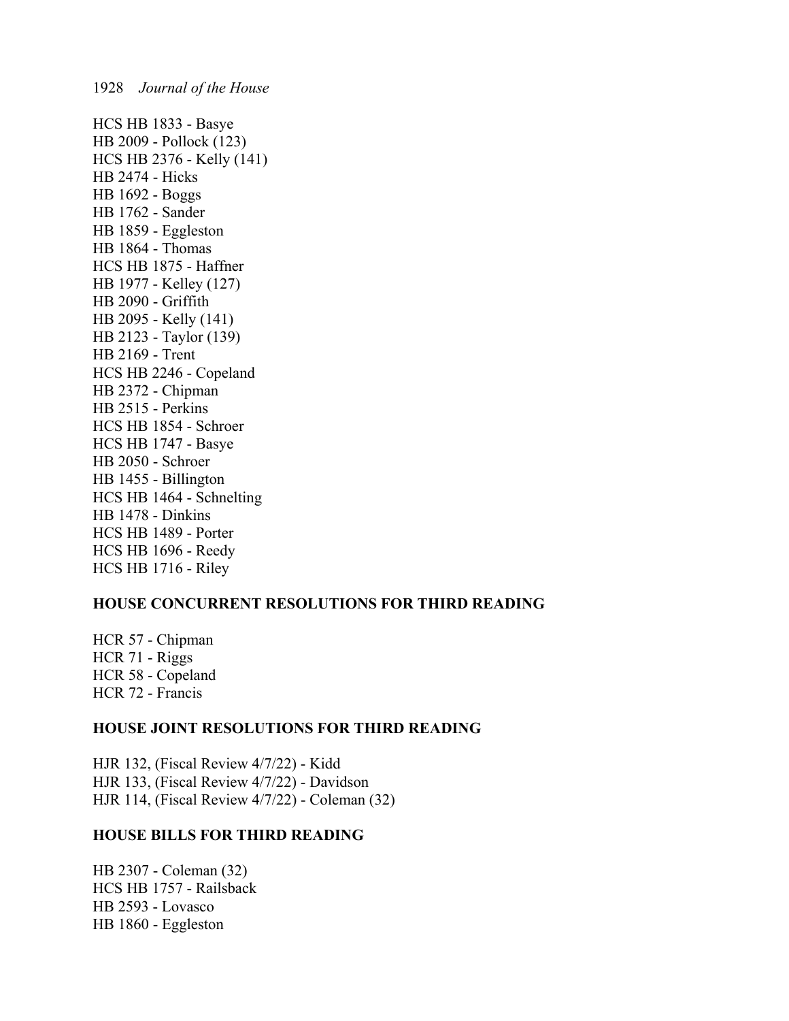HCS HB 1833 - Basye HB 2009 - Pollock (123) HCS HB 2376 - Kelly (141) HB 2474 - Hicks HB 1692 - Boggs HB 1762 - Sander HB 1859 - Eggleston HB 1864 - Thomas HCS HB 1875 - Haffner HB 1977 - Kelley (127) HB 2090 - Griffith HB 2095 - Kelly (141) HB 2123 - Taylor (139) HB 2169 - Trent HCS HB 2246 - Copeland HB 2372 - Chipman HB 2515 - Perkins HCS HB 1854 - Schroer HCS HB 1747 - Basye HB 2050 - Schroer HB 1455 - Billington HCS HB 1464 - Schnelting HB 1478 - Dinkins HCS HB 1489 - Porter HCS HB 1696 - Reedy HCS HB 1716 - Riley

## **HOUSE CONCURRENT RESOLUTIONS FOR THIRD READING**

HCR 57 - Chipman HCR 71 - Riggs HCR 58 - Copeland HCR 72 - Francis

## **HOUSE JOINT RESOLUTIONS FOR THIRD READING**

HJR 132, (Fiscal Review 4/7/22) - Kidd HJR 133, (Fiscal Review 4/7/22) - Davidson HJR 114, (Fiscal Review 4/7/22) - Coleman (32)

## **HOUSE BILLS FOR THIRD READING**

HB 2307 - Coleman (32) HCS HB 1757 - Railsback HB 2593 - Lovasco HB 1860 - Eggleston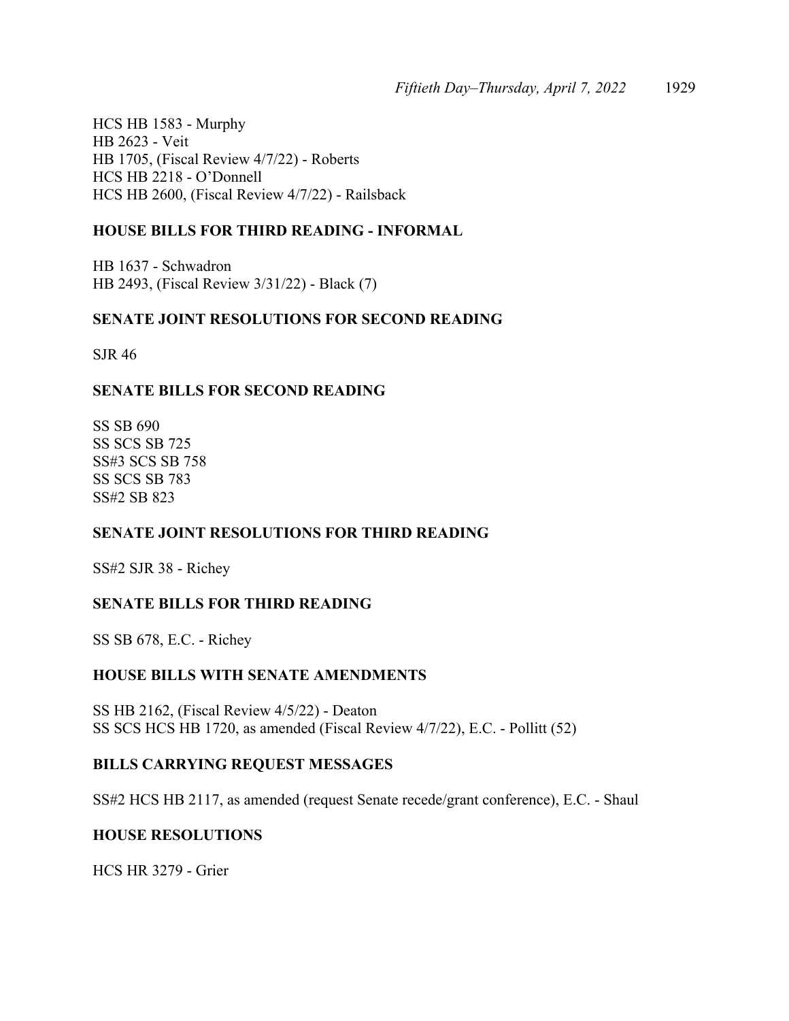HCS HB 1583 - Murphy HB 2623 - Veit HB 1705, (Fiscal Review 4/7/22) - Roberts HCS HB 2218 - O'Donnell HCS HB 2600, (Fiscal Review 4/7/22) - Railsback

## **HOUSE BILLS FOR THIRD READING - INFORMAL**

HB 1637 - Schwadron HB 2493, (Fiscal Review 3/31/22) - Black (7)

## **SENATE JOINT RESOLUTIONS FOR SECOND READING**

SJR 46

## **SENATE BILLS FOR SECOND READING**

SS SB 690 SS SCS SB 725 SS#3 SCS SB 758 SS SCS SB 783 SS#2 SB 823

## **SENATE JOINT RESOLUTIONS FOR THIRD READING**

SS#2 SJR 38 - Richey

## **SENATE BILLS FOR THIRD READING**

SS SB 678, E.C. - Richey

## **HOUSE BILLS WITH SENATE AMENDMENTS**

SS HB 2162, (Fiscal Review 4/5/22) - Deaton SS SCS HCS HB 1720, as amended (Fiscal Review 4/7/22), E.C. - Pollitt (52)

## **BILLS CARRYING REQUEST MESSAGES**

SS#2 HCS HB 2117, as amended (request Senate recede/grant conference), E.C. - Shaul

## **HOUSE RESOLUTIONS**

HCS HR 3279 - Grier